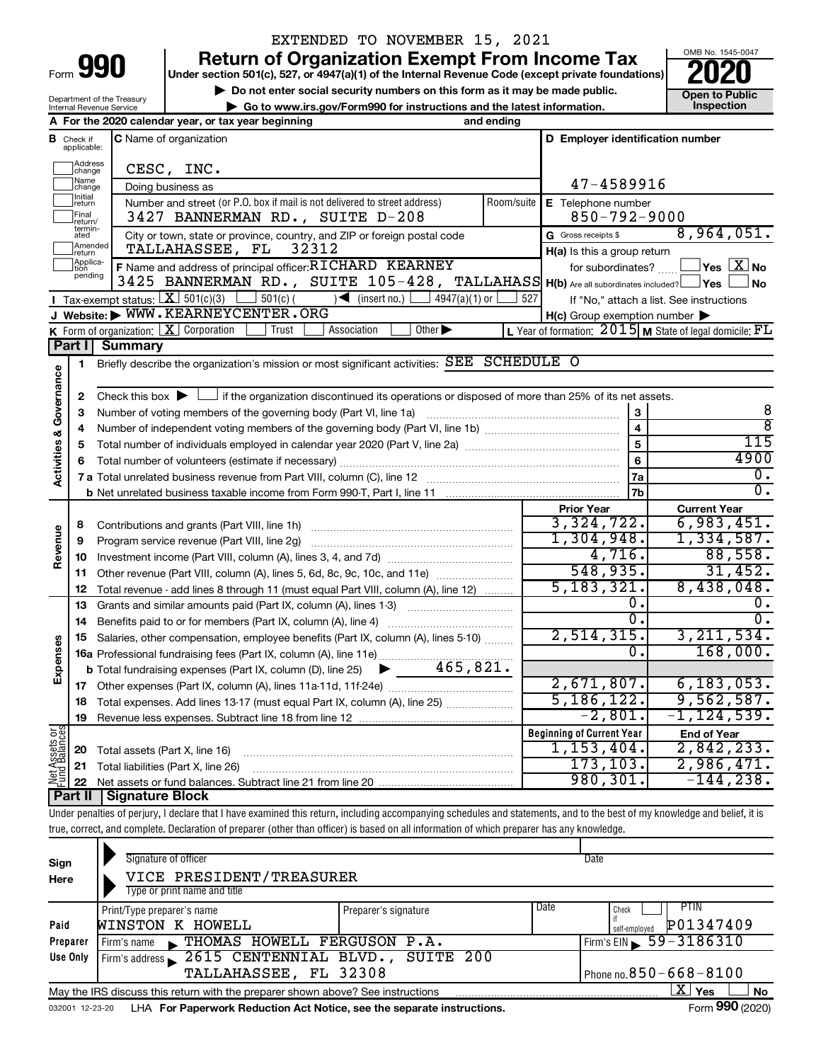Department of the Treasury Internal Revenue Service

### EXTENDED TO NOVEMBER 15, 2021

**990** Return of Organization Exempt From Income Tax <br>
Under section 501(c), 527, or 4947(a)(1) of the Internal Revenue Code (except private foundations)<br> **PO20** 

**▶ Do not enter social security numbers on this form as it may be made public. Open to Public**<br>
inspection instructions and the latest information. Inspection **| Go to www.irs.gov/Form990 for instructions and the latest information. Inspection**



|                              |                         | A For the 2020 calendar year, or tax year beginning                                                                                         | and ending |                                                     |                                                             |
|------------------------------|-------------------------|---------------------------------------------------------------------------------------------------------------------------------------------|------------|-----------------------------------------------------|-------------------------------------------------------------|
| В                            | Check if<br>applicable: | <b>C</b> Name of organization                                                                                                               |            | D Employer identification number                    |                                                             |
|                              | Address<br> change      | CESC, INC.                                                                                                                                  |            |                                                     |                                                             |
|                              | Name<br> change         | Doing business as                                                                                                                           | 47-4589916 |                                                     |                                                             |
|                              | Initial<br> return      | E Telephone number                                                                                                                          |            |                                                     |                                                             |
|                              | Final<br>return/        | $850 - 792 - 9000$                                                                                                                          |            |                                                     |                                                             |
|                              | termin-<br>ated         | City or town, state or province, country, and ZIP or foreign postal code                                                                    |            | G Gross receipts \$                                 | 8,964,051.                                                  |
|                              | Amended<br>return       | TALLAHASSEE, FL<br>32312                                                                                                                    |            | $H(a)$ is this a group return                       |                                                             |
|                              | Applica-<br>tion        | F Name and address of principal officer: RICHARD KEARNEY                                                                                    |            | for subordinates?                                   | $Yes$ $X$ No                                                |
|                              | pending                 | 3425 BANNERMAN RD., SUITE 105-428, TALLAHASS H(b) Are all subordinates included? Yes                                                        |            |                                                     | ⊥No                                                         |
|                              |                         | Tax-exempt status: $\boxed{\mathbf{X}}$ 501(c)(3)<br>$501(c)$ (<br>$\Theta$ (insert no.)<br>$4947(a)(1)$ or                                 | 527        |                                                     | If "No," attach a list. See instructions                    |
|                              |                         | J Website: WWW.KEARNEYCENTER.ORG                                                                                                            |            | $H(c)$ Group exemption number $\blacktriangleright$ |                                                             |
|                              |                         | Other $\blacktriangleright$<br><b>K</b> Form of organization: $X$ Corporation<br>Trust<br>Association                                       |            |                                                     | L Year of formation: $2015$ M State of legal domicile: $FL$ |
|                              | Part I                  | Summary                                                                                                                                     |            |                                                     |                                                             |
|                              | 1                       | Briefly describe the organization's mission or most significant activities: SEE SCHEDULE O                                                  |            |                                                     |                                                             |
| Governance                   |                         |                                                                                                                                             |            |                                                     |                                                             |
|                              | 2                       | Check this box $\blacktriangleright$ $\Box$ if the organization discontinued its operations or disposed of more than 25% of its net assets. |            | 3                                                   | 8                                                           |
|                              | З<br>4                  | Number of voting members of the governing body (Part VI, line 1a)                                                                           | 4          | ह                                                   |                                                             |
|                              | 5                       |                                                                                                                                             | 5          | 115                                                 |                                                             |
|                              | 6                       |                                                                                                                                             | 6          | 4900                                                |                                                             |
| Activities &                 |                         |                                                                                                                                             |            | 7a                                                  | $\overline{0}$ .                                            |
|                              |                         |                                                                                                                                             |            | 7b                                                  | $\overline{0}$ .                                            |
|                              |                         |                                                                                                                                             |            | <b>Prior Year</b>                                   | <b>Current Year</b>                                         |
|                              | 8                       | Contributions and grants (Part VIII, line 1h)                                                                                               |            | 3,324,722.                                          | 6,983,451.                                                  |
| Revenue                      | 9                       | Program service revenue (Part VIII, line 2g)                                                                                                |            | 1,304,948.                                          | 1,334,587.                                                  |
|                              |                         |                                                                                                                                             |            | 4,716.                                              | 88,558.                                                     |
|                              | 11                      | Other revenue (Part VIII, column (A), lines 5, 6d, 8c, 9c, 10c, and 11e)                                                                    |            | 548,935.                                            | 31,452.                                                     |
|                              | 12                      | Total revenue - add lines 8 through 11 (must equal Part VIII, column (A), line 12)                                                          |            | 5, 183, 321.                                        | 8,438,048.                                                  |
|                              | 13                      | Grants and similar amounts paid (Part IX, column (A), lines 1-3)                                                                            |            | 0.                                                  | 0.                                                          |
|                              | 14                      | Benefits paid to or for members (Part IX, column (A), line 4)                                                                               |            | $\overline{0}$ .                                    | 0.                                                          |
|                              | 15                      | Salaries, other compensation, employee benefits (Part IX, column (A), lines 5-10)                                                           |            | 2,514,315.                                          | 3, 211, 534.                                                |
| Expenses                     |                         | 16a Professional fundraising fees (Part IX, column (A), line 11e)                                                                           |            | 0.                                                  | 168,000.                                                    |
|                              |                         | 465,821.<br><b>b</b> Total fundraising expenses (Part IX, column (D), line 25)<br>$\blacktriangleright$ and $\blacktriangleright$           |            |                                                     |                                                             |
|                              |                         |                                                                                                                                             |            | 2,671,807.                                          | 6, 183, 053.                                                |
|                              | 18                      | Total expenses. Add lines 13-17 (must equal Part IX, column (A), line 25)                                                                   |            | 5, 186, 122.                                        | 9,562,587.                                                  |
|                              | 19                      |                                                                                                                                             |            | $-2,801.$                                           | $-1, 124, 539.$                                             |
| $rac{\text{or}}{\text{ces}}$ |                         |                                                                                                                                             |            | <b>Beginning of Current Year</b><br>1,153,404.      | <b>End of Year</b><br>2,842,233.                            |
| <b>Assets</b>                | 20                      | Total assets (Part X, line 16)                                                                                                              |            | 173, 103.                                           | 2,986,471.                                                  |
| Net<br>Pind                  | 21                      | Total liabilities (Part X, line 26)                                                                                                         |            | 980, 301.                                           | $-144, 238.$                                                |
|                              | 22                      | <b>Part II Signature Block</b>                                                                                                              |            |                                                     |                                                             |
|                              |                         |                                                                                                                                             |            |                                                     |                                                             |

Under penalties of perjury, I declare that I have examined this return, including accompanying schedules and statements, and to the best of my knowledge and belief, it is true, correct, and complete. Declaration of preparer (other than officer) is based on all information of which preparer has any knowledge.

| Sign<br>Here                                          | Signature of officer<br>VICE PRESIDENT/TREASURER<br>Type or print name and title                             |                      |      | Date                                        |  |  |  |  |  |  |  |  |
|-------------------------------------------------------|--------------------------------------------------------------------------------------------------------------|----------------------|------|---------------------------------------------|--|--|--|--|--|--|--|--|
| Paid                                                  | Print/Type preparer's name<br><b>WINSTON K HOWELL</b>                                                        | Preparer's signature | Date | PTIN<br>Check<br>P01347409<br>self-emploved |  |  |  |  |  |  |  |  |
| Preparer                                              | Firm's name FIHOMAS HOWELL FERGUSON P.A.                                                                     |                      |      | Firm's EIN $\, 59 - 3186310$                |  |  |  |  |  |  |  |  |
| Use Only                                              | Firm's address 2615 CENTENNIAL BLVD., SUITE 200                                                              |                      |      |                                             |  |  |  |  |  |  |  |  |
| TALLAHASSEE, FL 32308<br>Phone no. $850 - 668 - 8100$ |                                                                                                              |                      |      |                                             |  |  |  |  |  |  |  |  |
|                                                       | May the IRS discuss this return with the preparer shown above? See instructions                              |                      |      | x.<br>No<br>Yes                             |  |  |  |  |  |  |  |  |
|                                                       | Form 990 (2020)<br>LHA For Paperwork Reduction Act Notice, see the separate instructions.<br>032001 12-23-20 |                      |      |                                             |  |  |  |  |  |  |  |  |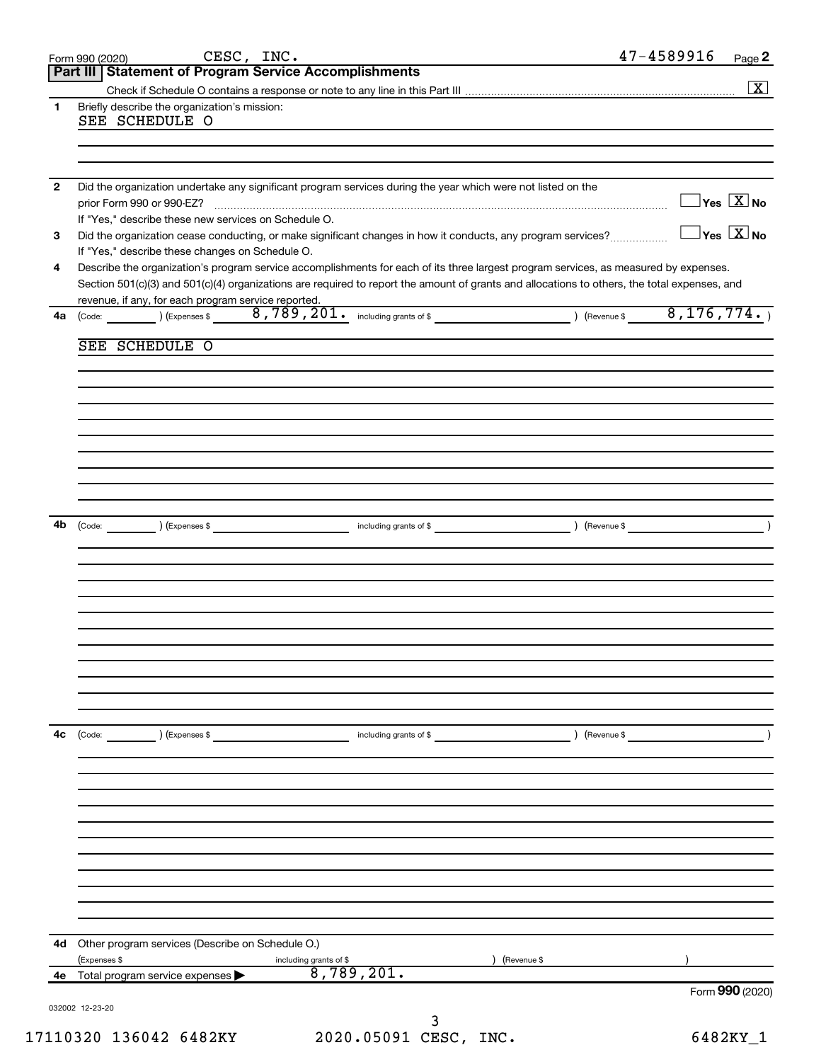|              | CESC, INC.<br>Form 990 (2020)<br>Part III   Statement of Program Service Accomplishments                                                     | 47-4589916<br>Page 2                                            |
|--------------|----------------------------------------------------------------------------------------------------------------------------------------------|-----------------------------------------------------------------|
|              |                                                                                                                                              | $\boxed{\textbf{X}}$                                            |
| 1            |                                                                                                                                              |                                                                 |
|              | Briefly describe the organization's mission:<br>SEE SCHEDULE O                                                                               |                                                                 |
|              |                                                                                                                                              |                                                                 |
|              |                                                                                                                                              |                                                                 |
|              |                                                                                                                                              |                                                                 |
| $\mathbf{2}$ | Did the organization undertake any significant program services during the year which were not listed on the                                 |                                                                 |
|              | prior Form 990 or 990-EZ?                                                                                                                    | $\Box$ Yes $[\overline{\mathrm{X}}]$ No                         |
|              | If "Yes," describe these new services on Schedule O.                                                                                         |                                                                 |
| 3            | Did the organization cease conducting, or make significant changes in how it conducts, any program services?                                 | $\Box$ Yes $[\overline{\mathrm{X}}]$ No                         |
|              | If "Yes," describe these changes on Schedule O.                                                                                              |                                                                 |
| 4            | Describe the organization's program service accomplishments for each of its three largest program services, as measured by expenses.         |                                                                 |
|              | Section 501(c)(3) and 501(c)(4) organizations are required to report the amount of grants and allocations to others, the total expenses, and |                                                                 |
|              | revenue, if any, for each program service reported.                                                                                          | <u> 1980 - Johann Barn, mars an t-Amerikaansk kommunister (</u> |
| 4a           |                                                                                                                                              |                                                                 |
|              | SEE SCHEDULE O                                                                                                                               |                                                                 |
|              |                                                                                                                                              |                                                                 |
|              |                                                                                                                                              |                                                                 |
|              |                                                                                                                                              |                                                                 |
|              |                                                                                                                                              |                                                                 |
|              |                                                                                                                                              |                                                                 |
|              |                                                                                                                                              |                                                                 |
|              |                                                                                                                                              |                                                                 |
|              |                                                                                                                                              |                                                                 |
|              |                                                                                                                                              |                                                                 |
|              |                                                                                                                                              |                                                                 |
| 4b           |                                                                                                                                              | $\overline{\phantom{a}}$                                        |
|              |                                                                                                                                              |                                                                 |
|              |                                                                                                                                              |                                                                 |
|              |                                                                                                                                              |                                                                 |
|              |                                                                                                                                              |                                                                 |
|              |                                                                                                                                              |                                                                 |
|              |                                                                                                                                              |                                                                 |
|              |                                                                                                                                              |                                                                 |
|              |                                                                                                                                              |                                                                 |
|              |                                                                                                                                              |                                                                 |
|              |                                                                                                                                              |                                                                 |
|              |                                                                                                                                              |                                                                 |
| 4c           | (Code: ) (Expenses \$                                                                                                                        |                                                                 |
|              |                                                                                                                                              |                                                                 |
|              |                                                                                                                                              |                                                                 |
|              |                                                                                                                                              |                                                                 |
|              |                                                                                                                                              |                                                                 |
|              |                                                                                                                                              |                                                                 |
|              |                                                                                                                                              |                                                                 |
|              |                                                                                                                                              |                                                                 |
|              |                                                                                                                                              |                                                                 |
|              |                                                                                                                                              |                                                                 |
|              |                                                                                                                                              |                                                                 |
|              |                                                                                                                                              |                                                                 |
|              |                                                                                                                                              |                                                                 |
|              | 4d Other program services (Describe on Schedule O.)<br>(Expenses \$                                                                          | ) (Revenue \$                                                   |
|              | including grants of \$<br>8,789,201.<br>4e Total program service expenses                                                                    |                                                                 |
|              |                                                                                                                                              | Form 990 (2020)                                                 |
|              | 032002 12-23-20                                                                                                                              |                                                                 |
|              | 3                                                                                                                                            |                                                                 |
|              | 2020.05091 CESC, INC.<br>17110320 136042 6482KY                                                                                              | 6482KY_1                                                        |
|              |                                                                                                                                              |                                                                 |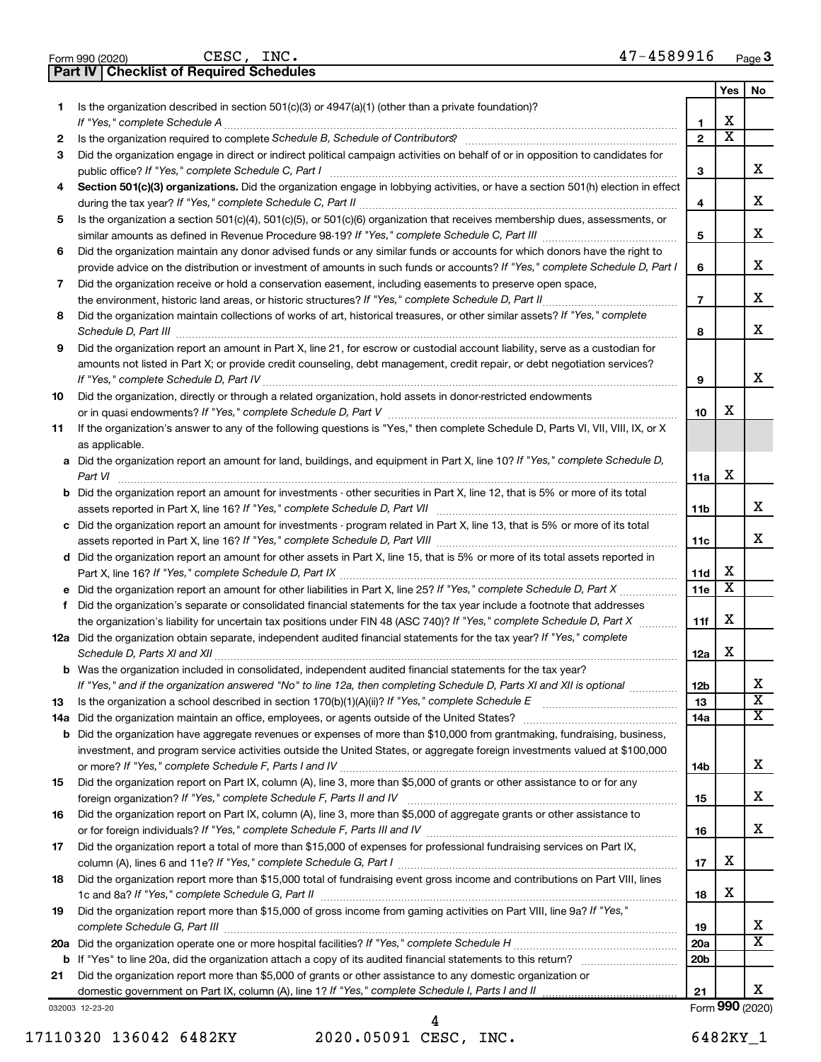|     | <b>Part IV   Checklist of Required Schedules</b>                                                                                                                |                 |                         |                         |
|-----|-----------------------------------------------------------------------------------------------------------------------------------------------------------------|-----------------|-------------------------|-------------------------|
|     |                                                                                                                                                                 |                 | Yes                     | No                      |
| 1   | Is the organization described in section $501(c)(3)$ or $4947(a)(1)$ (other than a private foundation)?                                                         |                 |                         |                         |
|     |                                                                                                                                                                 | 1               | X                       |                         |
| 2   | Is the organization required to complete Schedule B, Schedule of Contributors? [11] the organization required to complete Schedule B, Schedule of Contributors? | $\overline{2}$  | $\overline{\textbf{x}}$ |                         |
| 3   | Did the organization engage in direct or indirect political campaign activities on behalf of or in opposition to candidates for                                 |                 |                         |                         |
|     |                                                                                                                                                                 | 3               |                         | x                       |
|     |                                                                                                                                                                 |                 |                         |                         |
| 4   | Section 501(c)(3) organizations. Did the organization engage in lobbying activities, or have a section 501(h) election in effect                                |                 |                         |                         |
|     |                                                                                                                                                                 | 4               |                         | х                       |
| 5   | Is the organization a section 501(c)(4), 501(c)(5), or 501(c)(6) organization that receives membership dues, assessments, or                                    |                 |                         |                         |
|     |                                                                                                                                                                 | 5               |                         | х                       |
| 6   | Did the organization maintain any donor advised funds or any similar funds or accounts for which donors have the right to                                       |                 |                         |                         |
|     | provide advice on the distribution or investment of amounts in such funds or accounts? If "Yes," complete Schedule D, Part I                                    | 6               |                         | X                       |
| 7   | Did the organization receive or hold a conservation easement, including easements to preserve open space,                                                       |                 |                         |                         |
|     |                                                                                                                                                                 | $\overline{7}$  |                         | х                       |
| 8   | Did the organization maintain collections of works of art, historical treasures, or other similar assets? If "Yes," complete                                    |                 |                         |                         |
|     | Schedule D, Part III <b>Marting Commission Commission Commission</b> Commission Commission Commission                                                           | 8               |                         | х                       |
| 9   | Did the organization report an amount in Part X, line 21, for escrow or custodial account liability, serve as a custodian for                                   |                 |                         |                         |
|     | amounts not listed in Part X; or provide credit counseling, debt management, credit repair, or debt negotiation services?                                       |                 |                         |                         |
|     |                                                                                                                                                                 | 9               |                         | х                       |
| 10  | Did the organization, directly or through a related organization, hold assets in donor-restricted endowments                                                    |                 |                         |                         |
|     |                                                                                                                                                                 | 10              | х                       |                         |
|     |                                                                                                                                                                 |                 |                         |                         |
| 11  | If the organization's answer to any of the following questions is "Yes," then complete Schedule D, Parts VI, VII, VIII, IX, or X                                |                 |                         |                         |
|     | as applicable.                                                                                                                                                  |                 |                         |                         |
|     | a Did the organization report an amount for land, buildings, and equipment in Part X, line 10? If "Yes," complete Schedule D,                                   |                 | X                       |                         |
|     | Part VI                                                                                                                                                         | 11a             |                         |                         |
|     | <b>b</b> Did the organization report an amount for investments - other securities in Part X, line 12, that is 5% or more of its total                           |                 |                         |                         |
|     |                                                                                                                                                                 | 11b             |                         | x                       |
|     | c Did the organization report an amount for investments - program related in Part X, line 13, that is 5% or more of its total                                   |                 |                         |                         |
|     | 11c                                                                                                                                                             |                 |                         | x                       |
|     | d Did the organization report an amount for other assets in Part X, line 15, that is 5% or more of its total assets reported in                                 |                 |                         |                         |
|     |                                                                                                                                                                 | 11d             | х                       |                         |
|     | e Did the organization report an amount for other liabilities in Part X, line 25? If "Yes," complete Schedule D, Part X                                         | 11e             | $\overline{\mathbf{X}}$ |                         |
| f   | Did the organization's separate or consolidated financial statements for the tax year include a footnote that addresses                                         |                 |                         |                         |
|     | the organization's liability for uncertain tax positions under FIN 48 (ASC 740)? If "Yes," complete Schedule D, Part X                                          | 11f             | X                       |                         |
|     | 12a Did the organization obtain separate, independent audited financial statements for the tax year? If "Yes," complete                                         |                 |                         |                         |
|     |                                                                                                                                                                 | 12a             | X                       |                         |
| b   | Was the organization included in consolidated, independent audited financial statements for the tax year?                                                       |                 |                         |                         |
|     | If "Yes," and if the organization answered "No" to line 12a, then completing Schedule D, Parts XI and XII is optional                                           | 12 <sub>b</sub> |                         | х                       |
| 13  |                                                                                                                                                                 | 13              |                         | $\overline{\mathbf{X}}$ |
|     |                                                                                                                                                                 | 14a             |                         | X                       |
| 14a |                                                                                                                                                                 |                 |                         |                         |
| b   | Did the organization have aggregate revenues or expenses of more than \$10,000 from grantmaking, fundraising, business,                                         |                 |                         |                         |
|     | investment, and program service activities outside the United States, or aggregate foreign investments valued at \$100,000                                      |                 |                         | x                       |
|     |                                                                                                                                                                 | 14b             |                         |                         |
| 15  | Did the organization report on Part IX, column (A), line 3, more than \$5,000 of grants or other assistance to or for any                                       |                 |                         | x                       |
|     |                                                                                                                                                                 | 15              |                         |                         |
| 16  | Did the organization report on Part IX, column (A), line 3, more than \$5,000 of aggregate grants or other assistance to                                        |                 |                         |                         |
|     |                                                                                                                                                                 | 16              |                         | х                       |
| 17  | Did the organization report a total of more than \$15,000 of expenses for professional fundraising services on Part IX,                                         |                 |                         |                         |
|     |                                                                                                                                                                 | 17              | х                       |                         |
| 18  | Did the organization report more than \$15,000 total of fundraising event gross income and contributions on Part VIII, lines                                    |                 |                         |                         |
|     |                                                                                                                                                                 | 18              | х                       |                         |
| 19  | Did the organization report more than \$15,000 of gross income from gaming activities on Part VIII, line 9a? If "Yes,"                                          |                 |                         |                         |
|     |                                                                                                                                                                 | 19              |                         | х                       |
|     |                                                                                                                                                                 | <b>20a</b>      |                         | $\overline{\textbf{X}}$ |
| b   |                                                                                                                                                                 | 20 <sub>b</sub> |                         |                         |
| 21  | Did the organization report more than \$5,000 of grants or other assistance to any domestic organization or                                                     |                 |                         |                         |
|     |                                                                                                                                                                 | 21              |                         | x                       |
|     | 032003 12-23-20                                                                                                                                                 |                 |                         | Form 990 (2020)         |
|     |                                                                                                                                                                 |                 |                         |                         |

17110320 136042 6482KY 2020.05091 CESC, INC. 6482KY\_1

4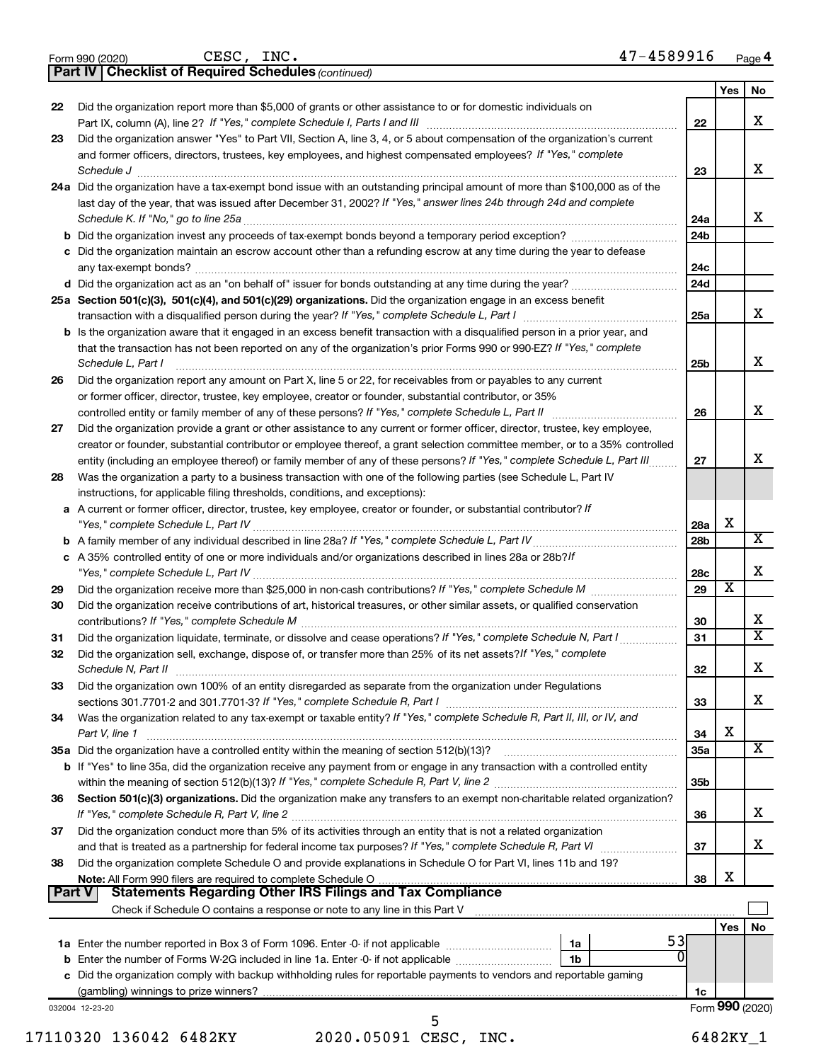|               | <b>Part IV   Checklist of Required Schedules (continued)</b>                                                                                                    |                 |                         |                         |
|---------------|-----------------------------------------------------------------------------------------------------------------------------------------------------------------|-----------------|-------------------------|-------------------------|
|               |                                                                                                                                                                 |                 | Yes                     | No                      |
| 22            | Did the organization report more than \$5,000 of grants or other assistance to or for domestic individuals on                                                   |                 |                         |                         |
|               |                                                                                                                                                                 | 22              |                         | X                       |
| 23            | Did the organization answer "Yes" to Part VII, Section A, line 3, 4, or 5 about compensation of the organization's current                                      |                 |                         |                         |
|               | and former officers, directors, trustees, key employees, and highest compensated employees? If "Yes," complete                                                  |                 |                         |                         |
|               | Schedule J <b>Martin Communication Communication</b> Contract of Technical Communication Communication Communication                                            | 23              |                         | х                       |
|               | 24a Did the organization have a tax-exempt bond issue with an outstanding principal amount of more than \$100,000 as of the                                     |                 |                         |                         |
|               | last day of the year, that was issued after December 31, 2002? If "Yes," answer lines 24b through 24d and complete                                              |                 |                         |                         |
|               |                                                                                                                                                                 | 24a             |                         | х                       |
|               |                                                                                                                                                                 | 24 <sub>b</sub> |                         |                         |
|               | c Did the organization maintain an escrow account other than a refunding escrow at any time during the year to defease                                          |                 |                         |                         |
|               |                                                                                                                                                                 | 24c             |                         |                         |
|               |                                                                                                                                                                 | 24 <sub>d</sub> |                         |                         |
|               | 25a Section 501(c)(3), 501(c)(4), and 501(c)(29) organizations. Did the organization engage in an excess benefit                                                |                 |                         |                         |
|               |                                                                                                                                                                 | 25a             |                         | x                       |
|               | <b>b</b> Is the organization aware that it engaged in an excess benefit transaction with a disqualified person in a prior year, and                             |                 |                         |                         |
|               | that the transaction has not been reported on any of the organization's prior Forms 990 or 990-EZ? If "Yes," complete                                           |                 |                         |                         |
|               | Schedule L, Part I                                                                                                                                              | 25 <sub>b</sub> |                         | х                       |
| 26            | Did the organization report any amount on Part X, line 5 or 22, for receivables from or payables to any current                                                 |                 |                         |                         |
|               | or former officer, director, trustee, key employee, creator or founder, substantial contributor, or 35%                                                         |                 |                         |                         |
|               |                                                                                                                                                                 | 26              |                         | X                       |
|               |                                                                                                                                                                 |                 |                         |                         |
| 27            | Did the organization provide a grant or other assistance to any current or former officer, director, trustee, key employee,                                     |                 |                         |                         |
|               | creator or founder, substantial contributor or employee thereof, a grant selection committee member, or to a 35% controlled                                     |                 |                         | х                       |
|               | entity (including an employee thereof) or family member of any of these persons? If "Yes," complete Schedule L, Part III                                        | 27              |                         |                         |
| 28            | Was the organization a party to a business transaction with one of the following parties (see Schedule L, Part IV                                               |                 |                         |                         |
|               | instructions, for applicable filing thresholds, conditions, and exceptions):                                                                                    |                 |                         |                         |
|               | a A current or former officer, director, trustee, key employee, creator or founder, or substantial contributor? If                                              |                 |                         |                         |
|               |                                                                                                                                                                 | 28a             | х                       |                         |
|               |                                                                                                                                                                 | 28 <sub>b</sub> |                         | X                       |
|               | c A 35% controlled entity of one or more individuals and/or organizations described in lines 28a or 28b?/f                                                      |                 |                         |                         |
|               |                                                                                                                                                                 | 28c             |                         | Χ                       |
| 29            |                                                                                                                                                                 | 29              | $\overline{\texttt{x}}$ |                         |
| 30            | Did the organization receive contributions of art, historical treasures, or other similar assets, or qualified conservation                                     |                 |                         |                         |
|               |                                                                                                                                                                 | 30              |                         | х                       |
| 31            | Did the organization liquidate, terminate, or dissolve and cease operations? If "Yes," complete Schedule N, Part I                                              | 31              |                         | $\overline{\mathbf{X}}$ |
| 32            | Did the organization sell, exchange, dispose of, or transfer more than 25% of its net assets? If "Yes," complete                                                |                 |                         | Χ                       |
|               | Schedule N, Part II                                                                                                                                             | 32              |                         |                         |
| 33            | Did the organization own 100% of an entity disregarded as separate from the organization under Regulations                                                      |                 |                         |                         |
|               |                                                                                                                                                                 | 33              |                         | х                       |
| 34            | Was the organization related to any tax-exempt or taxable entity? If "Yes," complete Schedule R, Part II, III, or IV, and                                       |                 |                         |                         |
|               | Part V, line 1                                                                                                                                                  | 34              | х                       |                         |
|               | 35a Did the organization have a controlled entity within the meaning of section 512(b)(13)?                                                                     | <b>35a</b>      |                         | X                       |
|               | b If "Yes" to line 35a, did the organization receive any payment from or engage in any transaction with a controlled entity                                     |                 |                         |                         |
|               |                                                                                                                                                                 | 35 <sub>b</sub> |                         |                         |
| 36            | Section 501(c)(3) organizations. Did the organization make any transfers to an exempt non-charitable related organization?                                      |                 |                         |                         |
|               |                                                                                                                                                                 | 36              |                         | x                       |
| 37            | Did the organization conduct more than 5% of its activities through an entity that is not a related organization                                                |                 |                         |                         |
|               |                                                                                                                                                                 | 37              |                         | x                       |
| 38            | Did the organization complete Schedule O and provide explanations in Schedule O for Part VI, lines 11b and 19?                                                  |                 |                         |                         |
|               |                                                                                                                                                                 | 38              | х                       |                         |
| <b>Part V</b> | <b>Statements Regarding Other IRS Filings and Tax Compliance</b>                                                                                                |                 |                         |                         |
|               | Check if Schedule O contains a response or note to any line in this Part V [11] [12] Check if Schedule O contains a response or note to any line in this Part V |                 |                         |                         |
|               |                                                                                                                                                                 |                 | Yes                     | No                      |
|               | 53<br>1a                                                                                                                                                        |                 |                         |                         |
|               | 0<br>1 <sub>b</sub>                                                                                                                                             |                 |                         |                         |
|               | c Did the organization comply with backup withholding rules for reportable payments to vendors and reportable gaming                                            |                 |                         |                         |
|               |                                                                                                                                                                 | 1c              |                         |                         |
|               | 032004 12-23-20                                                                                                                                                 |                 | Form 990 (2020)         |                         |
|               |                                                                                                                                                                 |                 |                         |                         |

17110320 136042 6482KY 2020.05091 CESC, INC. 6482KY\_1 ວ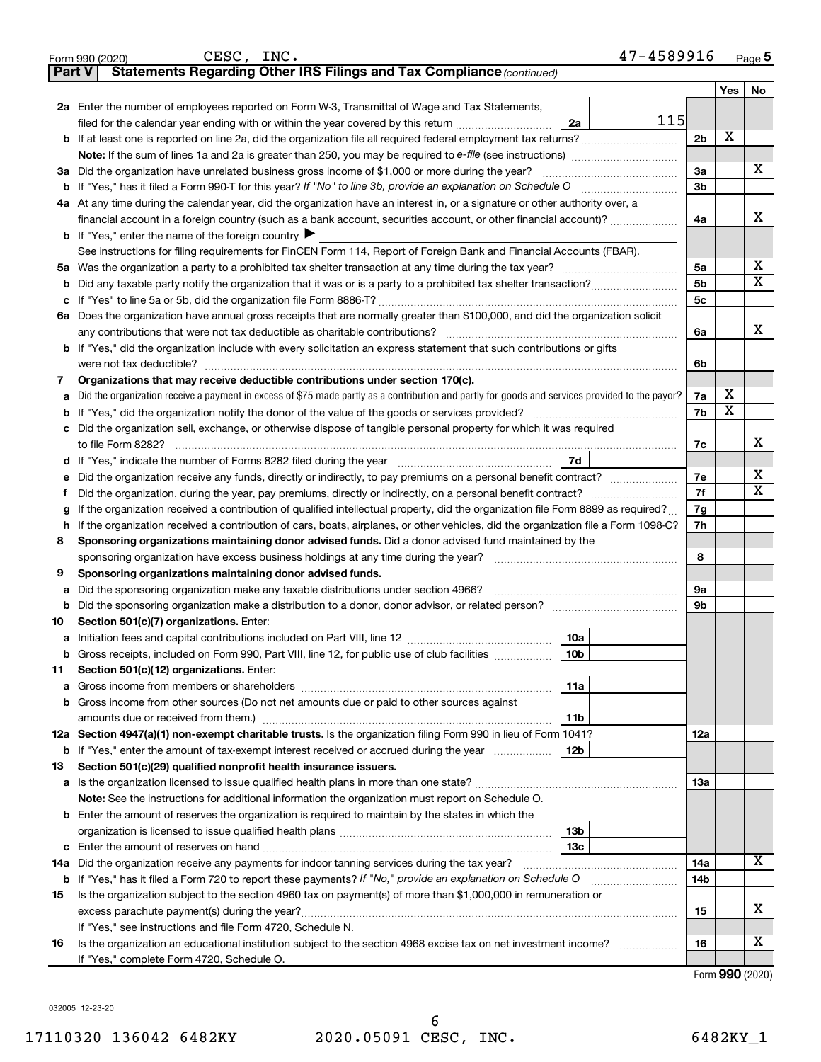|        | 47-4589916<br>CESC, INC.<br>Form 990 (2020)                                                                                                                                                                                      |                |                       | Page 5                       |  |  |  |  |  |  |  |
|--------|----------------------------------------------------------------------------------------------------------------------------------------------------------------------------------------------------------------------------------|----------------|-----------------------|------------------------------|--|--|--|--|--|--|--|
| Part V | Statements Regarding Other IRS Filings and Tax Compliance (continued)                                                                                                                                                            |                |                       |                              |  |  |  |  |  |  |  |
|        |                                                                                                                                                                                                                                  |                | <b>Yes</b>            | No.                          |  |  |  |  |  |  |  |
|        | 2a Enter the number of employees reported on Form W-3, Transmittal of Wage and Tax Statements,                                                                                                                                   |                |                       |                              |  |  |  |  |  |  |  |
|        | 115<br>filed for the calendar year ending with or within the year covered by this return <i>[[[[[[[[[[[[[]]]</i> ]]<br>2a                                                                                                        |                |                       |                              |  |  |  |  |  |  |  |
|        | <b>b</b> If at least one is reported on line 2a, did the organization file all required federal employment tax returns?                                                                                                          |                |                       |                              |  |  |  |  |  |  |  |
|        | Note: If the sum of lines 1a and 2a is greater than 250, you may be required to e-file (see instructions) <i>marroummann</i>                                                                                                     |                |                       |                              |  |  |  |  |  |  |  |
|        | 3a Did the organization have unrelated business gross income of \$1,000 or more during the year?                                                                                                                                 |                |                       |                              |  |  |  |  |  |  |  |
| b      | If "Yes," has it filed a Form 990-T for this year? If "No" to line 3b, provide an explanation on Schedule O                                                                                                                      |                |                       |                              |  |  |  |  |  |  |  |
|        | 4a At any time during the calendar year, did the organization have an interest in, or a signature or other authority over, a                                                                                                     |                |                       |                              |  |  |  |  |  |  |  |
|        | financial account in a foreign country (such as a bank account, securities account, or other financial account)?                                                                                                                 | 4a             |                       | х                            |  |  |  |  |  |  |  |
|        | <b>b</b> If "Yes," enter the name of the foreign country $\blacktriangleright$                                                                                                                                                   |                |                       |                              |  |  |  |  |  |  |  |
|        | See instructions for filing requirements for FinCEN Form 114, Report of Foreign Bank and Financial Accounts (FBAR).                                                                                                              |                |                       |                              |  |  |  |  |  |  |  |
|        |                                                                                                                                                                                                                                  | 5a             |                       | х<br>$\overline{\mathtt{x}}$ |  |  |  |  |  |  |  |
| b      |                                                                                                                                                                                                                                  | 5 <sub>b</sub> |                       |                              |  |  |  |  |  |  |  |
| с      |                                                                                                                                                                                                                                  | 5c             |                       |                              |  |  |  |  |  |  |  |
| 6а     | Does the organization have annual gross receipts that are normally greater than \$100,000, and did the organization solicit                                                                                                      |                |                       | x                            |  |  |  |  |  |  |  |
|        | any contributions that were not tax deductible as charitable contributions?                                                                                                                                                      | 6a             |                       |                              |  |  |  |  |  |  |  |
|        | <b>b</b> If "Yes," did the organization include with every solicitation an express statement that such contributions or gifts                                                                                                    |                |                       |                              |  |  |  |  |  |  |  |
|        | were not tax deductible?                                                                                                                                                                                                         | 6b             |                       |                              |  |  |  |  |  |  |  |
| 7<br>a | Organizations that may receive deductible contributions under section 170(c).<br>Did the organization receive a payment in excess of \$75 made partly as a contribution and partly for goods and services provided to the payor? | 7a             | х                     |                              |  |  |  |  |  |  |  |
| b      | If "Yes," did the organization notify the donor of the value of the goods or services provided?                                                                                                                                  | 7b             | $\overline{\text{x}}$ |                              |  |  |  |  |  |  |  |
| с      | Did the organization sell, exchange, or otherwise dispose of tangible personal property for which it was required                                                                                                                |                |                       |                              |  |  |  |  |  |  |  |
|        | to file Form 8282?                                                                                                                                                                                                               | 7c             |                       | X                            |  |  |  |  |  |  |  |
|        | 7d                                                                                                                                                                                                                               |                |                       |                              |  |  |  |  |  |  |  |
| е      | Did the organization receive any funds, directly or indirectly, to pay premiums on a personal benefit contract?                                                                                                                  |                |                       |                              |  |  |  |  |  |  |  |
| Ť      | Did the organization, during the year, pay premiums, directly or indirectly, on a personal benefit contract?                                                                                                                     | 7e<br>7f       |                       | х<br>$\overline{\mathtt{x}}$ |  |  |  |  |  |  |  |
| g      | If the organization received a contribution of qualified intellectual property, did the organization file Form 8899 as required?                                                                                                 | 7g             |                       |                              |  |  |  |  |  |  |  |
| h      | If the organization received a contribution of cars, boats, airplanes, or other vehicles, did the organization file a Form 1098-C?                                                                                               |                |                       |                              |  |  |  |  |  |  |  |
| 8      | Sponsoring organizations maintaining donor advised funds. Did a donor advised fund maintained by the                                                                                                                             |                |                       |                              |  |  |  |  |  |  |  |
|        | sponsoring organization have excess business holdings at any time during the year?                                                                                                                                               | 8              |                       |                              |  |  |  |  |  |  |  |
| 9      | Sponsoring organizations maintaining donor advised funds.                                                                                                                                                                        |                |                       |                              |  |  |  |  |  |  |  |
| а      | Did the sponsoring organization make any taxable distributions under section 4966?                                                                                                                                               | 9а             |                       |                              |  |  |  |  |  |  |  |
| b      | Did the sponsoring organization make a distribution to a donor, donor advisor, or related person?                                                                                                                                | 9b             |                       |                              |  |  |  |  |  |  |  |
| 10     | Section 501(c)(7) organizations. Enter:                                                                                                                                                                                          |                |                       |                              |  |  |  |  |  |  |  |
| а      | Initiation fees and capital contributions included on Part VIII, line 12 manual controllers and capital contributions included on Part VIII, line 12<br>10a                                                                      |                |                       |                              |  |  |  |  |  |  |  |
| b      | Gross receipts, included on Form 990, Part VIII, line 12, for public use of club facilities<br>10b                                                                                                                               |                |                       |                              |  |  |  |  |  |  |  |
| 11     | Section 501(c)(12) organizations. Enter:                                                                                                                                                                                         |                |                       |                              |  |  |  |  |  |  |  |
| а      | 11a                                                                                                                                                                                                                              |                |                       |                              |  |  |  |  |  |  |  |
| b      | Gross income from other sources (Do not net amounts due or paid to other sources against                                                                                                                                         |                |                       |                              |  |  |  |  |  |  |  |
|        | 11b                                                                                                                                                                                                                              |                |                       |                              |  |  |  |  |  |  |  |
|        | 12a Section 4947(a)(1) non-exempt charitable trusts. Is the organization filing Form 990 in lieu of Form 1041?                                                                                                                   | 12a            |                       |                              |  |  |  |  |  |  |  |
| b      | If "Yes," enter the amount of tax-exempt interest received or accrued during the year<br>12b                                                                                                                                     |                |                       |                              |  |  |  |  |  |  |  |
| 13     | Section 501(c)(29) qualified nonprofit health insurance issuers.                                                                                                                                                                 |                |                       |                              |  |  |  |  |  |  |  |
| а      |                                                                                                                                                                                                                                  | 13a            |                       |                              |  |  |  |  |  |  |  |
|        | Note: See the instructions for additional information the organization must report on Schedule O.                                                                                                                                |                |                       |                              |  |  |  |  |  |  |  |
|        | <b>b</b> Enter the amount of reserves the organization is required to maintain by the states in which the                                                                                                                        |                |                       |                              |  |  |  |  |  |  |  |
|        | 13 <sub>b</sub>                                                                                                                                                                                                                  |                |                       |                              |  |  |  |  |  |  |  |
| с      | 13с                                                                                                                                                                                                                              |                |                       | X                            |  |  |  |  |  |  |  |
| 14a    | Did the organization receive any payments for indoor tanning services during the tax year?                                                                                                                                       | 14a<br>14b     |                       |                              |  |  |  |  |  |  |  |
| b      | If "Yes," has it filed a Form 720 to report these payments? If "No," provide an explanation on Schedule O<br>Is the organization subject to the section 4960 tax on payment(s) of more than \$1,000,000 in remuneration or       |                |                       |                              |  |  |  |  |  |  |  |
| 15     |                                                                                                                                                                                                                                  | 15             |                       | х                            |  |  |  |  |  |  |  |
|        | If "Yes," see instructions and file Form 4720, Schedule N.                                                                                                                                                                       |                |                       |                              |  |  |  |  |  |  |  |
| 16     | Is the organization an educational institution subject to the section 4968 excise tax on net investment income?                                                                                                                  | 16             |                       | х                            |  |  |  |  |  |  |  |
|        | If "Yes," complete Form 4720, Schedule O.                                                                                                                                                                                        |                |                       |                              |  |  |  |  |  |  |  |

Form (2020) **990**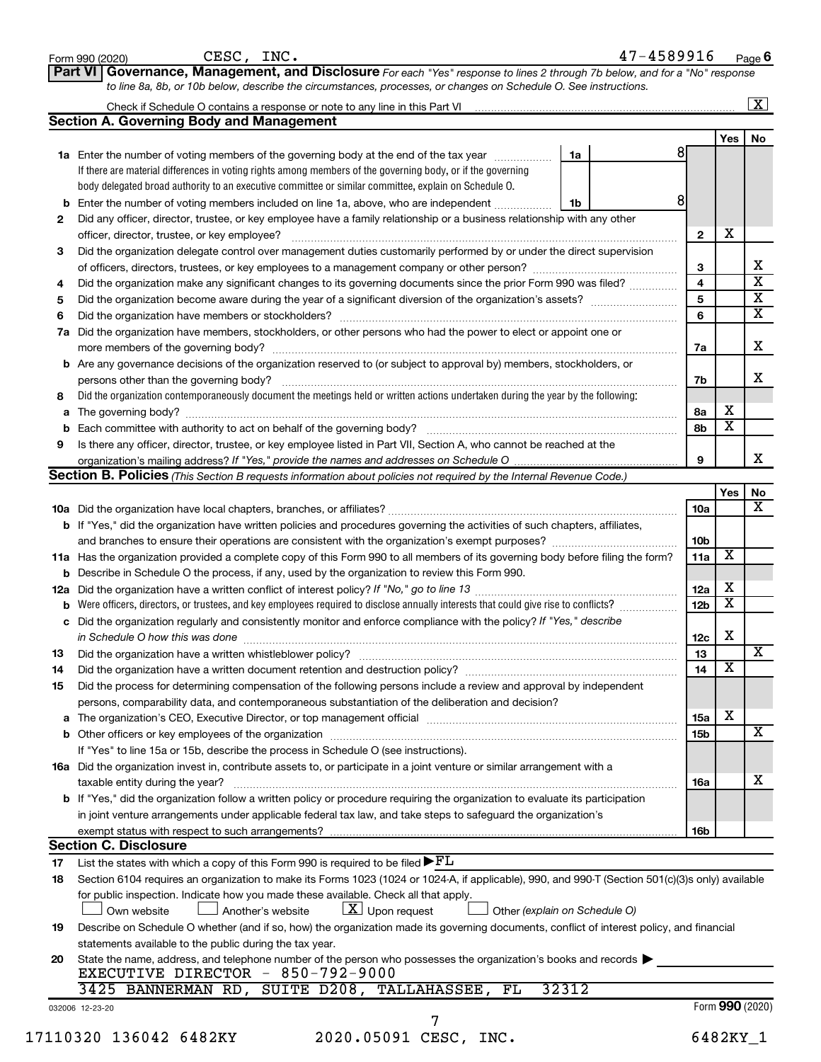|    | CESC, INC.<br>Form 990 (2020)                                                                                                                                                                               |       | 47-4589916 |                        |                         | Page 6                  |
|----|-------------------------------------------------------------------------------------------------------------------------------------------------------------------------------------------------------------|-------|------------|------------------------|-------------------------|-------------------------|
|    | Governance, Management, and Disclosure For each "Yes" response to lines 2 through 7b below, and for a "No" response<br>Part VI                                                                              |       |            |                        |                         |                         |
|    | to line 8a, 8b, or 10b below, describe the circumstances, processes, or changes on Schedule O. See instructions.                                                                                            |       |            |                        |                         | $\overline{\mathbf{x}}$ |
|    | <b>Section A. Governing Body and Management</b>                                                                                                                                                             |       |            |                        |                         |                         |
|    |                                                                                                                                                                                                             |       |            |                        | Yes                     | No                      |
|    | 1a Enter the number of voting members of the governing body at the end of the tax year                                                                                                                      | 1a    |            | 8                      |                         |                         |
|    | If there are material differences in voting rights among members of the governing body, or if the governing                                                                                                 |       |            |                        |                         |                         |
|    | body delegated broad authority to an executive committee or similar committee, explain on Schedule O.                                                                                                       |       |            |                        |                         |                         |
| b  | Enter the number of voting members included on line 1a, above, who are independent                                                                                                                          | 1b    | 8          |                        |                         |                         |
| 2  | Did any officer, director, trustee, or key employee have a family relationship or a business relationship with any other                                                                                    |       |            |                        |                         |                         |
|    | officer, director, trustee, or key employee?                                                                                                                                                                |       |            | $\mathbf{2}$           | х                       |                         |
| З  | Did the organization delegate control over management duties customarily performed by or under the direct supervision                                                                                       |       |            |                        |                         |                         |
|    |                                                                                                                                                                                                             |       |            | 3                      |                         | х                       |
| 4  | Did the organization make any significant changes to its governing documents since the prior Form 990 was filed?                                                                                            |       |            | 4                      |                         | $\overline{\mathbf{x}}$ |
| 5  |                                                                                                                                                                                                             |       |            | 5                      |                         | $\overline{\mathbf{X}}$ |
| 6  |                                                                                                                                                                                                             |       |            | 6                      |                         | $\overline{\mathbf{X}}$ |
| 7a | Did the organization have members, stockholders, or other persons who had the power to elect or appoint one or                                                                                              |       |            |                        |                         |                         |
|    |                                                                                                                                                                                                             |       |            | 7a                     |                         | х                       |
|    | <b>b</b> Are any governance decisions of the organization reserved to (or subject to approval by) members, stockholders, or                                                                                 |       |            |                        |                         |                         |
|    | persons other than the governing body?                                                                                                                                                                      |       |            | 7b                     |                         | x                       |
| 8  | Did the organization contemporaneously document the meetings held or written actions undertaken during the year by the following:                                                                           |       |            |                        | х                       |                         |
| a  |                                                                                                                                                                                                             |       |            | 8а                     | $\overline{\textbf{x}}$ |                         |
| b  | Is there any officer, director, trustee, or key employee listed in Part VII, Section A, who cannot be reached at the                                                                                        |       |            | 8b                     |                         |                         |
| 9  |                                                                                                                                                                                                             |       |            | 9                      |                         | x                       |
|    | <b>Section B. Policies</b> (This Section B requests information about policies not required by the Internal Revenue Code.)                                                                                  |       |            |                        |                         |                         |
|    |                                                                                                                                                                                                             |       |            |                        | Yes                     | No                      |
|    |                                                                                                                                                                                                             |       |            | 10a                    |                         | x                       |
|    | b If "Yes," did the organization have written policies and procedures governing the activities of such chapters, affiliates,                                                                                |       |            |                        |                         |                         |
|    |                                                                                                                                                                                                             |       |            | 10 <sub>b</sub>        |                         |                         |
|    | 11a Has the organization provided a complete copy of this Form 990 to all members of its governing body before filing the form?                                                                             |       |            | 11a                    | X                       |                         |
|    | <b>b</b> Describe in Schedule O the process, if any, used by the organization to review this Form 990.                                                                                                      |       |            |                        |                         |                         |
|    |                                                                                                                                                                                                             |       |            | 12a                    | х                       |                         |
|    | <b>b</b> Were officers, directors, or trustees, and key employees required to disclose annually interests that could give rise to conflicts?                                                                |       |            | 12 <sub>b</sub>        | X                       |                         |
|    | c Did the organization regularly and consistently monitor and enforce compliance with the policy? If "Yes," describe                                                                                        |       |            |                        |                         |                         |
|    | in Schedule O how this was done manufactured and continuum control of the state of the state of the state of t                                                                                              |       |            | 12c                    | х                       |                         |
| 13 | Did the organization have a written whistleblower policy?                                                                                                                                                   |       |            | 13                     |                         | $\overline{\mathbf{x}}$ |
| 14 | Did the organization have a written document retention and destruction policy? [11] manuscription manuscription manuscription of the organization have a written document retention and destruction policy? |       |            | 14                     | х                       |                         |
| 15 | Did the process for determining compensation of the following persons include a review and approval by independent                                                                                          |       |            |                        |                         |                         |
|    | persons, comparability data, and contemporaneous substantiation of the deliberation and decision?                                                                                                           |       |            |                        | х                       |                         |
|    |                                                                                                                                                                                                             |       |            | 15a<br>15 <sub>b</sub> |                         | X                       |
|    | If "Yes" to line 15a or 15b, describe the process in Schedule O (see instructions).                                                                                                                         |       |            |                        |                         |                         |
|    | 16a Did the organization invest in, contribute assets to, or participate in a joint venture or similar arrangement with a                                                                                   |       |            |                        |                         |                         |
|    | taxable entity during the year?                                                                                                                                                                             |       |            | 16a                    |                         | x                       |
|    | b If "Yes," did the organization follow a written policy or procedure requiring the organization to evaluate its participation                                                                              |       |            |                        |                         |                         |
|    | in joint venture arrangements under applicable federal tax law, and take steps to safeguard the organization's                                                                                              |       |            |                        |                         |                         |
|    | exempt status with respect to such arrangements?                                                                                                                                                            |       |            | 16b                    |                         |                         |
|    | <b>Section C. Disclosure</b>                                                                                                                                                                                |       |            |                        |                         |                         |
| 17 | List the states with which a copy of this Form 990 is required to be filed $\blacktriangleright$ $FL$                                                                                                       |       |            |                        |                         |                         |
| 18 | Section 6104 requires an organization to make its Forms 1023 (1024 or 1024-A, if applicable), 990, and 990-T (Section 501(c)(3)s only) available                                                            |       |            |                        |                         |                         |
|    | for public inspection. Indicate how you made these available. Check all that apply.                                                                                                                         |       |            |                        |                         |                         |
|    | $\lfloor x \rfloor$ Upon request<br>Another's website<br>Own website<br>Other (explain on Schedule O)                                                                                                       |       |            |                        |                         |                         |
| 19 | Describe on Schedule O whether (and if so, how) the organization made its governing documents, conflict of interest policy, and financial                                                                   |       |            |                        |                         |                         |
|    | statements available to the public during the tax year.                                                                                                                                                     |       |            |                        |                         |                         |
| 20 | State the name, address, and telephone number of the person who possesses the organization's books and records $\blacktriangleright$                                                                        |       |            |                        |                         |                         |
|    | EXECUTIVE DIRECTOR - 850-792-9000                                                                                                                                                                           |       |            |                        |                         |                         |
|    | 3425 BANNERMAN RD, SUITE D208, TALLAHASSEE,<br>FL                                                                                                                                                           | 32312 |            |                        |                         |                         |
|    | 032006 12-23-20                                                                                                                                                                                             |       |            |                        | Form 990 (2020)         |                         |
|    |                                                                                                                                                                                                             |       |            |                        |                         |                         |
|    | 17110320 136042 6482KY<br>2020.05091 CESC, INC.                                                                                                                                                             |       |            |                        | 6482KY_1                |                         |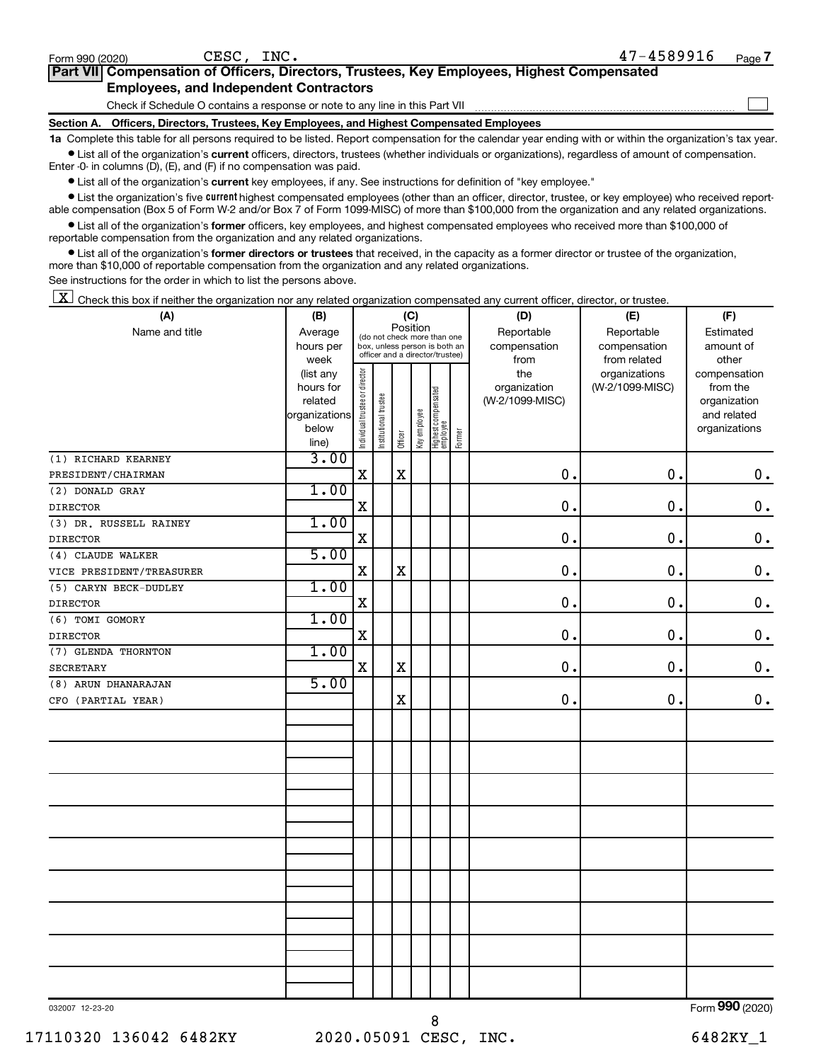$\Box$ 

|                                               | Part VII Compensation of Officers, Directors, Trustees, Key Employees, Highest Compensated |  |  |  |  |  |  |
|-----------------------------------------------|--------------------------------------------------------------------------------------------|--|--|--|--|--|--|
| <b>Employees, and Independent Contractors</b> |                                                                                            |  |  |  |  |  |  |
|                                               | Check if Schedule O contains a response or note to any line in this Part VII               |  |  |  |  |  |  |

**Section A. Officers, Directors, Trustees, Key Employees, and Highest Compensated Employees**

**1a**  Complete this table for all persons required to be listed. Report compensation for the calendar year ending with or within the organization's tax year.  $\bullet$  List all of the organization's current officers, directors, trustees (whether individuals or organizations), regardless of amount of compensation.

Enter -0- in columns (D), (E), and (F) if no compensation was paid.

**•** List all of the organization's current key employees, if any. See instructions for definition of "key employee."

• List the organization's five *current* highest compensated employees (other than an officer, director, trustee, or key employee) who received reportable compensation (Box 5 of Form W-2 and/or Box 7 of Form 1099-MISC) of more than \$100,000 from the organization and any related organizations.

 $\bullet$  List all of the organization's former officers, key employees, and highest compensated employees who received more than \$100,000 of reportable compensation from the organization and any related organizations.

**•** List all of the organization's former directors or trustees that received, in the capacity as a former director or trustee of the organization, more than \$10,000 of reportable compensation from the organization and any related organizations.

See instructions for the order in which to list the persons above.

 $\boxed{\textbf{X}}$  Check this box if neither the organization nor any related organization compensated any current officer, director, or trustee.

| (A)                      | (B)                    | (C)                                     |                                                                  |             |              |                                 |        | (D)             | (E)                              | (F)                      |  |  |
|--------------------------|------------------------|-----------------------------------------|------------------------------------------------------------------|-------------|--------------|---------------------------------|--------|-----------------|----------------------------------|--------------------------|--|--|
| Name and title           | Average                | Position<br>(do not check more than one |                                                                  |             |              |                                 |        | Reportable      | Reportable                       | Estimated                |  |  |
|                          | hours per              |                                         | box, unless person is both an<br>officer and a director/trustee) |             |              |                                 |        | compensation    | compensation                     | amount of                |  |  |
|                          | week                   |                                         |                                                                  |             |              |                                 |        | from<br>the     | from related                     | other                    |  |  |
|                          | (list any<br>hours for |                                         |                                                                  |             |              |                                 |        | organization    | organizations<br>(W-2/1099-MISC) | compensation<br>from the |  |  |
|                          | related                |                                         |                                                                  |             |              |                                 |        | (W-2/1099-MISC) |                                  | organization             |  |  |
|                          | organizations          |                                         |                                                                  |             |              |                                 |        |                 |                                  | and related              |  |  |
|                          | below                  | Individual trustee or director          | Institutional trustee                                            |             | Key employee | Highest compensated<br>employee |        |                 |                                  | organizations            |  |  |
|                          | line)                  |                                         |                                                                  | Officer     |              |                                 | Former |                 |                                  |                          |  |  |
| (1) RICHARD KEARNEY      | 3.00                   |                                         |                                                                  |             |              |                                 |        |                 |                                  |                          |  |  |
| PRESIDENT/CHAIRMAN       |                        | $\mathbf X$                             |                                                                  | $\mathbf X$ |              |                                 |        | $\mathbf 0$ .   | 0.                               | $\mathbf 0$ .            |  |  |
| (2) DONALD GRAY          | 1.00                   |                                         |                                                                  |             |              |                                 |        |                 |                                  |                          |  |  |
| <b>DIRECTOR</b>          |                        | $\mathbf X$                             |                                                                  |             |              |                                 |        | 0               | 0.                               | $\mathbf 0$ .            |  |  |
| (3) DR. RUSSELL RAINEY   | 1.00                   |                                         |                                                                  |             |              |                                 |        |                 |                                  |                          |  |  |
| <b>DIRECTOR</b>          |                        | $\mathbf X$                             |                                                                  |             |              |                                 |        | $\mathbf 0$     | $\mathbf 0$ .                    | $\mathbf 0$ .            |  |  |
| (4) CLAUDE WALKER        | 5.00                   |                                         |                                                                  |             |              |                                 |        |                 |                                  |                          |  |  |
| VICE PRESIDENT/TREASURER |                        | $\mathbf X$                             |                                                                  | $\mathbf X$ |              |                                 |        | 0.              | 0.                               | $\mathbf 0$ .            |  |  |
| (5) CARYN BECK-DUDLEY    | 1.00                   |                                         |                                                                  |             |              |                                 |        |                 |                                  |                          |  |  |
| <b>DIRECTOR</b>          |                        | $\mathbf X$                             |                                                                  |             |              |                                 |        | 0.              | 0.                               | $\mathbf 0$ .            |  |  |
| (6) TOMI GOMORY          | 1.00                   |                                         |                                                                  |             |              |                                 |        |                 |                                  |                          |  |  |
| <b>DIRECTOR</b>          |                        | $\mathbf X$                             |                                                                  |             |              |                                 |        | $\mathbf 0$     | $\mathbf 0$ .                    | 0.                       |  |  |
| (7) GLENDA THORNTON      | 1.00                   |                                         |                                                                  |             |              |                                 |        |                 |                                  |                          |  |  |
| <b>SECRETARY</b>         |                        | $\mathbf X$                             |                                                                  | $\mathbf X$ |              |                                 |        | $\mathbf 0$     | 0.                               | $0$ .                    |  |  |
| (8) ARUN DHANARAJAN      | 5.00                   |                                         |                                                                  |             |              |                                 |        |                 |                                  |                          |  |  |
| CFO (PARTIAL YEAR)       |                        |                                         |                                                                  | $\mathbf X$ |              |                                 |        | 0.              | 0.                               | 0.                       |  |  |
|                          |                        |                                         |                                                                  |             |              |                                 |        |                 |                                  |                          |  |  |
|                          |                        |                                         |                                                                  |             |              |                                 |        |                 |                                  |                          |  |  |
|                          |                        |                                         |                                                                  |             |              |                                 |        |                 |                                  |                          |  |  |
|                          |                        |                                         |                                                                  |             |              |                                 |        |                 |                                  |                          |  |  |
|                          |                        |                                         |                                                                  |             |              |                                 |        |                 |                                  |                          |  |  |
|                          |                        |                                         |                                                                  |             |              |                                 |        |                 |                                  |                          |  |  |
|                          |                        |                                         |                                                                  |             |              |                                 |        |                 |                                  |                          |  |  |
|                          |                        |                                         |                                                                  |             |              |                                 |        |                 |                                  |                          |  |  |
|                          |                        |                                         |                                                                  |             |              |                                 |        |                 |                                  |                          |  |  |
|                          |                        |                                         |                                                                  |             |              |                                 |        |                 |                                  |                          |  |  |
|                          |                        |                                         |                                                                  |             |              |                                 |        |                 |                                  |                          |  |  |
|                          |                        |                                         |                                                                  |             |              |                                 |        |                 |                                  |                          |  |  |
|                          |                        |                                         |                                                                  |             |              |                                 |        |                 |                                  |                          |  |  |
|                          |                        |                                         |                                                                  |             |              |                                 |        |                 |                                  |                          |  |  |
|                          |                        |                                         |                                                                  |             |              |                                 |        |                 |                                  |                          |  |  |
|                          |                        |                                         |                                                                  |             |              |                                 |        |                 |                                  |                          |  |  |
|                          |                        |                                         |                                                                  |             |              |                                 |        |                 |                                  |                          |  |  |
|                          |                        |                                         |                                                                  |             |              |                                 |        |                 |                                  |                          |  |  |
|                          |                        |                                         |                                                                  |             |              |                                 |        |                 |                                  | $\overline{\phantom{a}}$ |  |  |

032007 12-23-20

17110320 136042 6482KY 2020.05091 CESC, INC. 6482KY\_1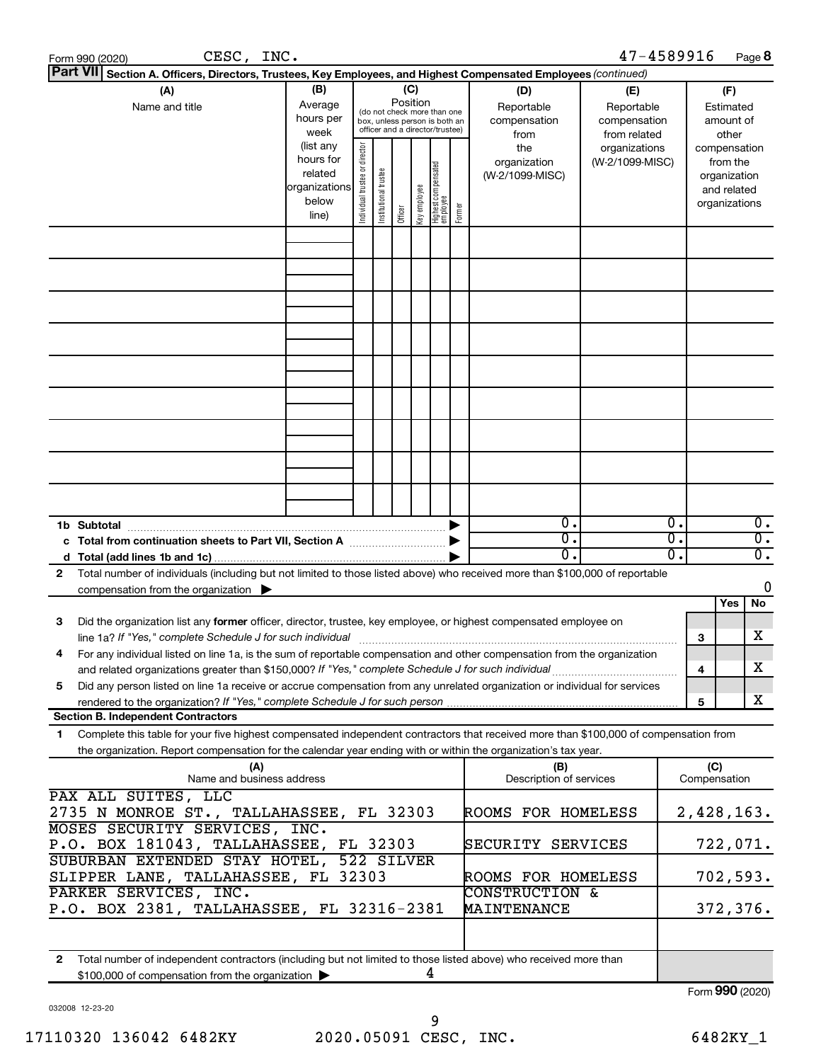|    | CESC, INC.<br>Form 990 (2020)                                                                                                        |               |                                |                       |          |              |                                                              |        |                           | 47-4589916      |                |                 |              | Page 8           |
|----|--------------------------------------------------------------------------------------------------------------------------------------|---------------|--------------------------------|-----------------------|----------|--------------|--------------------------------------------------------------|--------|---------------------------|-----------------|----------------|-----------------|--------------|------------------|
|    | <b>Part VII</b><br>Section A. Officers, Directors, Trustees, Key Employees, and Highest Compensated Employees (continued)            |               |                                |                       |          |              |                                                              |        |                           |                 |                |                 |              |                  |
|    | (A)                                                                                                                                  | (B)           |                                |                       | (C)      |              |                                                              |        | (D)                       | (E)             |                |                 | (F)          |                  |
|    | Name and title                                                                                                                       | Average       |                                |                       | Position |              |                                                              |        | Reportable                | Reportable      |                |                 | Estimated    |                  |
|    |                                                                                                                                      | hours per     |                                |                       |          |              | (do not check more than one<br>box, unless person is both an |        | compensation              | compensation    |                |                 | amount of    |                  |
|    |                                                                                                                                      | week          |                                |                       |          |              | officer and a director/trustee)                              |        | from                      | from related    |                |                 | other        |                  |
|    |                                                                                                                                      | (list any     |                                |                       |          |              |                                                              |        | the                       | organizations   |                | compensation    |              |                  |
|    |                                                                                                                                      | hours for     |                                |                       |          |              |                                                              |        | organization              | (W-2/1099-MISC) |                |                 | from the     |                  |
|    |                                                                                                                                      | related       |                                |                       |          |              |                                                              |        | (W-2/1099-MISC)           |                 |                |                 | organization |                  |
|    |                                                                                                                                      | organizations |                                |                       |          |              |                                                              |        |                           |                 |                |                 | and related  |                  |
|    |                                                                                                                                      | below         |                                |                       |          |              |                                                              |        |                           |                 |                |                 |              |                  |
|    |                                                                                                                                      | line)         | Individual trustee or director | Institutional trustee | Officer  | Key employee | Highest compensated<br>  employee                            | Former |                           |                 |                | organizations   |              |                  |
|    |                                                                                                                                      |               |                                |                       |          |              |                                                              |        |                           |                 |                |                 |              |                  |
|    |                                                                                                                                      |               |                                |                       |          |              |                                                              |        |                           |                 |                |                 |              |                  |
|    |                                                                                                                                      |               |                                |                       |          |              |                                                              |        |                           |                 |                |                 |              |                  |
|    |                                                                                                                                      |               |                                |                       |          |              |                                                              |        |                           |                 |                |                 |              |                  |
|    |                                                                                                                                      |               |                                |                       |          |              |                                                              |        |                           |                 |                |                 |              |                  |
|    |                                                                                                                                      |               |                                |                       |          |              |                                                              |        |                           |                 |                |                 |              |                  |
|    |                                                                                                                                      |               |                                |                       |          |              |                                                              |        |                           |                 |                |                 |              |                  |
|    |                                                                                                                                      |               |                                |                       |          |              |                                                              |        |                           |                 |                |                 |              |                  |
|    |                                                                                                                                      |               |                                |                       |          |              |                                                              |        |                           |                 |                |                 |              |                  |
|    |                                                                                                                                      |               |                                |                       |          |              |                                                              |        |                           |                 |                |                 |              |                  |
|    |                                                                                                                                      |               |                                |                       |          |              |                                                              |        |                           |                 |                |                 |              |                  |
|    |                                                                                                                                      |               |                                |                       |          |              |                                                              |        |                           |                 |                |                 |              |                  |
|    |                                                                                                                                      |               |                                |                       |          |              |                                                              |        |                           |                 |                |                 |              |                  |
|    |                                                                                                                                      |               |                                |                       |          |              |                                                              |        |                           |                 |                |                 |              |                  |
|    |                                                                                                                                      |               |                                |                       |          |              |                                                              |        |                           |                 |                |                 |              |                  |
|    |                                                                                                                                      |               |                                |                       |          |              |                                                              |        |                           |                 |                |                 |              |                  |
|    |                                                                                                                                      |               |                                |                       |          |              |                                                              |        |                           |                 |                |                 |              |                  |
|    |                                                                                                                                      |               |                                |                       |          |              |                                                              |        |                           |                 |                |                 |              |                  |
|    |                                                                                                                                      |               |                                |                       |          |              |                                                              |        |                           |                 |                |                 |              |                  |
|    |                                                                                                                                      |               |                                |                       |          |              |                                                              |        |                           |                 |                |                 |              |                  |
|    | 1b Subtotal                                                                                                                          |               |                                |                       |          |              |                                                              |        | 0.                        |                 | $\mathbf{0}$ . |                 |              | $\overline{0}$ . |
|    | c Total from continuation sheets to Part VII, Section A manufactured by                                                              |               |                                |                       |          |              |                                                              |        | σ.                        |                 | 0.             |                 |              | $\overline{0}$ . |
|    |                                                                                                                                      |               |                                |                       |          |              |                                                              |        | 0.                        |                 | $\mathbf{0}$ . |                 |              | $\overline{0}$ . |
| 2  | Total number of individuals (including but not limited to those listed above) who received more than \$100,000 of reportable         |               |                                |                       |          |              |                                                              |        |                           |                 |                |                 |              |                  |
|    | compensation from the organization $\triangleright$                                                                                  |               |                                |                       |          |              |                                                              |        |                           |                 |                |                 |              | 0                |
|    |                                                                                                                                      |               |                                |                       |          |              |                                                              |        |                           |                 |                |                 | Yes          | No               |
| 3  | Did the organization list any former officer, director, trustee, key employee, or highest compensated employee on                    |               |                                |                       |          |              |                                                              |        |                           |                 |                |                 |              |                  |
|    |                                                                                                                                      |               |                                |                       |          |              |                                                              |        |                           |                 |                | З               |              | х                |
|    |                                                                                                                                      |               |                                |                       |          |              |                                                              |        |                           |                 |                |                 |              |                  |
|    | For any individual listed on line 1a, is the sum of reportable compensation and other compensation from the organization             |               |                                |                       |          |              |                                                              |        |                           |                 |                |                 |              | х                |
|    | and related organizations greater than \$150,000? If "Yes," complete Schedule J for such individual                                  |               |                                |                       |          |              |                                                              |        |                           |                 |                | 4               |              |                  |
| 5  | Did any person listed on line 1a receive or accrue compensation from any unrelated organization or individual for services           |               |                                |                       |          |              |                                                              |        |                           |                 |                |                 |              |                  |
|    |                                                                                                                                      |               |                                |                       |          |              |                                                              |        |                           |                 |                | 5               |              | х                |
|    | <b>Section B. Independent Contractors</b>                                                                                            |               |                                |                       |          |              |                                                              |        |                           |                 |                |                 |              |                  |
| 1. | Complete this table for your five highest compensated independent contractors that received more than \$100,000 of compensation from |               |                                |                       |          |              |                                                              |        |                           |                 |                |                 |              |                  |
|    | the organization. Report compensation for the calendar year ending with or within the organization's tax year.                       |               |                                |                       |          |              |                                                              |        |                           |                 |                |                 |              |                  |
|    | (A)                                                                                                                                  |               |                                |                       |          |              |                                                              |        | (B)                       |                 |                | (C)             |              |                  |
|    | Name and business address                                                                                                            |               |                                |                       |          |              |                                                              |        | Description of services   |                 |                | Compensation    |              |                  |
|    | PAX ALL SUITES, LLC                                                                                                                  |               |                                |                       |          |              |                                                              |        |                           |                 |                |                 |              |                  |
|    | 2735 N MONROE ST., TALLAHASSEE, FL 32303                                                                                             |               |                                |                       |          |              |                                                              |        | ROOMS FOR HOMELESS        |                 |                | 2,428,163.      |              |                  |
|    | MOSES SECURITY SERVICES, INC.                                                                                                        |               |                                |                       |          |              |                                                              |        |                           |                 |                |                 |              |                  |
|    | P.O. BOX 181043, TALLAHASSEE, FL 32303                                                                                               |               |                                |                       |          |              |                                                              |        | SECURITY SERVICES         |                 |                | 722,071.        |              |                  |
|    | SUBURBAN EXTENDED STAY HOTEL,                                                                                                        |               |                                | 522 SILVER            |          |              |                                                              |        |                           |                 |                |                 |              |                  |
|    | SLIPPER LANE, TALLAHASSEE, FL 32303                                                                                                  |               |                                |                       |          |              |                                                              |        | ROOMS FOR HOMELESS        |                 |                | 702,593.        |              |                  |
|    | PARKER SERVICES, INC.                                                                                                                |               |                                |                       |          |              |                                                              |        | <b>CONSTRUCTION &amp;</b> |                 |                |                 |              |                  |
|    |                                                                                                                                      |               |                                |                       |          |              |                                                              |        |                           |                 |                |                 |              |                  |
|    | P.O. BOX 2381, TALLAHASSEE, FL 32316-2381                                                                                            |               |                                |                       |          |              |                                                              |        | MAINTENANCE               |                 |                | 372,376.        |              |                  |
|    |                                                                                                                                      |               |                                |                       |          |              |                                                              |        |                           |                 |                |                 |              |                  |
|    |                                                                                                                                      |               |                                |                       |          |              |                                                              |        |                           |                 |                |                 |              |                  |
| 2  | Total number of independent contractors (including but not limited to those listed above) who received more than                     |               |                                |                       |          |              |                                                              |        |                           |                 |                |                 |              |                  |
|    | \$100,000 of compensation from the organization                                                                                      |               |                                |                       |          |              | 4                                                            |        |                           |                 |                |                 |              |                  |
|    |                                                                                                                                      |               |                                |                       |          |              |                                                              |        |                           |                 |                | Form 990 (2020) |              |                  |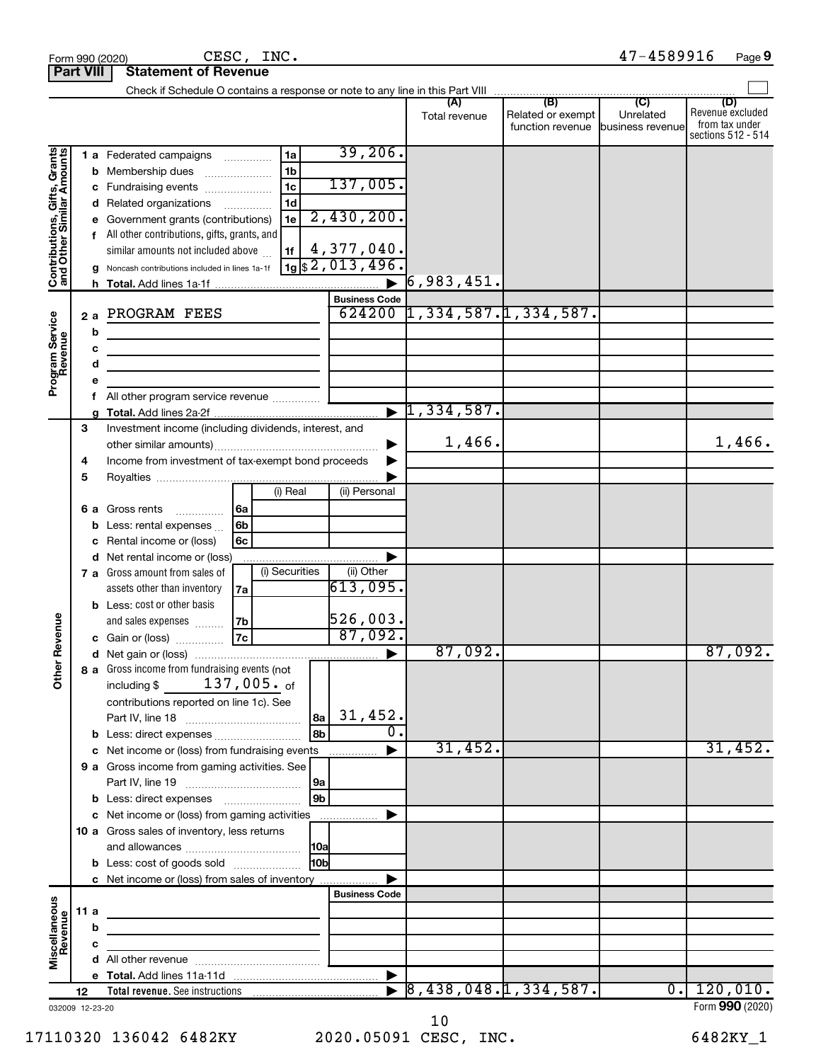|                                                           |                  | CESC, INC.<br>Form 990 (2020)                                                                                                                                           |                          |                                     |                                                               | 47-4589916       | Page 9                                                          |
|-----------------------------------------------------------|------------------|-------------------------------------------------------------------------------------------------------------------------------------------------------------------------|--------------------------|-------------------------------------|---------------------------------------------------------------|------------------|-----------------------------------------------------------------|
|                                                           | <b>Part VIII</b> | <b>Statement of Revenue</b>                                                                                                                                             |                          |                                     |                                                               |                  |                                                                 |
|                                                           |                  |                                                                                                                                                                         |                          | (A)<br>Total revenue                | (B)<br>Related or exempt<br>function revenue business revenue | (C)<br>Unrelated | (D)<br>Revenue excluded<br>from tax under<br>sections 512 - 514 |
|                                                           |                  | 1 a Federated campaigns<br>1a<br><b>b</b> Membership dues<br>1b<br>1 <sub>c</sub><br>c Fundraising events                                                               | 39,206.<br>137,005.      |                                     |                                                               |                  |                                                                 |
| Contributions, Gifts, Grants<br>and Other Similar Amounts |                  | 1d<br>d Related organizations<br>1e<br>e Government grants (contributions)<br>f All other contributions, gifts, grants, and<br>similar amounts not included above<br>1f | 2,430,200.<br>4,377,040. |                                     |                                                               |                  |                                                                 |
|                                                           |                  | g Noncash contributions included in lines 1a-1f                                                                                                                         | $1g$ \$2,013,496.        | $\overline{\phantom{1}}$ 6,983,451. |                                                               |                  |                                                                 |
|                                                           | 2а               | PROGRAM FEES<br>b                                                                                                                                                       | <b>Business Code</b>     | $624200$ $1,334,587.1,334,587.$     |                                                               |                  |                                                                 |
| Program Service<br>Revenue                                |                  | c<br>d<br>the control of the control of the control of the control of the control of                                                                                    |                          |                                     |                                                               |                  |                                                                 |
|                                                           |                  | е<br>All other program service revenue<br>f.                                                                                                                            |                          | $\blacktriangleright$ 1,334,587.    |                                                               |                  |                                                                 |
|                                                           | 3<br>4           | Investment income (including dividends, interest, and<br>Income from investment of tax-exempt bond proceeds                                                             |                          | 1,466.                              |                                                               |                  | 1,466.                                                          |
|                                                           | 5                | (i) Real<br>6 a Gross rents<br>l 6a<br>.                                                                                                                                | (ii) Personal            |                                     |                                                               |                  |                                                                 |
|                                                           |                  | <b>b</b> Less: rental expenses $\ldots$<br>6b<br>c Rental income or (loss)<br>6c<br>d Net rental income or (loss)                                                       |                          |                                     |                                                               |                  |                                                                 |
|                                                           |                  | (i) Securities<br>7 a Gross amount from sales of<br>assets other than inventory<br>7a<br><b>b</b> Less: cost or other basis                                             | (ii) Other<br>613,095.   |                                     |                                                               |                  |                                                                 |
| venue<br>č                                                |                  | and sales expenses<br>7b<br>7c<br>c Gain or (loss)                                                                                                                      | 526,003.<br>87,092.      | 87,092.                             |                                                               |                  | $87,092$ .                                                      |
| Other                                                     |                  | 8 a Gross income from fundraising events (not<br>$137$ ,005. $_{\rm of}$<br>including \$<br>contributions reported on line 1c). See<br>l 8a                             | 31,452.                  |                                     |                                                               |                  |                                                                 |
|                                                           |                  | l 8b<br><b>b</b> Less: direct expenses                                                                                                                                  | 0.                       |                                     |                                                               |                  |                                                                 |
|                                                           |                  | c Net income or (loss) from fundraising events<br>9 a Gross income from gaming activities. See                                                                          |                          | 31,452.                             |                                                               |                  | 31,452.                                                         |
|                                                           |                  | 9a<br>9 <sub>b</sub><br>c Net income or (loss) from gaming activities                                                                                                   |                          |                                     |                                                               |                  |                                                                 |
|                                                           |                  | 10 a Gross sales of inventory, less returns<br><b>10a</b>                                                                                                               |                          |                                     |                                                               |                  |                                                                 |
|                                                           |                  | l10bl<br><b>b</b> Less: cost of goods sold<br>c Net income or (loss) from sales of inventory                                                                            |                          |                                     |                                                               |                  |                                                                 |
|                                                           | 11 a             |                                                                                                                                                                         | <b>Business Code</b>     |                                     |                                                               |                  |                                                                 |
| Miscellaneous<br>Revenue                                  |                  | b                                                                                                                                                                       |                          |                                     |                                                               |                  |                                                                 |
|                                                           |                  | c                                                                                                                                                                       |                          |                                     |                                                               |                  |                                                                 |
|                                                           |                  |                                                                                                                                                                         | ▶                        |                                     |                                                               |                  |                                                                 |
|                                                           | 12               |                                                                                                                                                                         |                          | 8,438,048.1,334,587.                |                                                               | $\overline{0}$ . | 120,010.                                                        |
| 032009 12-23-20                                           |                  |                                                                                                                                                                         |                          |                                     |                                                               |                  | Form 990 (2020)                                                 |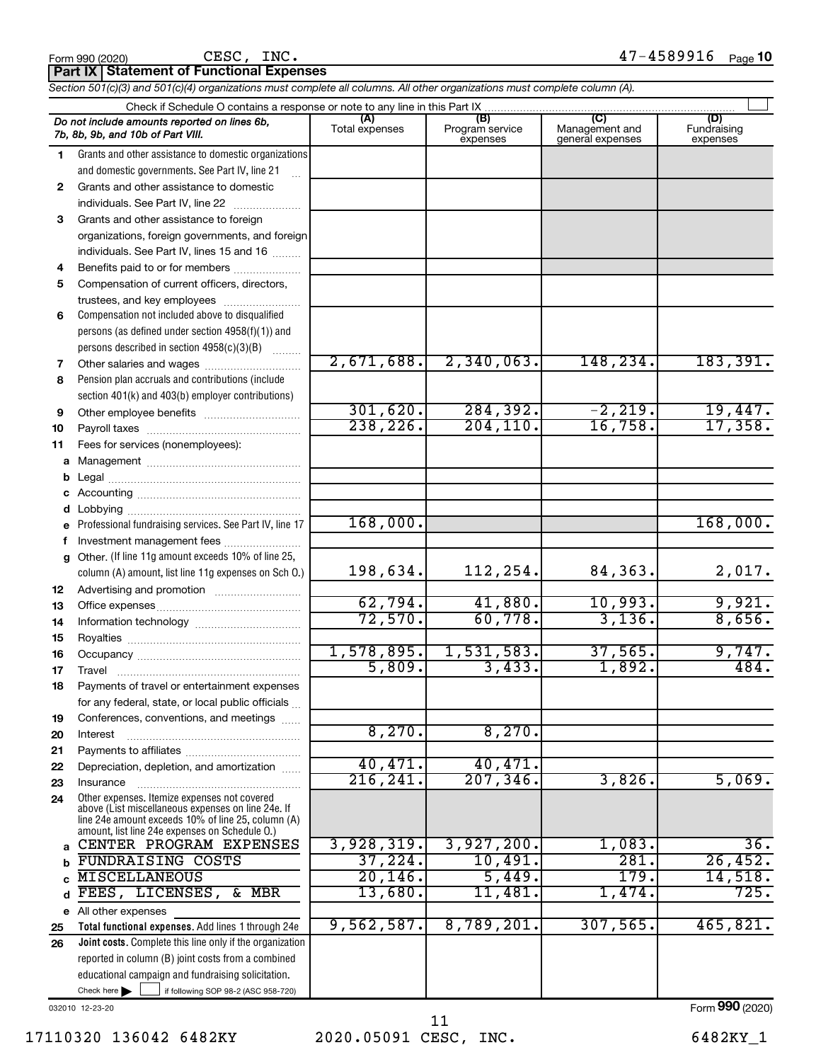*Section 501(c)(3) and 501(c)(4) organizations must complete all columns. All other organizations must complete column (A).*

|          | Check if Schedule O contains a response or note to any line in this Part IX                          |                       |                                    |                                           |                                |
|----------|------------------------------------------------------------------------------------------------------|-----------------------|------------------------------------|-------------------------------------------|--------------------------------|
|          | Do not include amounts reported on lines 6b,<br>7b, 8b, 9b, and 10b of Part VIII.                    | (A)<br>Total expenses | (B)<br>Program service<br>expenses | (C)<br>Management and<br>general expenses | (D)<br>Fundraising<br>expenses |
| 1.       | Grants and other assistance to domestic organizations                                                |                       |                                    |                                           |                                |
|          | and domestic governments. See Part IV, line 21                                                       |                       |                                    |                                           |                                |
| 2        | Grants and other assistance to domestic                                                              |                       |                                    |                                           |                                |
|          | individuals. See Part IV, line 22                                                                    |                       |                                    |                                           |                                |
| 3        | Grants and other assistance to foreign                                                               |                       |                                    |                                           |                                |
|          | organizations, foreign governments, and foreign                                                      |                       |                                    |                                           |                                |
|          | individuals. See Part IV, lines 15 and 16                                                            |                       |                                    |                                           |                                |
| 4        | Benefits paid to or for members                                                                      |                       |                                    |                                           |                                |
| 5        | Compensation of current officers, directors,                                                         |                       |                                    |                                           |                                |
|          | trustees, and key employees                                                                          |                       |                                    |                                           |                                |
| 6        | Compensation not included above to disqualified                                                      |                       |                                    |                                           |                                |
|          | persons (as defined under section 4958(f)(1)) and                                                    |                       |                                    |                                           |                                |
|          | persons described in section 4958(c)(3)(B)                                                           |                       |                                    |                                           |                                |
| 7        |                                                                                                      | 2,671,688.            | 2,340,063.                         | 148,234.                                  | 183, 391.                      |
| 8        | Pension plan accruals and contributions (include                                                     |                       |                                    |                                           |                                |
|          | section 401(k) and 403(b) employer contributions)                                                    |                       |                                    |                                           |                                |
| 9        | Other employee benefits                                                                              | 301,620.              | 284, 392.                          | $-2, 219.$                                | 19,447.                        |
| 10       |                                                                                                      | 238, 226.             | 204, 110.                          | 16,758.                                   | 17,358.                        |
| 11       | Fees for services (nonemployees):                                                                    |                       |                                    |                                           |                                |
|          |                                                                                                      |                       |                                    |                                           |                                |
| b        |                                                                                                      |                       |                                    |                                           |                                |
| c        |                                                                                                      |                       |                                    |                                           |                                |
| d        |                                                                                                      |                       |                                    |                                           |                                |
|          | Professional fundraising services. See Part IV, line 17                                              | 168,000.              |                                    |                                           | 168,000.                       |
| f        | Investment management fees                                                                           |                       |                                    |                                           |                                |
| g        | Other. (If line 11g amount exceeds 10% of line 25,                                                   |                       |                                    |                                           |                                |
|          | column (A) amount, list line 11g expenses on Sch O.)                                                 | 198,634.              | 112,254.                           | 84,363.                                   | 2,017.                         |
| 12       | Advertising and promotion                                                                            |                       |                                    |                                           |                                |
| 13       |                                                                                                      | 62,794.               | 41,880.                            | 10,993.                                   | 9,921.                         |
| 14       |                                                                                                      | 72,570.               | 60,778.                            | 3,136.                                    | 8,656.                         |
| 15       |                                                                                                      |                       |                                    |                                           |                                |
| 16       |                                                                                                      | 1,578,895.            | 1,531,583.                         | 37,565.                                   | 9,747.<br>484.                 |
| 17       |                                                                                                      | 5,809.                | 3,433.                             | 1,892.                                    |                                |
| 18       | Payments of travel or entertainment expenses                                                         |                       |                                    |                                           |                                |
|          | for any federal, state, or local public officials                                                    |                       |                                    |                                           |                                |
| 19       | Conferences, conventions, and meetings                                                               | 8,270.                | 8,270.                             |                                           |                                |
| 20       | Interest                                                                                             |                       |                                    |                                           |                                |
| 21       | Depreciation, depletion, and amortization                                                            | 40,471.               | 40,471.                            |                                           |                                |
| 22       |                                                                                                      | 216, 241.             | 207, 346.                          | 3,826.                                    | 5,069.                         |
| 23<br>24 | Insurance<br>Other expenses. Itemize expenses not covered                                            |                       |                                    |                                           |                                |
|          | above (List miscellaneous expenses on line 24e. If                                                   |                       |                                    |                                           |                                |
|          | line 24e amount exceeds 10% of line 25, column (A)<br>amount, list line 24e expenses on Schedule O.) |                       |                                    |                                           |                                |
| a        | CENTER PROGRAM EXPENSES                                                                              | 3,928,319.            | 3,927,200.                         | 1,083.                                    | 36.                            |
|          | <b>FUNDRAISING COSTS</b>                                                                             | 37,224.               | 10,491.                            | 281.                                      | 26,452.                        |
|          | <b>MISCELLANEOUS</b>                                                                                 | 20, 146.              | 5,449.                             | 179.                                      | 14,518.                        |
|          | FEES, LICENSES,<br>& MBR                                                                             | 13,680.               | 11,481.                            | 1,474.                                    | 725.                           |
| е        | All other expenses                                                                                   |                       |                                    |                                           |                                |
| 25       | Total functional expenses. Add lines 1 through 24e                                                   | 9,562,587.            | 8,789,201.                         | 307,565.                                  | 465,821.                       |
| 26       | Joint costs. Complete this line only if the organization                                             |                       |                                    |                                           |                                |
|          | reported in column (B) joint costs from a combined                                                   |                       |                                    |                                           |                                |
|          | educational campaign and fundraising solicitation.                                                   |                       |                                    |                                           |                                |
|          | Check here<br>if following SOP 98-2 (ASC 958-720)                                                    |                       |                                    |                                           |                                |
|          |                                                                                                      |                       |                                    |                                           |                                |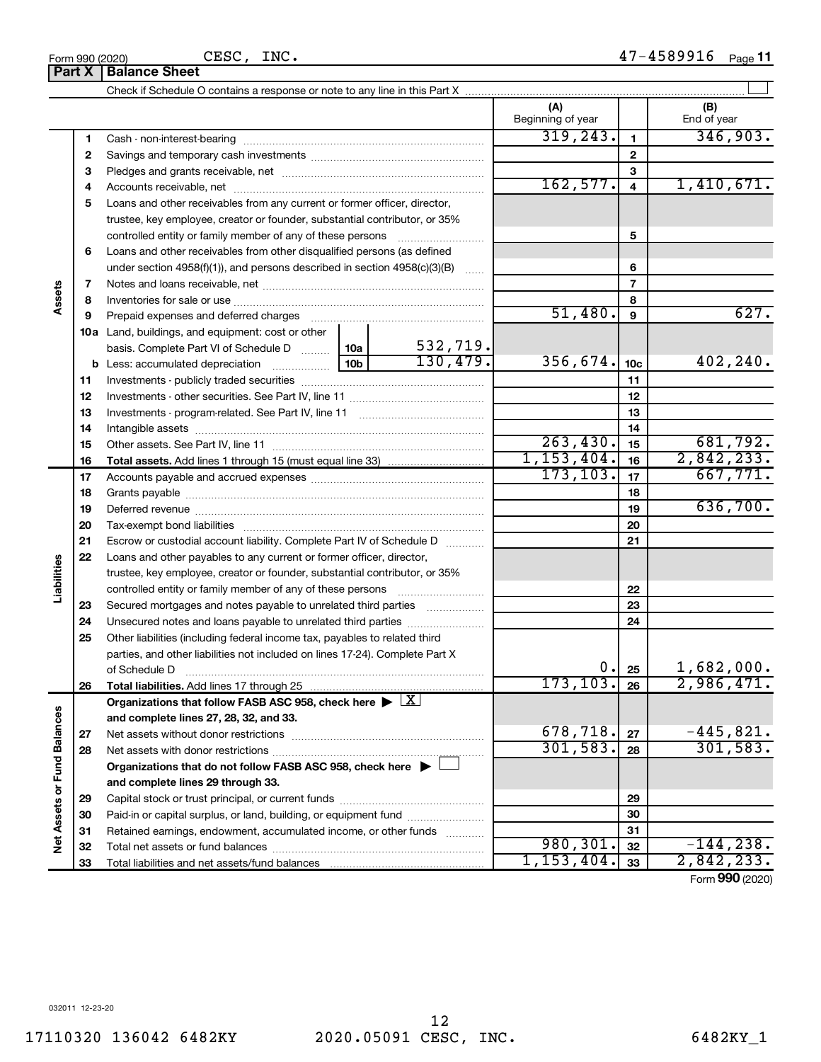| Form 990 (2020) |                               |  |
|-----------------|-------------------------------|--|
|                 | <b>Part X   Balance Sheet</b> |  |

|                             |    |                                                                                                                                                                                                                                      |                 |              | (A)<br>Beginning of year |                 | (B)<br>End of year |
|-----------------------------|----|--------------------------------------------------------------------------------------------------------------------------------------------------------------------------------------------------------------------------------------|-----------------|--------------|--------------------------|-----------------|--------------------|
|                             | 1  |                                                                                                                                                                                                                                      |                 |              | 319, 243.                | $\mathbf{1}$    | 346,903.           |
|                             | 2  |                                                                                                                                                                                                                                      |                 | $\mathbf{2}$ |                          |                 |                    |
|                             | З  |                                                                                                                                                                                                                                      |                 | 3            |                          |                 |                    |
|                             | 4  |                                                                                                                                                                                                                                      |                 |              | 162,577.                 | $\overline{4}$  | 1,410,671.         |
|                             | 5  | Loans and other receivables from any current or former officer, director,                                                                                                                                                            |                 |              |                          |                 |                    |
|                             |    | trustee, key employee, creator or founder, substantial contributor, or 35%                                                                                                                                                           |                 |              |                          |                 |                    |
|                             |    | controlled entity or family member of any of these persons                                                                                                                                                                           |                 |              |                          | 5               |                    |
|                             | 6  | Loans and other receivables from other disqualified persons (as defined                                                                                                                                                              |                 |              |                          |                 |                    |
|                             |    | under section $4958(f)(1)$ , and persons described in section $4958(c)(3)(B)$                                                                                                                                                        |                 |              |                          | 6               |                    |
|                             | 7  |                                                                                                                                                                                                                                      |                 |              |                          | $\overline{7}$  |                    |
| Assets                      | 8  |                                                                                                                                                                                                                                      |                 |              |                          | 8               |                    |
|                             | 9  | Prepaid expenses and deferred charges                                                                                                                                                                                                |                 |              | 51,480.                  | 9               | 627.               |
|                             |    | 10a Land, buildings, and equipment: cost or other                                                                                                                                                                                    |                 |              |                          |                 |                    |
|                             |    | basis. Complete Part VI of Schedule D  10a                                                                                                                                                                                           |                 | 532,719.     |                          |                 |                    |
|                             | b  |                                                                                                                                                                                                                                      | 10 <sub>b</sub> | 130,479.     | 356,674.                 | 10 <sub>c</sub> | 402, 240.          |
|                             | 11 |                                                                                                                                                                                                                                      |                 |              |                          | 11              |                    |
|                             | 12 |                                                                                                                                                                                                                                      |                 | 12           |                          |                 |                    |
|                             | 13 |                                                                                                                                                                                                                                      |                 | 13           |                          |                 |                    |
|                             | 14 |                                                                                                                                                                                                                                      |                 | 14           |                          |                 |                    |
|                             | 15 |                                                                                                                                                                                                                                      |                 |              | 263, 430.                | 15              | 681,792.           |
|                             | 16 |                                                                                                                                                                                                                                      |                 |              | 1, 153, 404.             | 16              | 2,842,233.         |
|                             | 17 |                                                                                                                                                                                                                                      |                 |              | 173, 103.                | 17              | 667,771.           |
|                             | 18 |                                                                                                                                                                                                                                      |                 |              | 18                       |                 |                    |
|                             | 19 |                                                                                                                                                                                                                                      |                 |              | 19                       | 636,700.        |                    |
|                             | 20 |                                                                                                                                                                                                                                      |                 |              |                          | 20              |                    |
|                             | 21 | Escrow or custodial account liability. Complete Part IV of Schedule D                                                                                                                                                                |                 |              |                          | 21              |                    |
|                             | 22 | Loans and other payables to any current or former officer, director,                                                                                                                                                                 |                 |              |                          |                 |                    |
| Liabilities                 |    | trustee, key employee, creator or founder, substantial contributor, or 35%                                                                                                                                                           |                 |              |                          |                 |                    |
|                             |    | controlled entity or family member of any of these persons                                                                                                                                                                           |                 |              |                          | 22              |                    |
|                             | 23 | Secured mortgages and notes payable to unrelated third parties                                                                                                                                                                       |                 |              |                          | 23              |                    |
|                             | 24 |                                                                                                                                                                                                                                      |                 |              |                          | 24              |                    |
|                             | 25 | Other liabilities (including federal income tax, payables to related third                                                                                                                                                           |                 |              |                          |                 |                    |
|                             |    | parties, and other liabilities not included on lines 17-24). Complete Part X                                                                                                                                                         |                 |              |                          | $0$ - 25        | 1,682,000.         |
|                             |    | of Schedule D <b>William Communication Contract Contract Contract Contract Contract Contract Contract Contract Contract Contract Contract Contract Contract Contract Contract Contract Contract Contract Contract Contract Contr</b> |                 |              | $173, 103.$ 26           |                 | 2,986,471.         |
|                             | 26 | Organizations that follow FASB ASC 958, check here $\blacktriangleright \lfloor \underline{X} \rfloor$                                                                                                                               |                 |              |                          |                 |                    |
|                             |    | and complete lines 27, 28, 32, and 33.                                                                                                                                                                                               |                 |              |                          |                 |                    |
|                             | 27 |                                                                                                                                                                                                                                      |                 |              | 678,718.                 | 27              | $-445,821.$        |
|                             | 28 |                                                                                                                                                                                                                                      |                 |              | 301,583.                 | 28              | 301,583.           |
|                             |    | Organizations that do not follow FASB ASC 958, check here $\blacktriangleright$                                                                                                                                                      |                 |              |                          |                 |                    |
|                             |    | and complete lines 29 through 33.                                                                                                                                                                                                    |                 |              |                          |                 |                    |
|                             | 29 |                                                                                                                                                                                                                                      |                 |              |                          | 29              |                    |
|                             | 30 | Paid-in or capital surplus, or land, building, or equipment fund                                                                                                                                                                     |                 |              |                          | 30              |                    |
|                             | 31 | Retained earnings, endowment, accumulated income, or other funds                                                                                                                                                                     |                 |              |                          | 31              |                    |
| Net Assets or Fund Balances | 32 |                                                                                                                                                                                                                                      |                 |              | 980, 301.                | 32              | $-144, 238.$       |
|                             | 33 |                                                                                                                                                                                                                                      |                 |              | 1, 153, 404.             | 33              | 2,842,233.         |
|                             |    |                                                                                                                                                                                                                                      |                 |              |                          |                 |                    |

Form (2020) **990**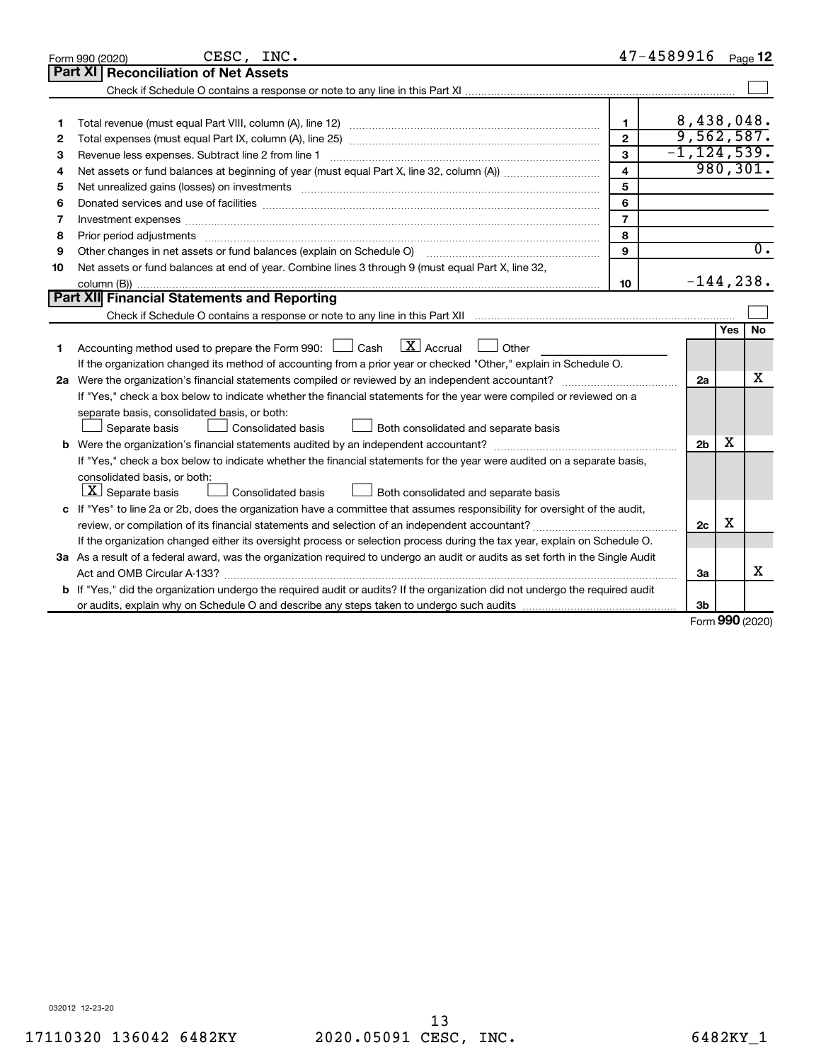|    | CESC, INC.<br>Form 990 (2020)                                                                                                                                                                                                  |                         | 47-4589916      |              | Page 12          |
|----|--------------------------------------------------------------------------------------------------------------------------------------------------------------------------------------------------------------------------------|-------------------------|-----------------|--------------|------------------|
|    | <b>Reconciliation of Net Assets</b><br>Part XI                                                                                                                                                                                 |                         |                 |              |                  |
|    |                                                                                                                                                                                                                                |                         |                 |              |                  |
|    |                                                                                                                                                                                                                                |                         |                 |              |                  |
| 1  |                                                                                                                                                                                                                                | 1.                      | 8,438,048.      |              |                  |
| 2  |                                                                                                                                                                                                                                | $\overline{2}$          | 9,562,587.      |              |                  |
| З  | Revenue less expenses. Subtract line 2 from line 1                                                                                                                                                                             | 3                       | $-1, 124, 539.$ |              |                  |
| 4  |                                                                                                                                                                                                                                | $\overline{\mathbf{4}}$ | 980, 301.       |              |                  |
| 5  |                                                                                                                                                                                                                                | 5                       |                 |              |                  |
| 6  | Donated services and use of facilities [[111] matter contracts and all the services and use of facilities [[11                                                                                                                 | 6                       |                 |              |                  |
| 7  | Investment expenses www.communication.com/www.communication.com/www.communication.com/www.com                                                                                                                                  | $\overline{7}$          |                 |              |                  |
| 8  | Prior period adjustments [111] matter contract and adjustments and account and account and adjustments and account and account and account and account and account and account and account and account and account account and | 8                       |                 |              |                  |
| 9  | Other changes in net assets or fund balances (explain on Schedule O)                                                                                                                                                           | $\mathbf{Q}$            |                 |              | $\overline{0}$ . |
| 10 | Net assets or fund balances at end of year. Combine lines 3 through 9 (must equal Part X, line 32,                                                                                                                             |                         |                 |              |                  |
|    |                                                                                                                                                                                                                                | 10                      | $-144, 238.$    |              |                  |
|    | Part XII Financial Statements and Reporting                                                                                                                                                                                    |                         |                 |              |                  |
|    |                                                                                                                                                                                                                                |                         |                 |              |                  |
|    |                                                                                                                                                                                                                                |                         |                 | Yes          | <b>No</b>        |
| 1  | $X$ Accrual<br>Accounting method used to prepare the Form 990: [130] Cash<br>  Other                                                                                                                                           |                         |                 |              |                  |
|    | If the organization changed its method of accounting from a prior year or checked "Other," explain in Schedule O.                                                                                                              |                         |                 |              |                  |
|    |                                                                                                                                                                                                                                |                         | 2a              |              | х                |
|    | If "Yes," check a box below to indicate whether the financial statements for the year were compiled or reviewed on a                                                                                                           |                         |                 |              |                  |
|    | separate basis, consolidated basis, or both:                                                                                                                                                                                   |                         |                 |              |                  |
|    | Consolidated basis<br>Both consolidated and separate basis<br>Separate basis                                                                                                                                                   |                         |                 |              |                  |
|    |                                                                                                                                                                                                                                |                         | 2 <sub>b</sub>  | х            |                  |
|    | If "Yes," check a box below to indicate whether the financial statements for the year were audited on a separate basis,                                                                                                        |                         |                 |              |                  |
|    | consolidated basis, or both:                                                                                                                                                                                                   |                         |                 |              |                  |
|    | $\lfloor \underline{X} \rfloor$ Separate basis<br>Consolidated basis<br>Both consolidated and separate basis                                                                                                                   |                         |                 |              |                  |
|    | c If "Yes" to line 2a or 2b, does the organization have a committee that assumes responsibility for oversight of the audit,                                                                                                    |                         |                 |              |                  |
|    |                                                                                                                                                                                                                                |                         | 2c              | х            |                  |
|    | If the organization changed either its oversight process or selection process during the tax year, explain on Schedule O.                                                                                                      |                         |                 |              |                  |
|    | 3a As a result of a federal award, was the organization required to undergo an audit or audits as set forth in the Single Audit                                                                                                |                         |                 |              |                  |
|    |                                                                                                                                                                                                                                |                         | За              |              | х                |
|    | b If "Yes," did the organization undergo the required audit or audits? If the organization did not undergo the required audit                                                                                                  |                         |                 |              |                  |
|    |                                                                                                                                                                                                                                |                         | 3b              | $\mathbf{A}$ |                  |

Form (2020) **990**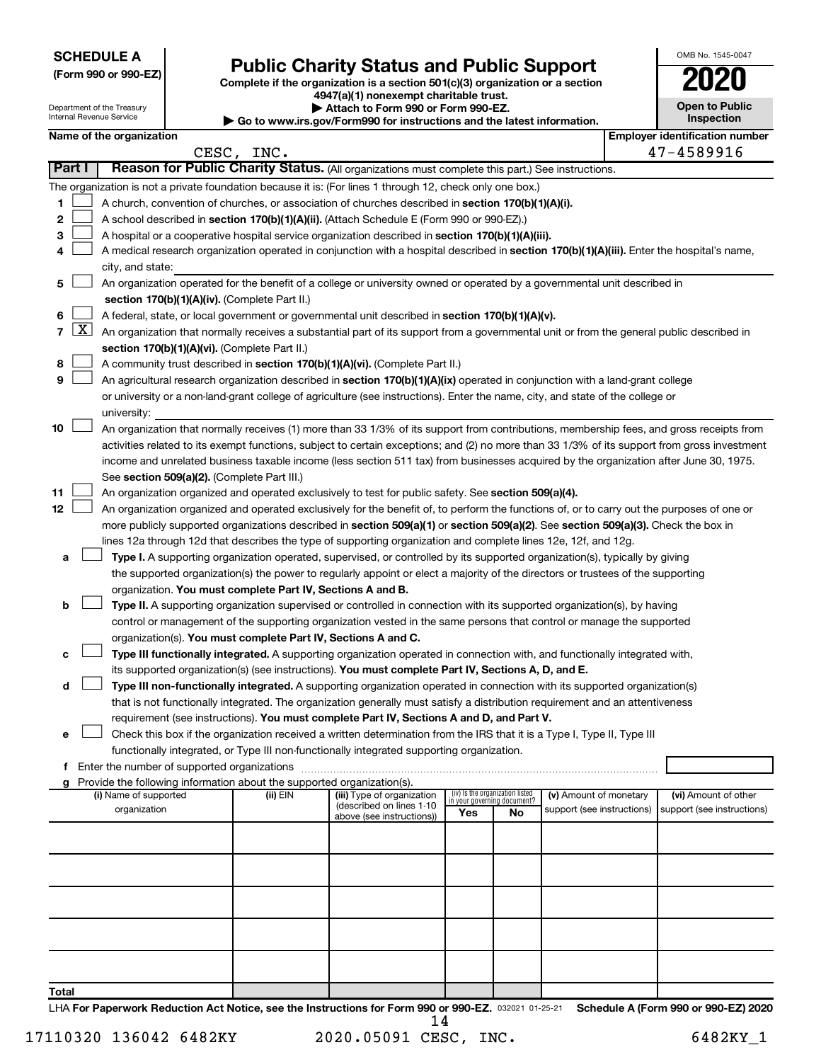| <b>SCHEDULE A</b> |  |
|-------------------|--|
|-------------------|--|

| (Form 990 or 990-EZ) |  |  |
|----------------------|--|--|
|                      |  |  |

 $\blacktriangleright$  Go to

Department of the Treasury

Internal Revenue Service

# Form 990 or 990-EZ) **Public Charity Status and Public Support**<br>
Complete if the organization is a section 501(c)(3) organization or a section<br> **2020**

**4947(a)(1) nonexempt charitable trust. | Attach to Form 990 or Form 990-EZ.** 

|  | www.irs.gov/Form990 for instructions and the latest information |  |  |  |  |
|--|-----------------------------------------------------------------|--|--|--|--|
|--|-----------------------------------------------------------------|--|--|--|--|

| <b>Open to Public</b><br>Inspection |
|-------------------------------------|
|                                     |

OMB No. 1545-0047

|                 |                     | Name of the organization                                                                                                                                                                                                                                  |            |                                                       |                                 |                             |                            | <b>Employer identification number</b> |
|-----------------|---------------------|-----------------------------------------------------------------------------------------------------------------------------------------------------------------------------------------------------------------------------------------------------------|------------|-------------------------------------------------------|---------------------------------|-----------------------------|----------------------------|---------------------------------------|
|                 |                     |                                                                                                                                                                                                                                                           | CESC, INC. |                                                       |                                 |                             |                            | 47-4589916                            |
| Part I          |                     | Reason for Public Charity Status. (All organizations must complete this part.) See instructions.                                                                                                                                                          |            |                                                       |                                 |                             |                            |                                       |
|                 |                     | The organization is not a private foundation because it is: (For lines 1 through 12, check only one box.)                                                                                                                                                 |            |                                                       |                                 |                             |                            |                                       |
| 1               |                     | A church, convention of churches, or association of churches described in section 170(b)(1)(A)(i).                                                                                                                                                        |            |                                                       |                                 |                             |                            |                                       |
| 2               |                     | A school described in section 170(b)(1)(A)(ii). (Attach Schedule E (Form 990 or 990-EZ).)                                                                                                                                                                 |            |                                                       |                                 |                             |                            |                                       |
| 3               |                     | A hospital or a cooperative hospital service organization described in section 170(b)(1)(A)(iii).                                                                                                                                                         |            |                                                       |                                 |                             |                            |                                       |
| 4               |                     | A medical research organization operated in conjunction with a hospital described in section 170(b)(1)(A)(iii). Enter the hospital's name,                                                                                                                |            |                                                       |                                 |                             |                            |                                       |
|                 |                     | city, and state:                                                                                                                                                                                                                                          |            |                                                       |                                 |                             |                            |                                       |
| 5               |                     | An organization operated for the benefit of a college or university owned or operated by a governmental unit described in                                                                                                                                 |            |                                                       |                                 |                             |                            |                                       |
|                 |                     | section 170(b)(1)(A)(iv). (Complete Part II.)                                                                                                                                                                                                             |            |                                                       |                                 |                             |                            |                                       |
| 6               |                     | A federal, state, or local government or governmental unit described in section 170(b)(1)(A)(v).                                                                                                                                                          |            |                                                       |                                 |                             |                            |                                       |
| $\overline{7}$  | $\lfloor x \rfloor$ | An organization that normally receives a substantial part of its support from a governmental unit or from the general public described in                                                                                                                 |            |                                                       |                                 |                             |                            |                                       |
|                 |                     | section 170(b)(1)(A)(vi). (Complete Part II.)                                                                                                                                                                                                             |            |                                                       |                                 |                             |                            |                                       |
| 8               |                     | A community trust described in section 170(b)(1)(A)(vi). (Complete Part II.)                                                                                                                                                                              |            |                                                       |                                 |                             |                            |                                       |
| 9               |                     | An agricultural research organization described in section 170(b)(1)(A)(ix) operated in conjunction with a land-grant college                                                                                                                             |            |                                                       |                                 |                             |                            |                                       |
|                 |                     | or university or a non-land-grant college of agriculture (see instructions). Enter the name, city, and state of the college or                                                                                                                            |            |                                                       |                                 |                             |                            |                                       |
|                 |                     | university:                                                                                                                                                                                                                                               |            |                                                       |                                 |                             |                            |                                       |
| 10              |                     | An organization that normally receives (1) more than 33 1/3% of its support from contributions, membership fees, and gross receipts from                                                                                                                  |            |                                                       |                                 |                             |                            |                                       |
|                 |                     | activities related to its exempt functions, subject to certain exceptions; and (2) no more than 33 1/3% of its support from gross investment                                                                                                              |            |                                                       |                                 |                             |                            |                                       |
|                 |                     | income and unrelated business taxable income (less section 511 tax) from businesses acquired by the organization after June 30, 1975.                                                                                                                     |            |                                                       |                                 |                             |                            |                                       |
|                 |                     | See section 509(a)(2). (Complete Part III.)                                                                                                                                                                                                               |            |                                                       |                                 |                             |                            |                                       |
| 11              |                     | An organization organized and operated exclusively to test for public safety. See section 509(a)(4).                                                                                                                                                      |            |                                                       |                                 |                             |                            |                                       |
| 12 <sub>2</sub> |                     | An organization organized and operated exclusively for the benefit of, to perform the functions of, or to carry out the purposes of one or                                                                                                                |            |                                                       |                                 |                             |                            |                                       |
|                 |                     | more publicly supported organizations described in section 509(a)(1) or section 509(a)(2). See section 509(a)(3). Check the box in                                                                                                                        |            |                                                       |                                 |                             |                            |                                       |
|                 |                     | lines 12a through 12d that describes the type of supporting organization and complete lines 12e, 12f, and 12g.                                                                                                                                            |            |                                                       |                                 |                             |                            |                                       |
| а               |                     | Type I. A supporting organization operated, supervised, or controlled by its supported organization(s), typically by giving                                                                                                                               |            |                                                       |                                 |                             |                            |                                       |
|                 |                     | the supported organization(s) the power to regularly appoint or elect a majority of the directors or trustees of the supporting                                                                                                                           |            |                                                       |                                 |                             |                            |                                       |
|                 |                     | organization. You must complete Part IV, Sections A and B.                                                                                                                                                                                                |            |                                                       |                                 |                             |                            |                                       |
| b               |                     | Type II. A supporting organization supervised or controlled in connection with its supported organization(s), by having                                                                                                                                   |            |                                                       |                                 |                             |                            |                                       |
|                 |                     | control or management of the supporting organization vested in the same persons that control or manage the supported                                                                                                                                      |            |                                                       |                                 |                             |                            |                                       |
|                 |                     | organization(s). You must complete Part IV, Sections A and C.                                                                                                                                                                                             |            |                                                       |                                 |                             |                            |                                       |
| с               |                     | Type III functionally integrated. A supporting organization operated in connection with, and functionally integrated with,                                                                                                                                |            |                                                       |                                 |                             |                            |                                       |
|                 |                     | its supported organization(s) (see instructions). You must complete Part IV, Sections A, D, and E.                                                                                                                                                        |            |                                                       |                                 |                             |                            |                                       |
| d               |                     | Type III non-functionally integrated. A supporting organization operated in connection with its supported organization(s)<br>that is not functionally integrated. The organization generally must satisfy a distribution requirement and an attentiveness |            |                                                       |                                 |                             |                            |                                       |
|                 |                     | requirement (see instructions). You must complete Part IV, Sections A and D, and Part V.                                                                                                                                                                  |            |                                                       |                                 |                             |                            |                                       |
|                 |                     | Check this box if the organization received a written determination from the IRS that it is a Type I, Type II, Type III                                                                                                                                   |            |                                                       |                                 |                             |                            |                                       |
| е               |                     | functionally integrated, or Type III non-functionally integrated supporting organization.                                                                                                                                                                 |            |                                                       |                                 |                             |                            |                                       |
|                 |                     |                                                                                                                                                                                                                                                           |            |                                                       |                                 |                             |                            |                                       |
| g               |                     | Provide the following information about the supported organization(s).                                                                                                                                                                                    |            |                                                       |                                 |                             |                            |                                       |
|                 |                     | (i) Name of supported                                                                                                                                                                                                                                     | (ii) EIN   | (iii) Type of organization                            | (iv) Is the organization listed | in your governing document? | (v) Amount of monetary     | (vi) Amount of other                  |
|                 |                     | organization                                                                                                                                                                                                                                              |            | (described on lines 1-10<br>above (see instructions)) | Yes                             | No                          | support (see instructions) | support (see instructions)            |
|                 |                     |                                                                                                                                                                                                                                                           |            |                                                       |                                 |                             |                            |                                       |
|                 |                     |                                                                                                                                                                                                                                                           |            |                                                       |                                 |                             |                            |                                       |
|                 |                     |                                                                                                                                                                                                                                                           |            |                                                       |                                 |                             |                            |                                       |
|                 |                     |                                                                                                                                                                                                                                                           |            |                                                       |                                 |                             |                            |                                       |
|                 |                     |                                                                                                                                                                                                                                                           |            |                                                       |                                 |                             |                            |                                       |
|                 |                     |                                                                                                                                                                                                                                                           |            |                                                       |                                 |                             |                            |                                       |
|                 |                     |                                                                                                                                                                                                                                                           |            |                                                       |                                 |                             |                            |                                       |
|                 |                     |                                                                                                                                                                                                                                                           |            |                                                       |                                 |                             |                            |                                       |
|                 |                     |                                                                                                                                                                                                                                                           |            |                                                       |                                 |                             |                            |                                       |
|                 |                     |                                                                                                                                                                                                                                                           |            |                                                       |                                 |                             |                            |                                       |
| Total           |                     |                                                                                                                                                                                                                                                           |            |                                                       |                                 |                             |                            |                                       |

LHA For Paperwork Reduction Act Notice, see the Instructions for Form 990 or 990-EZ. 032021 01-25-21 Schedule A (Form 990 or 990-EZ) 2020 14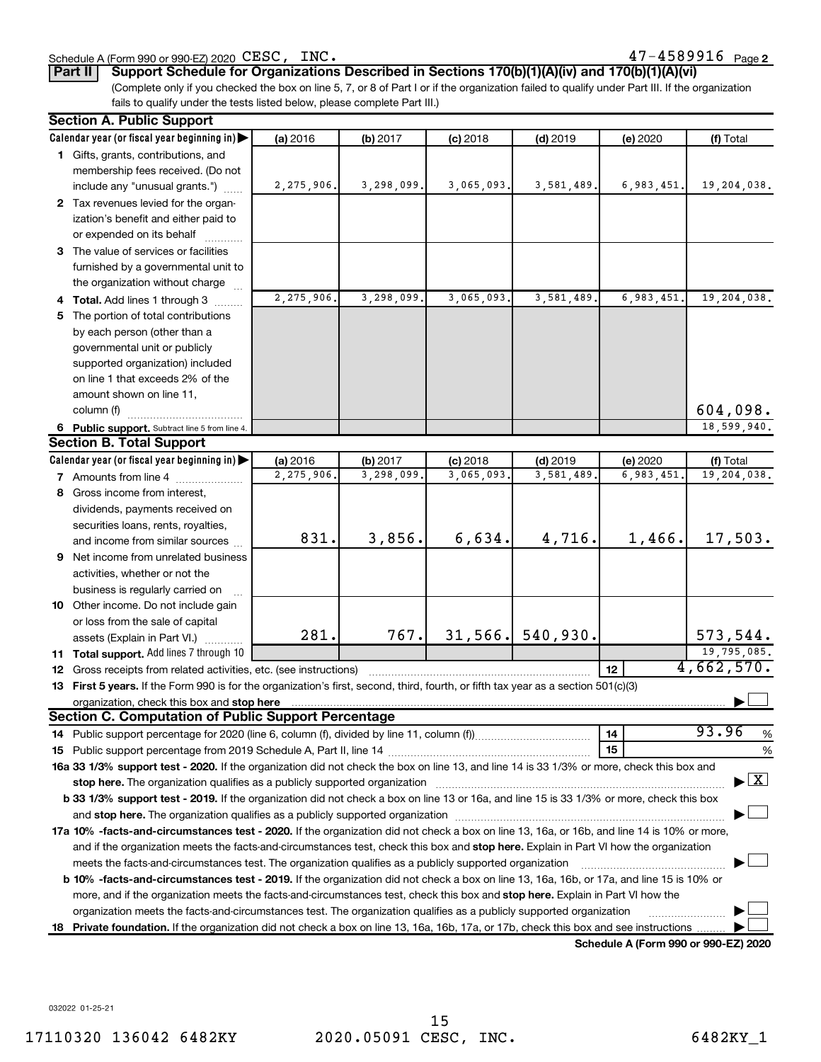#### Schedule A (Form 990 or 990-EZ)  $2020$  CESC, INC.

**Part II Support Schedule for Organizations Described in Sections 170(b)(1)(A)(iv) and 170(b)(1)(A)(vi)**

(Complete only if you checked the box on line 5, 7, or 8 of Part I or if the organization failed to qualify under Part III. If the organization fails to qualify under the tests listed below, please complete Part III.)

| <b>Section A. Public Support</b>                                                                                                                                                                                               |                        |                       |                         |                         |                       |                                          |
|--------------------------------------------------------------------------------------------------------------------------------------------------------------------------------------------------------------------------------|------------------------|-----------------------|-------------------------|-------------------------|-----------------------|------------------------------------------|
| Calendar year (or fiscal year beginning in)                                                                                                                                                                                    | (a) 2016               | (b) 2017              | $(c)$ 2018              | $(d)$ 2019              | (e) 2020              | (f) Total                                |
| 1 Gifts, grants, contributions, and                                                                                                                                                                                            |                        |                       |                         |                         |                       |                                          |
| membership fees received. (Do not                                                                                                                                                                                              |                        |                       |                         |                         |                       |                                          |
| include any "unusual grants.")                                                                                                                                                                                                 | 2,275,906.             | 3,298,099.            | 3,065,093.              | 3,581,489.              | 6,983,451.            | 19,204,038.                              |
| 2 Tax revenues levied for the organ-                                                                                                                                                                                           |                        |                       |                         |                         |                       |                                          |
| ization's benefit and either paid to                                                                                                                                                                                           |                        |                       |                         |                         |                       |                                          |
| or expended on its behalf                                                                                                                                                                                                      |                        |                       |                         |                         |                       |                                          |
| 3 The value of services or facilities                                                                                                                                                                                          |                        |                       |                         |                         |                       |                                          |
| furnished by a governmental unit to                                                                                                                                                                                            |                        |                       |                         |                         |                       |                                          |
| the organization without charge                                                                                                                                                                                                |                        |                       |                         |                         |                       |                                          |
| 4 Total. Add lines 1 through 3                                                                                                                                                                                                 | 2,275,906.             | 3,298,099.            | 3,065,093               | 3,581,489               | 6,983,451.            | 19,204,038.                              |
| 5 The portion of total contributions                                                                                                                                                                                           |                        |                       |                         |                         |                       |                                          |
| by each person (other than a                                                                                                                                                                                                   |                        |                       |                         |                         |                       |                                          |
| governmental unit or publicly                                                                                                                                                                                                  |                        |                       |                         |                         |                       |                                          |
| supported organization) included                                                                                                                                                                                               |                        |                       |                         |                         |                       |                                          |
| on line 1 that exceeds 2% of the                                                                                                                                                                                               |                        |                       |                         |                         |                       |                                          |
| amount shown on line 11,                                                                                                                                                                                                       |                        |                       |                         |                         |                       |                                          |
| column (f)                                                                                                                                                                                                                     |                        |                       |                         |                         |                       | 604,098.                                 |
|                                                                                                                                                                                                                                |                        |                       |                         |                         |                       | 18,599,940.                              |
| 6 Public support. Subtract line 5 from line 4.<br><b>Section B. Total Support</b>                                                                                                                                              |                        |                       |                         |                         |                       |                                          |
|                                                                                                                                                                                                                                |                        |                       |                         |                         |                       |                                          |
| Calendar year (or fiscal year beginning in)                                                                                                                                                                                    | (a) 2016<br>2,275,906. | (b) 2017<br>3,298,099 | $(c)$ 2018<br>3,065,093 | $(d)$ 2019<br>3,581,489 | (e) 2020<br>6,983,451 | (f) Total<br>19,204,038.                 |
| <b>7</b> Amounts from line 4                                                                                                                                                                                                   |                        |                       |                         |                         |                       |                                          |
| 8 Gross income from interest,                                                                                                                                                                                                  |                        |                       |                         |                         |                       |                                          |
| dividends, payments received on                                                                                                                                                                                                |                        |                       |                         |                         |                       |                                          |
| securities loans, rents, royalties,                                                                                                                                                                                            |                        |                       |                         |                         |                       |                                          |
| and income from similar sources                                                                                                                                                                                                | 831.                   | 3,856.                | 6,634.                  | 4,716.                  | 1,466.                | 17,503.                                  |
| 9 Net income from unrelated business                                                                                                                                                                                           |                        |                       |                         |                         |                       |                                          |
| activities, whether or not the                                                                                                                                                                                                 |                        |                       |                         |                         |                       |                                          |
| business is regularly carried on                                                                                                                                                                                               |                        |                       |                         |                         |                       |                                          |
| 10 Other income. Do not include gain                                                                                                                                                                                           |                        |                       |                         |                         |                       |                                          |
| or loss from the sale of capital                                                                                                                                                                                               |                        |                       |                         |                         |                       |                                          |
| assets (Explain in Part VI.)                                                                                                                                                                                                   | 281.                   | 767.                  | 31,566.                 | 540,930.                |                       | 573,544.                                 |
| <b>11 Total support.</b> Add lines 7 through 10                                                                                                                                                                                |                        |                       |                         |                         |                       | 19,795,085.                              |
| <b>12</b> Gross receipts from related activities, etc. (see instructions)                                                                                                                                                      |                        |                       |                         |                         | 12                    | 4,662,570.                               |
| 13 First 5 years. If the Form 990 is for the organization's first, second, third, fourth, or fifth tax year as a section 501(c)(3)                                                                                             |                        |                       |                         |                         |                       |                                          |
| organization, check this box and stop here international content to the content of the content of the content of the content of the content of the content of the content of the content of the content of the content of the  |                        |                       |                         |                         |                       |                                          |
| <b>Section C. Computation of Public Support Percentage</b>                                                                                                                                                                     |                        |                       |                         |                         |                       |                                          |
|                                                                                                                                                                                                                                |                        |                       |                         |                         | 14                    | 93.96<br>%                               |
|                                                                                                                                                                                                                                |                        |                       |                         |                         | 15                    | %                                        |
| 16a 33 1/3% support test - 2020. If the organization did not check the box on line 13, and line 14 is 33 1/3% or more, check this box and                                                                                      |                        |                       |                         |                         |                       |                                          |
| stop here. The organization qualifies as a publicly supported organization manufaction manufacture or the organization manufacture or the organization manufacture or the organization manufacture or the state of the state o |                        |                       |                         |                         |                       | $\blacktriangleright$ $\boxed{\text{X}}$ |
| b 33 1/3% support test - 2019. If the organization did not check a box on line 13 or 16a, and line 15 is 33 1/3% or more, check this box                                                                                       |                        |                       |                         |                         |                       |                                          |
|                                                                                                                                                                                                                                |                        |                       |                         |                         |                       |                                          |
| 17a 10% -facts-and-circumstances test - 2020. If the organization did not check a box on line 13, 16a, or 16b, and line 14 is 10% or more,                                                                                     |                        |                       |                         |                         |                       |                                          |
| and if the organization meets the facts-and-circumstances test, check this box and stop here. Explain in Part VI how the organization                                                                                          |                        |                       |                         |                         |                       |                                          |
| meets the facts-and-circumstances test. The organization qualifies as a publicly supported organization                                                                                                                        |                        |                       |                         |                         |                       |                                          |
| <b>b 10%</b> -facts-and-circumstances test - 2019. If the organization did not check a box on line 13, 16a, 16b, or 17a, and line 15 is 10% or                                                                                 |                        |                       |                         |                         |                       |                                          |
| more, and if the organization meets the facts-and-circumstances test, check this box and stop here. Explain in Part VI how the                                                                                                 |                        |                       |                         |                         |                       |                                          |
| organization meets the facts-and-circumstances test. The organization qualifies as a publicly supported organization                                                                                                           |                        |                       |                         |                         |                       |                                          |
| 18 Private foundation. If the organization did not check a box on line 13, 16a, 16b, 17a, or 17b, check this box and see instructions                                                                                          |                        |                       |                         |                         |                       |                                          |
|                                                                                                                                                                                                                                |                        |                       |                         |                         |                       |                                          |

**Schedule A (Form 990 or 990-EZ) 2020**

032022 01-25-21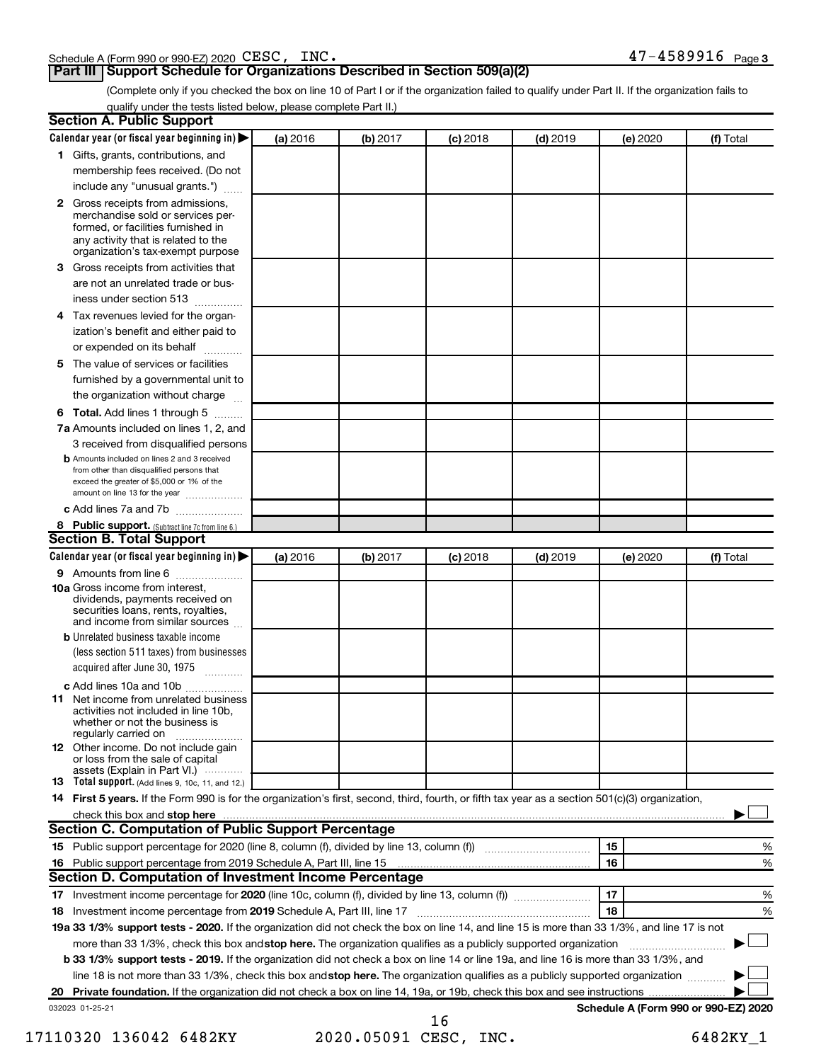### **Part III Support Schedule for Organizations Described in Section 509(a)(2)**

(Complete only if you checked the box on line 10 of Part I or if the organization failed to qualify under Part II. If the organization fails to qualify under the tests listed below, please complete Part II.)

| <b>Section A. Public Support</b>                                                                                                                                                         |          |          |            |            |          |                                      |
|------------------------------------------------------------------------------------------------------------------------------------------------------------------------------------------|----------|----------|------------|------------|----------|--------------------------------------|
| Calendar year (or fiscal year beginning in)                                                                                                                                              | (a) 2016 | (b) 2017 | $(c)$ 2018 | $(d)$ 2019 | (e) 2020 | (f) Total                            |
| 1 Gifts, grants, contributions, and                                                                                                                                                      |          |          |            |            |          |                                      |
| membership fees received. (Do not                                                                                                                                                        |          |          |            |            |          |                                      |
| include any "unusual grants.")                                                                                                                                                           |          |          |            |            |          |                                      |
| 2 Gross receipts from admissions,<br>merchandise sold or services per-<br>formed, or facilities furnished in<br>any activity that is related to the<br>organization's tax-exempt purpose |          |          |            |            |          |                                      |
| <b>3</b> Gross receipts from activities that                                                                                                                                             |          |          |            |            |          |                                      |
| are not an unrelated trade or bus-                                                                                                                                                       |          |          |            |            |          |                                      |
| iness under section 513                                                                                                                                                                  |          |          |            |            |          |                                      |
| 4 Tax revenues levied for the organ-                                                                                                                                                     |          |          |            |            |          |                                      |
| ization's benefit and either paid to                                                                                                                                                     |          |          |            |            |          |                                      |
| or expended on its behalf                                                                                                                                                                |          |          |            |            |          |                                      |
| 5 The value of services or facilities                                                                                                                                                    |          |          |            |            |          |                                      |
| furnished by a governmental unit to                                                                                                                                                      |          |          |            |            |          |                                      |
| the organization without charge                                                                                                                                                          |          |          |            |            |          |                                      |
| <b>6 Total.</b> Add lines 1 through 5                                                                                                                                                    |          |          |            |            |          |                                      |
| 7a Amounts included on lines 1, 2, and                                                                                                                                                   |          |          |            |            |          |                                      |
| 3 received from disqualified persons                                                                                                                                                     |          |          |            |            |          |                                      |
| <b>b</b> Amounts included on lines 2 and 3 received<br>from other than disqualified persons that<br>exceed the greater of \$5,000 or 1% of the<br>amount on line 13 for the year         |          |          |            |            |          |                                      |
| c Add lines 7a and 7b                                                                                                                                                                    |          |          |            |            |          |                                      |
| 8 Public support. (Subtract line 7c from line 6.)<br><b>Section B. Total Support</b>                                                                                                     |          |          |            |            |          |                                      |
| Calendar year (or fiscal year beginning in)                                                                                                                                              | (a) 2016 | (b) 2017 | $(c)$ 2018 | $(d)$ 2019 | (e) 2020 | (f) Total                            |
| <b>9</b> Amounts from line 6                                                                                                                                                             |          |          |            |            |          |                                      |
| <b>10a</b> Gross income from interest,<br>dividends, payments received on<br>securities loans, rents, royalties,<br>and income from similar sources                                      |          |          |            |            |          |                                      |
| <b>b</b> Unrelated business taxable income                                                                                                                                               |          |          |            |            |          |                                      |
| (less section 511 taxes) from businesses<br>acquired after June 30, 1975                                                                                                                 |          |          |            |            |          |                                      |
| c Add lines 10a and 10b                                                                                                                                                                  |          |          |            |            |          |                                      |
| <b>11</b> Net income from unrelated business<br>activities not included in line 10b.<br>whether or not the business is<br>regularly carried on                                           |          |          |            |            |          |                                      |
| <b>12</b> Other income. Do not include gain<br>or loss from the sale of capital<br>assets (Explain in Part VI.)                                                                          |          |          |            |            |          |                                      |
| <b>13</b> Total support. (Add lines 9, 10c, 11, and 12.)                                                                                                                                 |          |          |            |            |          |                                      |
| 14 First 5 years. If the Form 990 is for the organization's first, second, third, fourth, or fifth tax year as a section 501(c)(3) organization,                                         |          |          |            |            |          |                                      |
|                                                                                                                                                                                          |          |          |            |            |          |                                      |
| <b>Section C. Computation of Public Support Percentage</b>                                                                                                                               |          |          |            |            |          |                                      |
| 15 Public support percentage for 2020 (line 8, column (f), divided by line 13, column (f) <i></i>                                                                                        |          |          |            |            | 15       | ℅                                    |
| 16 Public support percentage from 2019 Schedule A, Part III, line 15                                                                                                                     |          |          |            |            | 16       | %                                    |
| Section D. Computation of Investment Income Percentage                                                                                                                                   |          |          |            |            |          |                                      |
|                                                                                                                                                                                          |          |          |            |            | 17       | %                                    |
| 18 Investment income percentage from 2019 Schedule A, Part III, line 17                                                                                                                  |          |          |            |            | 18       | %                                    |
| 19a 33 1/3% support tests - 2020. If the organization did not check the box on line 14, and line 15 is more than 33 1/3%, and line 17 is not                                             |          |          |            |            |          |                                      |
| more than 33 1/3%, check this box and stop here. The organization qualifies as a publicly supported organization                                                                         |          |          |            |            |          |                                      |
| b 33 1/3% support tests - 2019. If the organization did not check a box on line 14 or line 19a, and line 16 is more than 33 1/3%, and                                                    |          |          |            |            |          |                                      |
| line 18 is not more than 33 1/3%, check this box and stop here. The organization qualifies as a publicly supported organization                                                          |          |          |            |            |          |                                      |
|                                                                                                                                                                                          |          |          |            |            |          |                                      |
| 032023 01-25-21                                                                                                                                                                          |          |          |            |            |          | Schedule A (Form 990 or 990-EZ) 2020 |
|                                                                                                                                                                                          |          |          | 16         |            |          |                                      |

17110320 136042 6482KY 2020.05091 CESC, INC. 6482KY\_1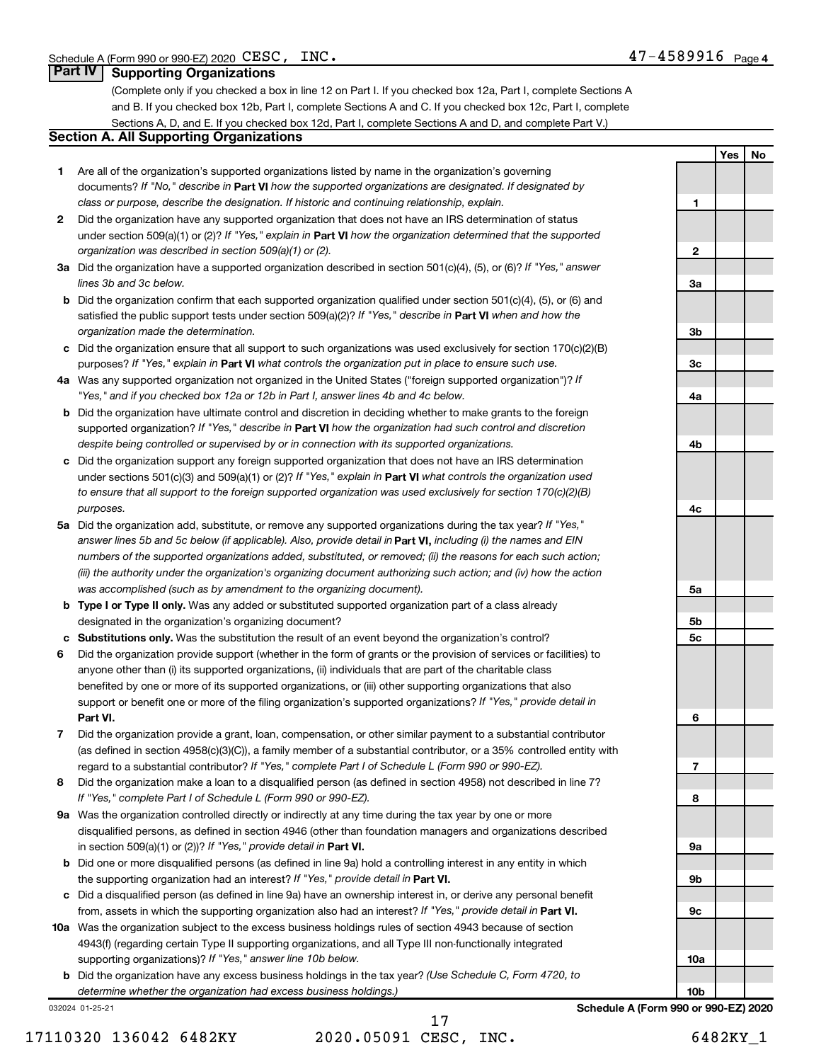#### **Part IV Supporting Organizations**

(Complete only if you checked a box in line 12 on Part I. If you checked box 12a, Part I, complete Sections A and B. If you checked box 12b, Part I, complete Sections A and C. If you checked box 12c, Part I, complete Sections A, D, and E. If you checked box 12d, Part I, complete Sections A and D, and complete Part V.)

#### **Section A. All Supporting Organizations**

- **1** Are all of the organization's supported organizations listed by name in the organization's governing documents? If "No," describe in Part VI how the supported organizations are designated. If designated by *class or purpose, describe the designation. If historic and continuing relationship, explain.*
- **2** Did the organization have any supported organization that does not have an IRS determination of status under section 509(a)(1) or (2)? If "Yes," explain in Part **VI** how the organization determined that the supported *organization was described in section 509(a)(1) or (2).*
- **3a** Did the organization have a supported organization described in section 501(c)(4), (5), or (6)? If "Yes," answer *lines 3b and 3c below.*
- **b** Did the organization confirm that each supported organization qualified under section 501(c)(4), (5), or (6) and satisfied the public support tests under section 509(a)(2)? If "Yes," describe in Part VI when and how the *organization made the determination.*
- **c** Did the organization ensure that all support to such organizations was used exclusively for section 170(c)(2)(B) purposes? If "Yes," explain in Part VI what controls the organization put in place to ensure such use.
- **4 a** *If* Was any supported organization not organized in the United States ("foreign supported organization")? *"Yes," and if you checked box 12a or 12b in Part I, answer lines 4b and 4c below.*
- **b** Did the organization have ultimate control and discretion in deciding whether to make grants to the foreign supported organization? If "Yes," describe in Part VI how the organization had such control and discretion *despite being controlled or supervised by or in connection with its supported organizations.*
- **c** Did the organization support any foreign supported organization that does not have an IRS determination under sections 501(c)(3) and 509(a)(1) or (2)? If "Yes," explain in Part VI what controls the organization used *to ensure that all support to the foreign supported organization was used exclusively for section 170(c)(2)(B) purposes.*
- **5a** Did the organization add, substitute, or remove any supported organizations during the tax year? If "Yes," answer lines 5b and 5c below (if applicable). Also, provide detail in **Part VI,** including (i) the names and EIN *numbers of the supported organizations added, substituted, or removed; (ii) the reasons for each such action; (iii) the authority under the organization's organizing document authorizing such action; and (iv) how the action was accomplished (such as by amendment to the organizing document).*
- **b Type I or Type II only.** Was any added or substituted supported organization part of a class already designated in the organization's organizing document?
- **c Substitutions only.**  Was the substitution the result of an event beyond the organization's control?
- **6** Did the organization provide support (whether in the form of grants or the provision of services or facilities) to **Part VI.** support or benefit one or more of the filing organization's supported organizations? If "Yes," provide detail in anyone other than (i) its supported organizations, (ii) individuals that are part of the charitable class benefited by one or more of its supported organizations, or (iii) other supporting organizations that also
- **7** Did the organization provide a grant, loan, compensation, or other similar payment to a substantial contributor regard to a substantial contributor? If "Yes," complete Part I of Schedule L (Form 990 or 990-EZ). (as defined in section 4958(c)(3)(C)), a family member of a substantial contributor, or a 35% controlled entity with
- **8** Did the organization make a loan to a disqualified person (as defined in section 4958) not described in line 7? *If "Yes," complete Part I of Schedule L (Form 990 or 990-EZ).*
- **9 a** Was the organization controlled directly or indirectly at any time during the tax year by one or more in section 509(a)(1) or (2))? If "Yes," provide detail in **Part VI.** disqualified persons, as defined in section 4946 (other than foundation managers and organizations described
- **b** Did one or more disqualified persons (as defined in line 9a) hold a controlling interest in any entity in which the supporting organization had an interest? If "Yes," provide detail in Part VI.
- **c** Did a disqualified person (as defined in line 9a) have an ownership interest in, or derive any personal benefit from, assets in which the supporting organization also had an interest? If "Yes," provide detail in Part VI.
- **10 a** Was the organization subject to the excess business holdings rules of section 4943 because of section supporting organizations)? If "Yes," answer line 10b below. 4943(f) (regarding certain Type II supporting organizations, and all Type III non-functionally integrated
	- **b** Did the organization have any excess business holdings in the tax year? (Use Schedule C, Form 4720, to *determine whether the organization had excess business holdings.)*

032024 01-25-21

17

**Yes No 1 2 3a 3b 3c 4a 4b 4c 5a 5b 5c 6 7 8 9a 9b 9c 10a 10b**

**Schedule A (Form 990 or 990-EZ) 2020**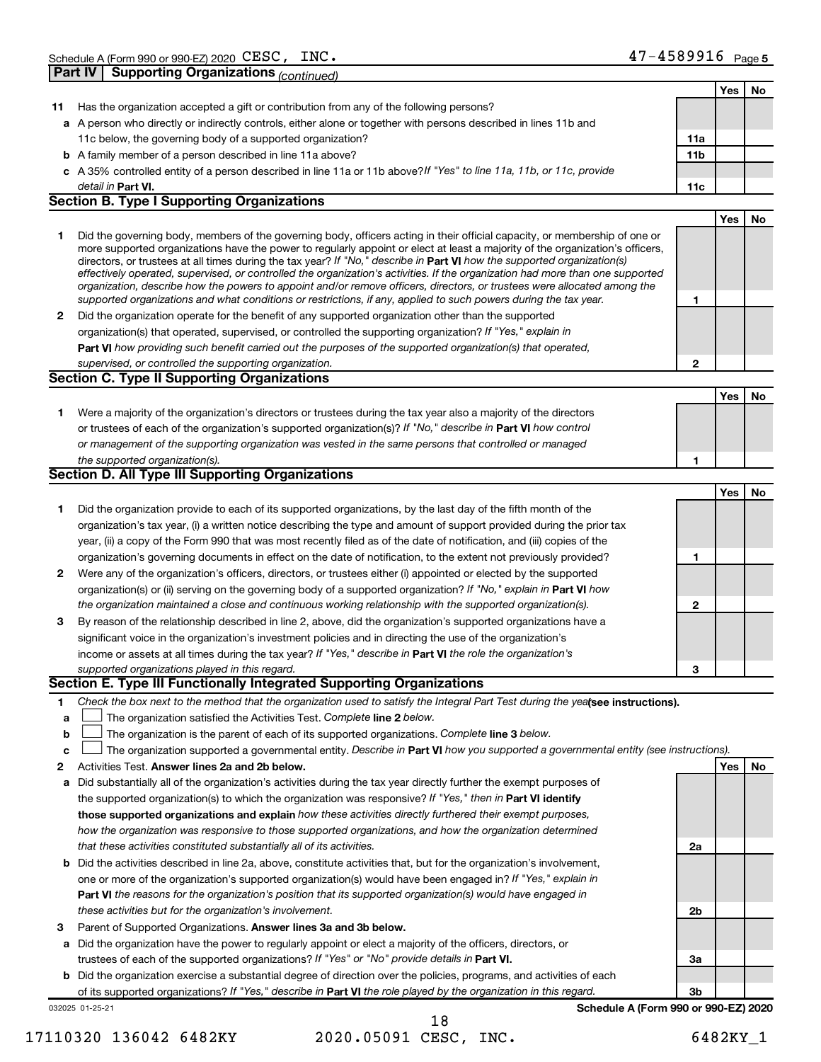|        | <b>Supporting Organizations (continued)</b><br>Part IV                                                                                                                                                                                                   |                 |     |    |
|--------|----------------------------------------------------------------------------------------------------------------------------------------------------------------------------------------------------------------------------------------------------------|-----------------|-----|----|
|        |                                                                                                                                                                                                                                                          |                 | Yes | No |
| 11     | Has the organization accepted a gift or contribution from any of the following persons?                                                                                                                                                                  |                 |     |    |
|        | a A person who directly or indirectly controls, either alone or together with persons described in lines 11b and                                                                                                                                         |                 |     |    |
|        | 11c below, the governing body of a supported organization?                                                                                                                                                                                               | 11a             |     |    |
|        | <b>b</b> A family member of a person described in line 11a above?                                                                                                                                                                                        | 11 <sub>b</sub> |     |    |
|        | c A 35% controlled entity of a person described in line 11a or 11b above?If "Yes" to line 11a, 11b, or 11c, provide                                                                                                                                      |                 |     |    |
|        | detail in Part VI.                                                                                                                                                                                                                                       | 11c             |     |    |
|        | <b>Section B. Type I Supporting Organizations</b>                                                                                                                                                                                                        |                 |     |    |
|        |                                                                                                                                                                                                                                                          |                 | Yes | No |
| 1      | Did the governing body, members of the governing body, officers acting in their official capacity, or membership of one or                                                                                                                               |                 |     |    |
|        | more supported organizations have the power to regularly appoint or elect at least a majority of the organization's officers,<br>directors, or trustees at all times during the tax year? If "No," describe in Part VI how the supported organization(s) |                 |     |    |
|        | effectively operated, supervised, or controlled the organization's activities. If the organization had more than one supported                                                                                                                           |                 |     |    |
|        | organization, describe how the powers to appoint and/or remove officers, directors, or trustees were allocated among the                                                                                                                                 |                 |     |    |
|        | supported organizations and what conditions or restrictions, if any, applied to such powers during the tax year.                                                                                                                                         | 1               |     |    |
| 2      | Did the organization operate for the benefit of any supported organization other than the supported                                                                                                                                                      |                 |     |    |
|        | organization(s) that operated, supervised, or controlled the supporting organization? If "Yes," explain in                                                                                                                                               |                 |     |    |
|        | Part VI how providing such benefit carried out the purposes of the supported organization(s) that operated,                                                                                                                                              |                 |     |    |
|        | supervised, or controlled the supporting organization.<br><b>Section C. Type II Supporting Organizations</b>                                                                                                                                             | $\mathbf{2}$    |     |    |
|        |                                                                                                                                                                                                                                                          |                 | Yes | No |
| 1      | Were a majority of the organization's directors or trustees during the tax year also a majority of the directors                                                                                                                                         |                 |     |    |
|        | or trustees of each of the organization's supported organization(s)? If "No," describe in Part VI how control                                                                                                                                            |                 |     |    |
|        | or management of the supporting organization was vested in the same persons that controlled or managed                                                                                                                                                   |                 |     |    |
|        | the supported organization(s).                                                                                                                                                                                                                           | 1               |     |    |
|        | <b>Section D. All Type III Supporting Organizations</b>                                                                                                                                                                                                  |                 |     |    |
|        |                                                                                                                                                                                                                                                          |                 | Yes | No |
| 1      | Did the organization provide to each of its supported organizations, by the last day of the fifth month of the                                                                                                                                           |                 |     |    |
|        | organization's tax year, (i) a written notice describing the type and amount of support provided during the prior tax                                                                                                                                    |                 |     |    |
|        | year, (ii) a copy of the Form 990 that was most recently filed as of the date of notification, and (iii) copies of the                                                                                                                                   |                 |     |    |
|        | organization's governing documents in effect on the date of notification, to the extent not previously provided?                                                                                                                                         | 1               |     |    |
| 2      | Were any of the organization's officers, directors, or trustees either (i) appointed or elected by the supported                                                                                                                                         |                 |     |    |
|        | organization(s) or (ii) serving on the governing body of a supported organization? If "No," explain in Part VI how                                                                                                                                       |                 |     |    |
|        | the organization maintained a close and continuous working relationship with the supported organization(s).                                                                                                                                              | $\mathbf{2}$    |     |    |
| 3      | By reason of the relationship described in line 2, above, did the organization's supported organizations have a                                                                                                                                          |                 |     |    |
|        | significant voice in the organization's investment policies and in directing the use of the organization's                                                                                                                                               |                 |     |    |
|        | income or assets at all times during the tax year? If "Yes," describe in Part VI the role the organization's                                                                                                                                             |                 |     |    |
|        | supported organizations played in this regard.<br>Section E. Type III Functionally Integrated Supporting Organizations                                                                                                                                   | з               |     |    |
|        |                                                                                                                                                                                                                                                          |                 |     |    |
| 1      | Check the box next to the method that the organization used to satisfy the Integral Part Test during the yealsee instructions).                                                                                                                          |                 |     |    |
| a      | The organization satisfied the Activities Test. Complete line 2 below.<br>The organization is the parent of each of its supported organizations. Complete line 3 below.                                                                                  |                 |     |    |
| b<br>c | The organization supported a governmental entity. Describe in Part VI how you supported a governmental entity (see instructions).                                                                                                                        |                 |     |    |
| 2      | Activities Test. Answer lines 2a and 2b below.                                                                                                                                                                                                           |                 | Yes | No |
| а      | Did substantially all of the organization's activities during the tax year directly further the exempt purposes of                                                                                                                                       |                 |     |    |
|        | the supported organization(s) to which the organization was responsive? If "Yes," then in Part VI identify                                                                                                                                               |                 |     |    |
|        | those supported organizations and explain how these activities directly furthered their exempt purposes,                                                                                                                                                 |                 |     |    |
|        | how the organization was responsive to those supported organizations, and how the organization determined                                                                                                                                                |                 |     |    |
|        | that these activities constituted substantially all of its activities.                                                                                                                                                                                   | 2a              |     |    |
| b      | Did the activities described in line 2a, above, constitute activities that, but for the organization's involvement,                                                                                                                                      |                 |     |    |
|        | one or more of the organization's supported organization(s) would have been engaged in? If "Yes," explain in                                                                                                                                             |                 |     |    |
|        | Part VI the reasons for the organization's position that its supported organization(s) would have engaged in                                                                                                                                             |                 |     |    |
|        | these activities but for the organization's involvement.                                                                                                                                                                                                 | 2b              |     |    |
| З      | Parent of Supported Organizations. Answer lines 3a and 3b below.                                                                                                                                                                                         |                 |     |    |
| а      | Did the organization have the power to regularly appoint or elect a majority of the officers, directors, or                                                                                                                                              |                 |     |    |
|        | trustees of each of the supported organizations? If "Yes" or "No" provide details in Part VI.                                                                                                                                                            | За              |     |    |
| b      | Did the organization exercise a substantial degree of direction over the policies, programs, and activities of each                                                                                                                                      |                 |     |    |
|        | of its supported organizations? If "Yes," describe in Part VI the role played by the organization in this regard.                                                                                                                                        | 3b              |     |    |

032025 01-25-21

17110320 136042 6482KY 2020.05091 CESC, INC. 6482KY\_1 18

**Schedule A (Form 990 or 990-EZ) 2020**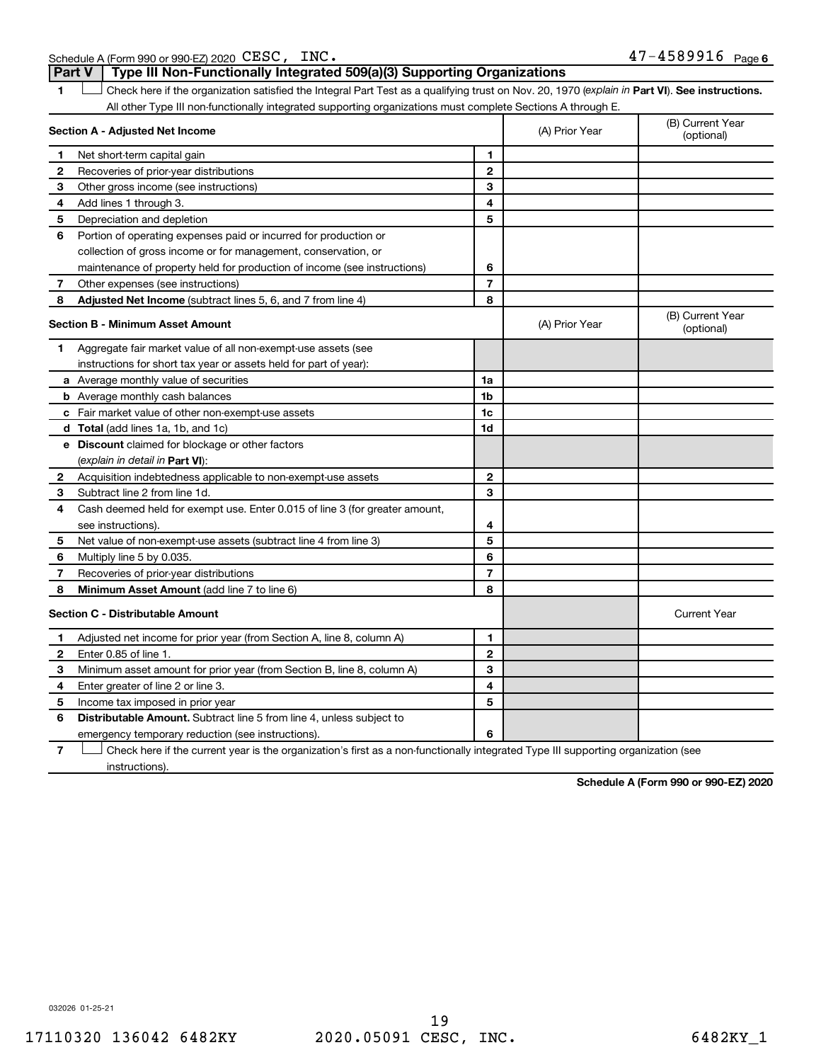Schedule A (Form 990 or 990-EZ) 2020 CESC, INC.

1 **Letter See instructions.** Check here if the organization satisfied the Integral Part Test as a qualifying trust on Nov. 20, 1970 (*explain in* Part **VI**). See instructions. All other Type III non-functionally integrated supporting organizations must complete Sections A through E.

**Part V Type III Non-Functionally Integrated 509(a)(3) Supporting Organizations** 

| Section A - Adjusted Net Income |                                                                             | (A) Prior Year | (B) Current Year<br>(optional) |                                |
|---------------------------------|-----------------------------------------------------------------------------|----------------|--------------------------------|--------------------------------|
| 1                               | Net short-term capital gain                                                 | 1              |                                |                                |
| 2                               | Recoveries of prior-year distributions                                      | $\mathbf{2}$   |                                |                                |
| 3                               | Other gross income (see instructions)                                       | 3              |                                |                                |
| 4                               | Add lines 1 through 3.                                                      | 4              |                                |                                |
| 5                               | Depreciation and depletion                                                  | 5              |                                |                                |
| 6                               | Portion of operating expenses paid or incurred for production or            |                |                                |                                |
|                                 | collection of gross income or for management, conservation, or              |                |                                |                                |
|                                 | maintenance of property held for production of income (see instructions)    | 6              |                                |                                |
| 7                               | Other expenses (see instructions)                                           | $\overline{7}$ |                                |                                |
| 8                               | Adjusted Net Income (subtract lines 5, 6, and 7 from line 4)                | 8              |                                |                                |
|                                 | <b>Section B - Minimum Asset Amount</b>                                     |                | (A) Prior Year                 | (B) Current Year<br>(optional) |
| 1                               | Aggregate fair market value of all non-exempt-use assets (see               |                |                                |                                |
|                                 | instructions for short tax year or assets held for part of year):           |                |                                |                                |
|                                 | a Average monthly value of securities                                       | 1a             |                                |                                |
|                                 | <b>b</b> Average monthly cash balances                                      | 1 <sub>b</sub> |                                |                                |
|                                 | c Fair market value of other non-exempt-use assets                          | 1c             |                                |                                |
|                                 | d Total (add lines 1a, 1b, and 1c)                                          | 1d             |                                |                                |
|                                 | e Discount claimed for blockage or other factors                            |                |                                |                                |
|                                 | (explain in detail in <b>Part VI</b> ):                                     |                |                                |                                |
| 2                               | Acquisition indebtedness applicable to non-exempt-use assets                | $\mathbf{2}$   |                                |                                |
| 3                               | Subtract line 2 from line 1d.                                               | 3              |                                |                                |
| 4                               | Cash deemed held for exempt use. Enter 0.015 of line 3 (for greater amount, |                |                                |                                |
|                                 | see instructions).                                                          | 4              |                                |                                |
| 5                               | Net value of non-exempt-use assets (subtract line 4 from line 3)            | 5              |                                |                                |
| 6                               | Multiply line 5 by 0.035.                                                   | 6              |                                |                                |
| 7                               | Recoveries of prior-year distributions                                      | $\overline{7}$ |                                |                                |
| 8                               | <b>Minimum Asset Amount (add line 7 to line 6)</b>                          | 8              |                                |                                |
|                                 | <b>Section C - Distributable Amount</b>                                     |                |                                | <b>Current Year</b>            |
| 1                               | Adjusted net income for prior year (from Section A, line 8, column A)       | 1              |                                |                                |
| 2                               | Enter 0.85 of line 1.                                                       | $\mathbf{2}$   |                                |                                |
| 3                               | Minimum asset amount for prior year (from Section B, line 8, column A)      | 3              |                                |                                |
| 4                               | Enter greater of line 2 or line 3.                                          | 4              |                                |                                |
| 5                               | Income tax imposed in prior year                                            | 5              |                                |                                |
| 6                               | <b>Distributable Amount.</b> Subtract line 5 from line 4, unless subject to |                |                                |                                |
|                                 | emergency temporary reduction (see instructions).                           | 6              |                                |                                |
|                                 |                                                                             |                |                                |                                |

**7** Check here if the current year is the organization's first as a non-functionally integrated Type III supporting organization (see † instructions).

**Schedule A (Form 990 or 990-EZ) 2020**

032026 01-25-21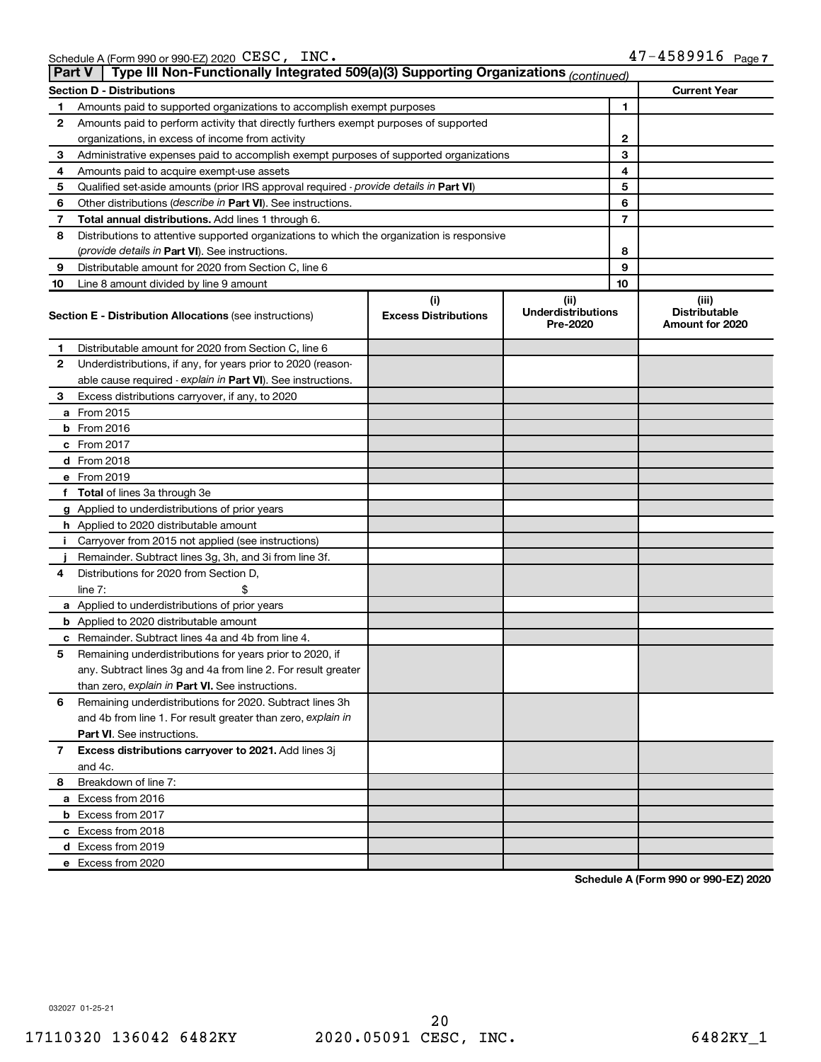| Part V | Type III Non-Functionally Integrated 509(a)(3) Supporting Organizations (continued)        |                                    |                                               |    |                                                  |
|--------|--------------------------------------------------------------------------------------------|------------------------------------|-----------------------------------------------|----|--------------------------------------------------|
|        | <b>Section D - Distributions</b>                                                           |                                    |                                               |    | <b>Current Year</b>                              |
| 1      | Amounts paid to supported organizations to accomplish exempt purposes                      |                                    | 1                                             |    |                                                  |
| 2      | Amounts paid to perform activity that directly furthers exempt purposes of supported       |                                    |                                               |    |                                                  |
|        | organizations, in excess of income from activity                                           |                                    | 2                                             |    |                                                  |
| 3      | Administrative expenses paid to accomplish exempt purposes of supported organizations      |                                    |                                               | 3  |                                                  |
| 4      | Amounts paid to acquire exempt-use assets                                                  |                                    |                                               | 4  |                                                  |
| 5      | Qualified set-aside amounts (prior IRS approval required - provide details in Part VI)     |                                    |                                               | 5  |                                                  |
| 6      | Other distributions (describe in Part VI). See instructions.                               |                                    |                                               | 6  |                                                  |
| 7      | Total annual distributions. Add lines 1 through 6.                                         |                                    |                                               | 7  |                                                  |
| 8      | Distributions to attentive supported organizations to which the organization is responsive |                                    |                                               |    |                                                  |
|        | ( <i>provide details in Part VI</i> ). See instructions.                                   |                                    |                                               | 8  |                                                  |
| 9      | Distributable amount for 2020 from Section C, line 6                                       |                                    |                                               | 9  |                                                  |
| 10     | Line 8 amount divided by line 9 amount                                                     |                                    |                                               | 10 |                                                  |
|        | <b>Section E - Distribution Allocations (see instructions)</b>                             | (i)<br><b>Excess Distributions</b> | (ii)<br><b>Underdistributions</b><br>Pre-2020 |    | (iii)<br><b>Distributable</b><br>Amount for 2020 |
| 1      | Distributable amount for 2020 from Section C, line 6                                       |                                    |                                               |    |                                                  |
| 2      | Underdistributions, if any, for years prior to 2020 (reason-                               |                                    |                                               |    |                                                  |
|        | able cause required - explain in Part VI). See instructions.                               |                                    |                                               |    |                                                  |
| З      | Excess distributions carryover, if any, to 2020                                            |                                    |                                               |    |                                                  |
|        | a From 2015                                                                                |                                    |                                               |    |                                                  |
|        | $b$ From 2016                                                                              |                                    |                                               |    |                                                  |
|        | c From 2017                                                                                |                                    |                                               |    |                                                  |
|        | <b>d</b> From 2018                                                                         |                                    |                                               |    |                                                  |
|        | e From 2019                                                                                |                                    |                                               |    |                                                  |
|        | f Total of lines 3a through 3e                                                             |                                    |                                               |    |                                                  |
|        | g Applied to underdistributions of prior years                                             |                                    |                                               |    |                                                  |
|        | <b>h</b> Applied to 2020 distributable amount                                              |                                    |                                               |    |                                                  |
| Ť.     | Carryover from 2015 not applied (see instructions)                                         |                                    |                                               |    |                                                  |
|        | Remainder. Subtract lines 3g, 3h, and 3i from line 3f.                                     |                                    |                                               |    |                                                  |
| 4      | Distributions for 2020 from Section D,                                                     |                                    |                                               |    |                                                  |
|        | line 7:                                                                                    |                                    |                                               |    |                                                  |
|        | a Applied to underdistributions of prior years                                             |                                    |                                               |    |                                                  |
|        | <b>b</b> Applied to 2020 distributable amount                                              |                                    |                                               |    |                                                  |
|        | c Remainder. Subtract lines 4a and 4b from line 4.                                         |                                    |                                               |    |                                                  |
| 5      | Remaining underdistributions for years prior to 2020, if                                   |                                    |                                               |    |                                                  |
|        | any. Subtract lines 3g and 4a from line 2. For result greater                              |                                    |                                               |    |                                                  |
|        | than zero, explain in Part VI. See instructions.                                           |                                    |                                               |    |                                                  |
| 6      | Remaining underdistributions for 2020. Subtract lines 3h                                   |                                    |                                               |    |                                                  |
|        | and 4b from line 1. For result greater than zero, explain in                               |                                    |                                               |    |                                                  |
|        | <b>Part VI.</b> See instructions.                                                          |                                    |                                               |    |                                                  |
| 7      | Excess distributions carryover to 2021. Add lines 3j                                       |                                    |                                               |    |                                                  |
|        | and 4c.                                                                                    |                                    |                                               |    |                                                  |
| 8      | Breakdown of line 7:                                                                       |                                    |                                               |    |                                                  |
|        | a Excess from 2016                                                                         |                                    |                                               |    |                                                  |
|        | <b>b</b> Excess from 2017                                                                  |                                    |                                               |    |                                                  |
|        | c Excess from 2018                                                                         |                                    |                                               |    |                                                  |
|        | d Excess from 2019                                                                         |                                    |                                               |    |                                                  |
|        | e Excess from 2020                                                                         |                                    |                                               |    |                                                  |

**Schedule A (Form 990 or 990-EZ) 2020**

032027 01-25-21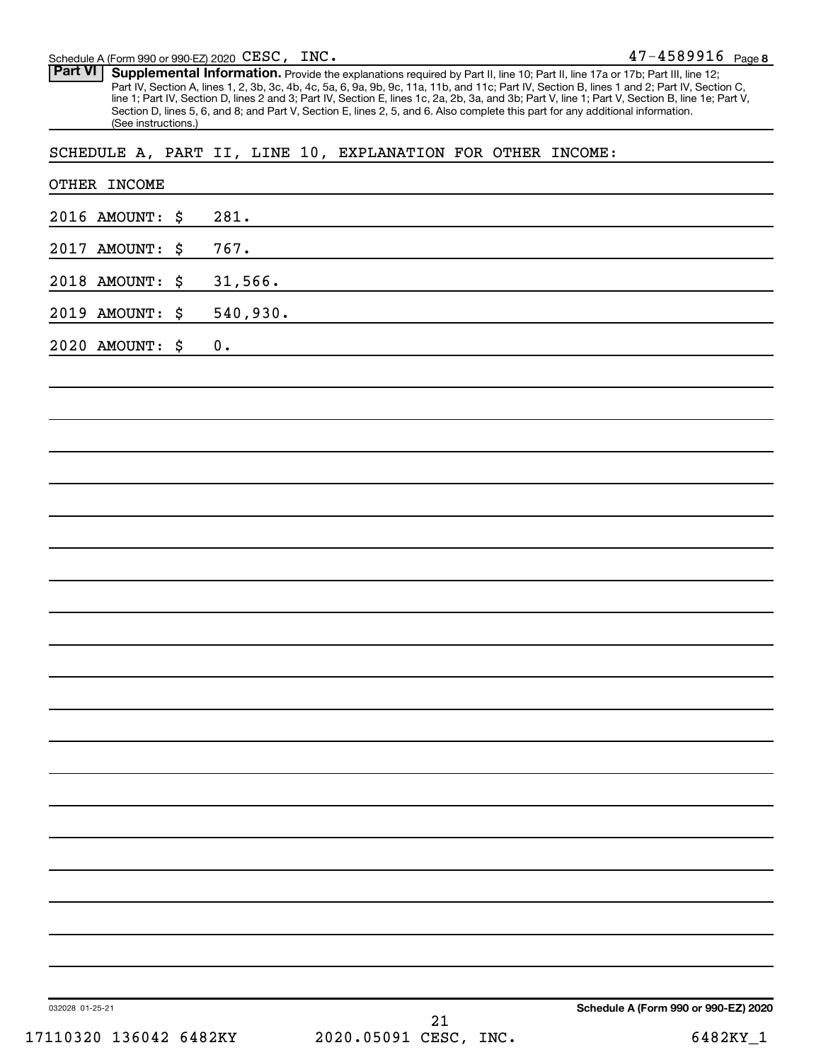# Schedule A (Form 990 or 990-EZ) 2020 CESC,  $\overline{\text{INC.}}$ <br>**Part VI | Supplemental Information**, Provide the

Part VI | Supplemental Information. Provide the explanations required by Part II, line 10; Part II, line 17a or 17b; Part III, line 12; Part IV, Section A, lines 1, 2, 3b, 3c, 4b, 4c, 5a, 6, 9a, 9b, 9c, 11a, 11b, and 11c; Part IV, Section B, lines 1 and 2; Part IV, Section C, line 1; Part IV, Section D, lines 2 and 3; Part IV, Section E, lines 1c, 2a, 2b, 3a, and 3b; Part V, line 1; Part V, Section B, line 1e; Part V, Section D, lines 5, 6, and 8; and Part V, Section E, lines 2, 5, and 6. Also complete this part for any additional information. (See instructions.)

SCHEDULE A, PART II, LINE 10, EXPLANATION FOR OTHER INCOME:

| 032028 01-25-21<br>17110320 136042 6482KY | $2\sqrt{1}$<br>2020.05091 CESC, INC. | Schedule A (Form 990 or 990-EZ) 2020<br>6482KY_1 |
|-------------------------------------------|--------------------------------------|--------------------------------------------------|
|                                           |                                      |                                                  |
|                                           |                                      |                                                  |
|                                           |                                      |                                                  |
|                                           |                                      |                                                  |
|                                           |                                      |                                                  |
|                                           |                                      |                                                  |
|                                           |                                      |                                                  |
|                                           |                                      |                                                  |
|                                           |                                      |                                                  |
|                                           |                                      |                                                  |
|                                           |                                      |                                                  |
|                                           |                                      |                                                  |
|                                           |                                      |                                                  |
|                                           |                                      |                                                  |
|                                           |                                      |                                                  |
|                                           |                                      |                                                  |
| 2020 AMOUNT:<br>\$<br>$\mathbf 0$ .       |                                      |                                                  |
| 540,930.<br>2019 AMOUNT:<br>\$            |                                      |                                                  |
| 31,566.<br>2018 AMOUNT:<br>\$             |                                      |                                                  |
| 767.<br>2017 AMOUNT:<br>\$                |                                      |                                                  |
| 2016 AMOUNT:<br>\$<br>281.                |                                      |                                                  |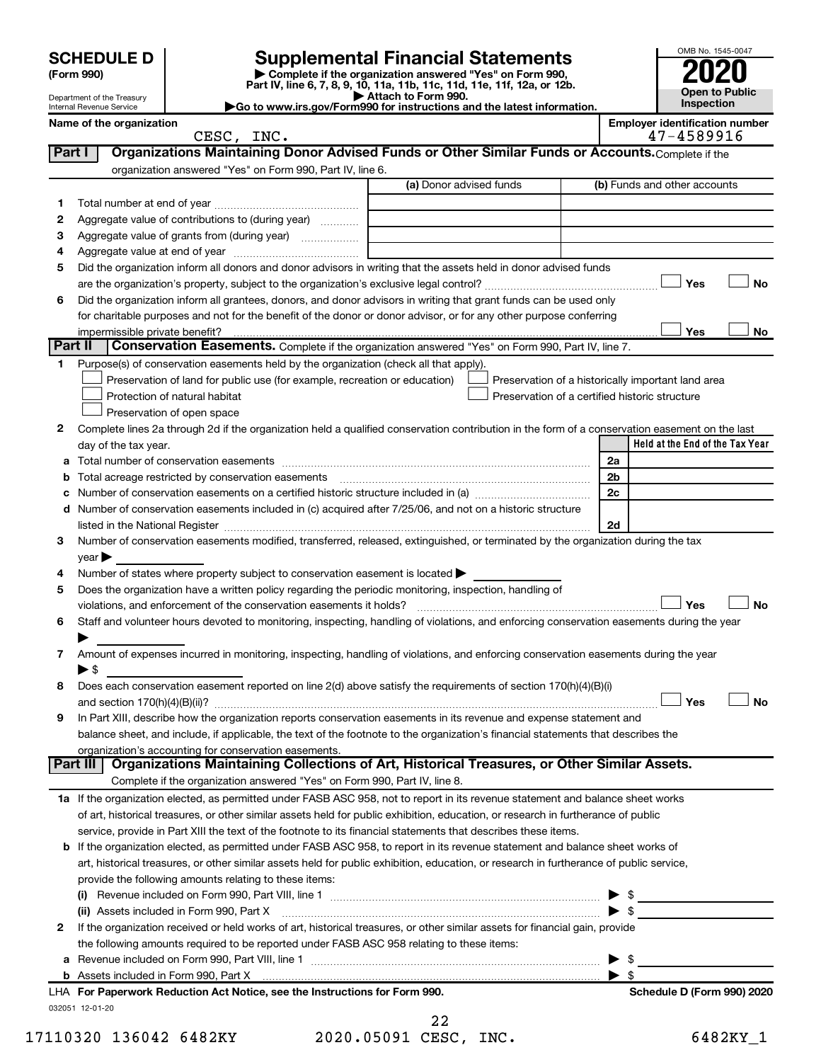| <b>SCHEDULE D</b> |  |
|-------------------|--|
|-------------------|--|

Department of the Treasury Internal Revenue Service

# **SCHEDULE D Supplemental Financial Statements**<br> **Form 990 2020**<br> **Part IV** line 6.7.8.9.10, 11a, 11b, 11d, 11d, 11d, 11d, 11d, 12a, 0r, 12b

**(Form 990) | Complete if the organization answered "Yes" on Form 990, Part IV, line 6, 7, 8, 9, 10, 11a, 11b, 11c, 11d, 11e, 11f, 12a, or 12b.**

**| Attach to Form 990. |Go to www.irs.gov/Form990 for instructions and the latest information.**



| ESC. | INC | $\bullet$ |
|------|-----|-----------|
| . .  |     |           |

Name of the organization **CESC**, INC. **Employer identification number Employer identification number** CESC, INC. 47-4589916

|          | Organizations Maintaining Donor Advised Funds or Other Similar Funds or Accounts. Complete if the<br>Part I                                    |                         |  |                                                    |  |  |
|----------|------------------------------------------------------------------------------------------------------------------------------------------------|-------------------------|--|----------------------------------------------------|--|--|
|          | organization answered "Yes" on Form 990, Part IV, line 6.                                                                                      |                         |  |                                                    |  |  |
|          |                                                                                                                                                | (a) Donor advised funds |  | (b) Funds and other accounts                       |  |  |
| 1.       |                                                                                                                                                |                         |  |                                                    |  |  |
| 2        | Aggregate value of contributions to (during year)                                                                                              |                         |  |                                                    |  |  |
| З        | Aggregate value of grants from (during year)                                                                                                   |                         |  |                                                    |  |  |
| 4        |                                                                                                                                                |                         |  |                                                    |  |  |
| 5        | Did the organization inform all donors and donor advisors in writing that the assets held in donor advised funds                               |                         |  |                                                    |  |  |
|          |                                                                                                                                                |                         |  | Yes<br>No                                          |  |  |
| 6        | Did the organization inform all grantees, donors, and donor advisors in writing that grant funds can be used only                              |                         |  |                                                    |  |  |
|          | for charitable purposes and not for the benefit of the donor or donor advisor, or for any other purpose conferring                             |                         |  |                                                    |  |  |
|          | impermissible private benefit?                                                                                                                 |                         |  | Yes<br>No                                          |  |  |
| Part II  | Conservation Easements. Complete if the organization answered "Yes" on Form 990, Part IV, line 7.                                              |                         |  |                                                    |  |  |
| 1.       | Purpose(s) of conservation easements held by the organization (check all that apply).                                                          |                         |  |                                                    |  |  |
|          | Preservation of land for public use (for example, recreation or education)                                                                     |                         |  | Preservation of a historically important land area |  |  |
|          | Protection of natural habitat                                                                                                                  |                         |  | Preservation of a certified historic structure     |  |  |
|          | Preservation of open space                                                                                                                     |                         |  |                                                    |  |  |
| 2        | Complete lines 2a through 2d if the organization held a qualified conservation contribution in the form of a conservation easement on the last |                         |  |                                                    |  |  |
|          | day of the tax year.                                                                                                                           |                         |  | Held at the End of the Tax Year                    |  |  |
| a        |                                                                                                                                                |                         |  | 2a                                                 |  |  |
| b        | Total acreage restricted by conservation easements                                                                                             |                         |  | 2 <sub>b</sub>                                     |  |  |
| с        | Number of conservation easements on a certified historic structure included in (a) manufacture included in (a)                                 |                         |  | 2c                                                 |  |  |
| d        | Number of conservation easements included in (c) acquired after 7/25/06, and not on a historic structure                                       |                         |  |                                                    |  |  |
|          |                                                                                                                                                |                         |  | 2d                                                 |  |  |
| 3        | Number of conservation easements modified, transferred, released, extinguished, or terminated by the organization during the tax               |                         |  |                                                    |  |  |
|          | year                                                                                                                                           |                         |  |                                                    |  |  |
| 4        | Number of states where property subject to conservation easement is located >                                                                  |                         |  |                                                    |  |  |
| 5        | Does the organization have a written policy regarding the periodic monitoring, inspection, handling of                                         |                         |  |                                                    |  |  |
|          | violations, and enforcement of the conservation easements it holds?                                                                            |                         |  | Yes<br><b>No</b>                                   |  |  |
| 6        | Staff and volunteer hours devoted to monitoring, inspecting, handling of violations, and enforcing conservation easements during the year      |                         |  |                                                    |  |  |
|          |                                                                                                                                                |                         |  |                                                    |  |  |
| 7        | Amount of expenses incurred in monitoring, inspecting, handling of violations, and enforcing conservation easements during the year            |                         |  |                                                    |  |  |
|          | $\blacktriangleright$ s                                                                                                                        |                         |  |                                                    |  |  |
| 8        | Does each conservation easement reported on line 2(d) above satisfy the requirements of section 170(h)(4)(B)(i)                                |                         |  |                                                    |  |  |
|          |                                                                                                                                                |                         |  | Yes<br><b>No</b>                                   |  |  |
| 9        | In Part XIII, describe how the organization reports conservation easements in its revenue and expense statement and                            |                         |  |                                                    |  |  |
|          | balance sheet, and include, if applicable, the text of the footnote to the organization's financial statements that describes the              |                         |  |                                                    |  |  |
|          | organization's accounting for conservation easements.                                                                                          |                         |  |                                                    |  |  |
| Part III | Organizations Maintaining Collections of Art, Historical Treasures, or Other Similar Assets.                                                   |                         |  |                                                    |  |  |
|          | Complete if the organization answered "Yes" on Form 990, Part IV, line 8.                                                                      |                         |  |                                                    |  |  |
|          | 1a If the organization elected, as permitted under FASB ASC 958, not to report in its revenue statement and balance sheet works                |                         |  |                                                    |  |  |
|          | of art, historical treasures, or other similar assets held for public exhibition, education, or research in furtherance of public              |                         |  |                                                    |  |  |
|          | service, provide in Part XIII the text of the footnote to its financial statements that describes these items.                                 |                         |  |                                                    |  |  |
|          | <b>b</b> If the organization elected, as permitted under FASB ASC 958, to report in its revenue statement and balance sheet works of           |                         |  |                                                    |  |  |
|          | art, historical treasures, or other similar assets held for public exhibition, education, or research in furtherance of public service,        |                         |  |                                                    |  |  |
|          | provide the following amounts relating to these items:                                                                                         |                         |  |                                                    |  |  |
|          | (i)                                                                                                                                            |                         |  | \$                                                 |  |  |
|          | (ii) Assets included in Form 990, Part X [11] [2000] [2010] Assets included in Form 990, Part X [11] [11] [200                                 |                         |  | $\blacktriangleright$ s                            |  |  |
| 2        | If the organization received or held works of art, historical treasures, or other similar assets for financial gain, provide                   |                         |  |                                                    |  |  |
|          | the following amounts required to be reported under FASB ASC 958 relating to these items:                                                      |                         |  |                                                    |  |  |
| а        |                                                                                                                                                |                         |  | \$                                                 |  |  |
|          |                                                                                                                                                |                         |  | \$                                                 |  |  |
|          | LHA For Paperwork Reduction Act Notice, see the Instructions for Form 990.                                                                     |                         |  | Schedule D (Form 990) 2020                         |  |  |
|          | 032051 12-01-20                                                                                                                                |                         |  |                                                    |  |  |

17110320 136042 6482KY 2020.05091 CESC, INC. 6482KY\_1

22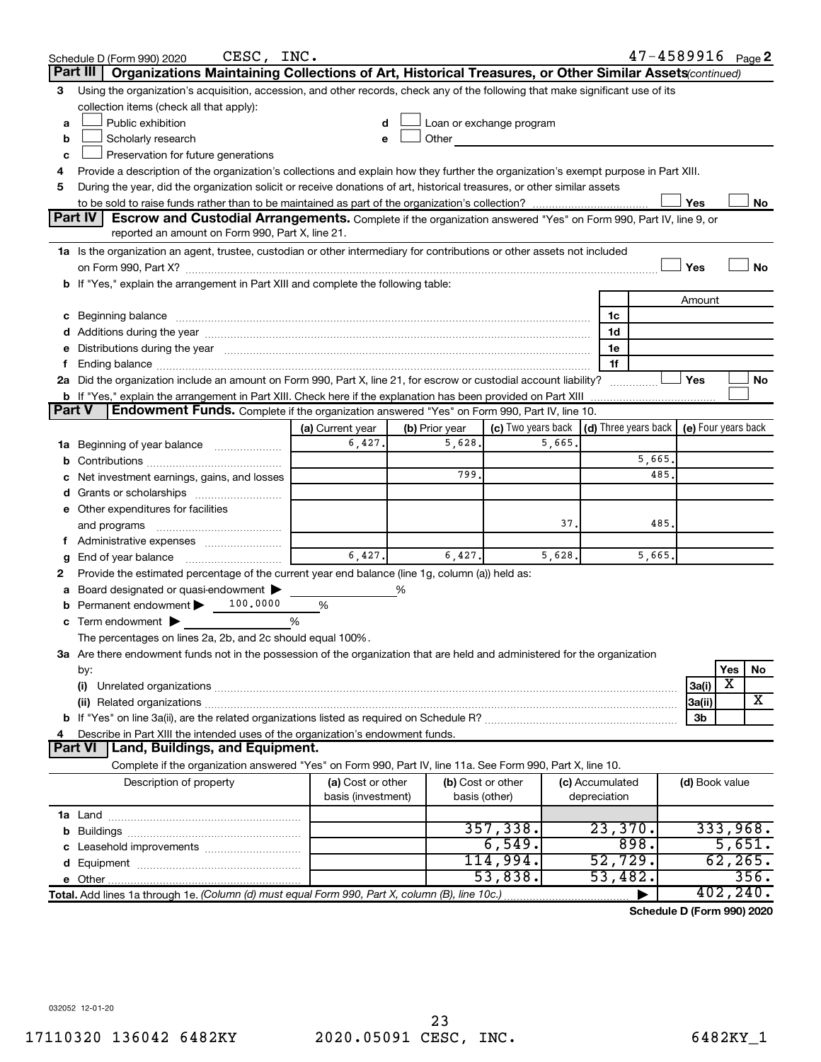|               | CESC, INC.<br>Schedule D (Form 990) 2020                                                                                                                                                                                       |                                         |                |                                                                  |        |                                 | 47-4589916 Page 2          |                |           |      |
|---------------|--------------------------------------------------------------------------------------------------------------------------------------------------------------------------------------------------------------------------------|-----------------------------------------|----------------|------------------------------------------------------------------|--------|---------------------------------|----------------------------|----------------|-----------|------|
|               | Part III<br>Organizations Maintaining Collections of Art, Historical Treasures, or Other Similar Assets (continued)                                                                                                            |                                         |                |                                                                  |        |                                 |                            |                |           |      |
| 3             | Using the organization's acquisition, accession, and other records, check any of the following that make significant use of its                                                                                                |                                         |                |                                                                  |        |                                 |                            |                |           |      |
|               | collection items (check all that apply):                                                                                                                                                                                       |                                         |                |                                                                  |        |                                 |                            |                |           |      |
| a             | Public exhibition                                                                                                                                                                                                              |                                         |                | Loan or exchange program                                         |        |                                 |                            |                |           |      |
| b             | Scholarly research                                                                                                                                                                                                             |                                         | Other          |                                                                  |        |                                 |                            |                |           |      |
| с             | Preservation for future generations                                                                                                                                                                                            |                                         |                |                                                                  |        |                                 |                            |                |           |      |
| 4             | Provide a description of the organization's collections and explain how they further the organization's exempt purpose in Part XIII.                                                                                           |                                         |                |                                                                  |        |                                 |                            |                |           |      |
| 5             | During the year, did the organization solicit or receive donations of art, historical treasures, or other similar assets                                                                                                       |                                         |                |                                                                  |        |                                 |                            |                |           |      |
|               |                                                                                                                                                                                                                                |                                         |                |                                                                  |        |                                 |                            | Yes            |           | No   |
|               | Part IV<br>Escrow and Custodial Arrangements. Complete if the organization answered "Yes" on Form 990, Part IV, line 9, or                                                                                                     |                                         |                |                                                                  |        |                                 |                            |                |           |      |
|               | reported an amount on Form 990, Part X, line 21.                                                                                                                                                                               |                                         |                |                                                                  |        |                                 |                            |                |           |      |
|               | 1a Is the organization an agent, trustee, custodian or other intermediary for contributions or other assets not included                                                                                                       |                                         |                |                                                                  |        |                                 |                            |                |           |      |
|               |                                                                                                                                                                                                                                |                                         |                |                                                                  |        |                                 |                            | Yes            |           | No   |
|               | b If "Yes," explain the arrangement in Part XIII and complete the following table:                                                                                                                                             |                                         |                |                                                                  |        |                                 |                            |                |           |      |
|               |                                                                                                                                                                                                                                |                                         |                |                                                                  |        |                                 |                            | Amount         |           |      |
|               | c Beginning balance measurements and the contract of the contract of the contract of the contract of the contract of the contract of the contract of the contract of the contract of the contract of the contract of the contr |                                         |                |                                                                  |        | 1c                              |                            |                |           |      |
|               |                                                                                                                                                                                                                                |                                         |                |                                                                  |        | 1d                              |                            |                |           |      |
|               | e Distributions during the year manufactured and contained and contained and contained and contained and contained and contained and contained and contained and contained and contained and contained and contained and conta |                                         |                |                                                                  |        | 1e<br>1f                        |                            |                |           |      |
|               | 2a Did the organization include an amount on Form 990, Part X, line 21, for escrow or custodial account liability?                                                                                                             |                                         |                |                                                                  |        |                                 |                            | Yes            |           | No   |
|               |                                                                                                                                                                                                                                |                                         |                |                                                                  |        |                                 |                            |                |           |      |
| <b>Part V</b> | Endowment Funds. Complete if the organization answered "Yes" on Form 990, Part IV, line 10.                                                                                                                                    |                                         |                |                                                                  |        |                                 |                            |                |           |      |
|               |                                                                                                                                                                                                                                | (a) Current year                        | (b) Prior year | (c) Two years back $ (d)$ Three years back $ e)$ Four years back |        |                                 |                            |                |           |      |
|               | 1a Beginning of year balance                                                                                                                                                                                                   | 6,427.                                  | 5,628.         |                                                                  | 5,665. |                                 |                            |                |           |      |
|               |                                                                                                                                                                                                                                |                                         |                |                                                                  |        |                                 | 5,665.                     |                |           |      |
|               | Net investment earnings, gains, and losses                                                                                                                                                                                     |                                         | 799.           |                                                                  |        |                                 | 485.                       |                |           |      |
|               |                                                                                                                                                                                                                                |                                         |                |                                                                  |        |                                 |                            |                |           |      |
|               | e Other expenditures for facilities                                                                                                                                                                                            |                                         |                |                                                                  |        |                                 |                            |                |           |      |
|               | and programs                                                                                                                                                                                                                   |                                         |                |                                                                  | 37.    |                                 | 485.                       |                |           |      |
|               |                                                                                                                                                                                                                                |                                         |                |                                                                  |        |                                 |                            |                |           |      |
| g             | End of year balance <i>manually contained</i>                                                                                                                                                                                  | 6,427.                                  | 6,427.         |                                                                  | 5,628. |                                 | 5,665.                     |                |           |      |
| 2             | Provide the estimated percentage of the current year end balance (line 1g, column (a)) held as:                                                                                                                                |                                         |                |                                                                  |        |                                 |                            |                |           |      |
|               | Board designated or quasi-endowment                                                                                                                                                                                            |                                         | %              |                                                                  |        |                                 |                            |                |           |      |
|               | 100,0000<br><b>b</b> Permanent endowment $\blacktriangleright$                                                                                                                                                                 | %                                       |                |                                                                  |        |                                 |                            |                |           |      |
|               | $\mathbf c$ Term endowment $\blacktriangleright$                                                                                                                                                                               | %                                       |                |                                                                  |        |                                 |                            |                |           |      |
|               | The percentages on lines 2a, 2b, and 2c should equal 100%.                                                                                                                                                                     |                                         |                |                                                                  |        |                                 |                            |                |           |      |
|               | 3a Are there endowment funds not in the possession of the organization that are held and administered for the organization                                                                                                     |                                         |                |                                                                  |        |                                 |                            |                |           |      |
|               | by:                                                                                                                                                                                                                            |                                         |                |                                                                  |        |                                 |                            |                | Yes       | No   |
|               | (i)                                                                                                                                                                                                                            |                                         |                |                                                                  |        |                                 |                            | 3a(i)          | х         |      |
|               |                                                                                                                                                                                                                                |                                         |                |                                                                  |        |                                 |                            | 3a(ii)         |           | x    |
|               |                                                                                                                                                                                                                                |                                         |                |                                                                  |        |                                 |                            | 3b             |           |      |
| 4             | Describe in Part XIII the intended uses of the organization's endowment funds.                                                                                                                                                 |                                         |                |                                                                  |        |                                 |                            |                |           |      |
|               | Land, Buildings, and Equipment.<br><b>Part VI</b>                                                                                                                                                                              |                                         |                |                                                                  |        |                                 |                            |                |           |      |
|               | Complete if the organization answered "Yes" on Form 990, Part IV, line 11a. See Form 990, Part X, line 10.                                                                                                                     |                                         |                |                                                                  |        |                                 |                            |                |           |      |
|               | Description of property                                                                                                                                                                                                        | (a) Cost or other<br>basis (investment) |                | (b) Cost or other<br>basis (other)                               |        | (c) Accumulated<br>depreciation |                            | (d) Book value |           |      |
|               |                                                                                                                                                                                                                                |                                         |                |                                                                  |        |                                 |                            |                |           |      |
|               |                                                                                                                                                                                                                                |                                         |                | 357,338.                                                         |        | 23,370.                         |                            |                | 333,968.  |      |
|               |                                                                                                                                                                                                                                |                                         |                | 6,549.                                                           |        |                                 | 898.                       |                | 5,651.    |      |
|               |                                                                                                                                                                                                                                |                                         |                | 114,994.                                                         |        | 52,729.                         |                            |                | 62, 265.  |      |
|               |                                                                                                                                                                                                                                |                                         |                | 53,838.                                                          |        | 53,482.                         |                            |                |           | 356. |
|               | Total. Add lines 1a through 1e. (Column (d) must equal Form 990, Part X, column (B), line 10c.)                                                                                                                                |                                         |                |                                                                  |        |                                 |                            |                | 402, 240. |      |
|               |                                                                                                                                                                                                                                |                                         |                |                                                                  |        |                                 | Schedule D (Form 990) 2020 |                |           |      |

**Schedule D (Form 990) 2020**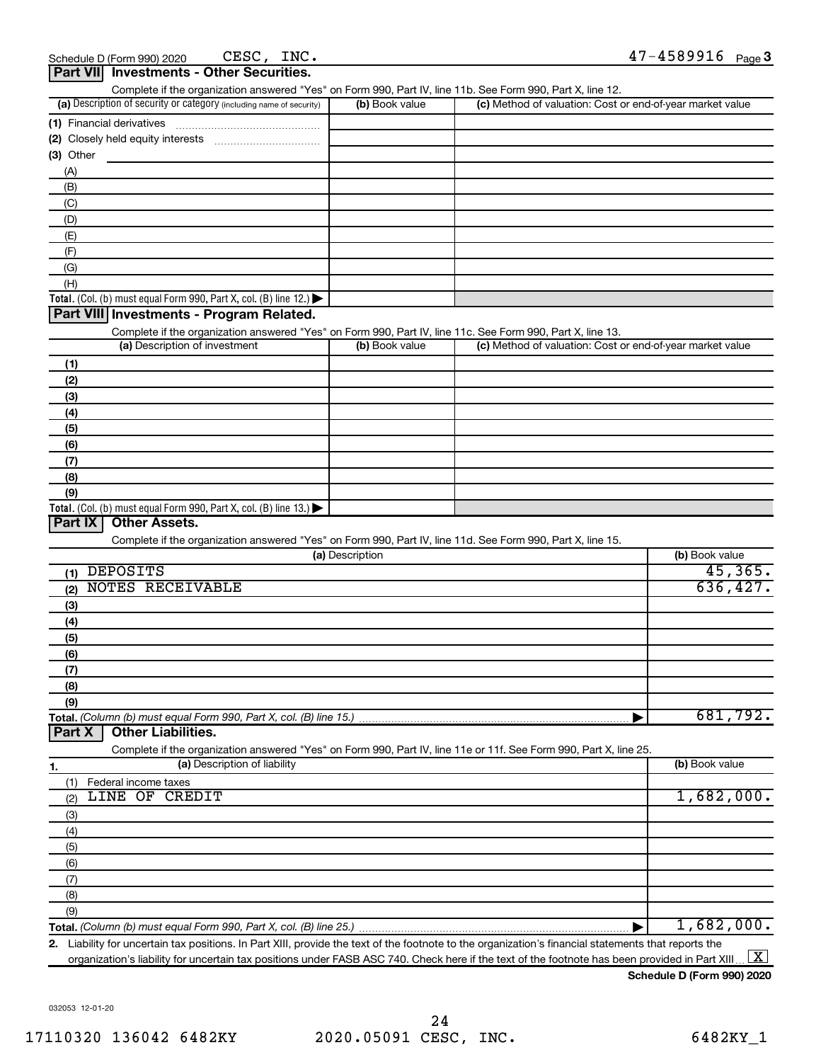| Part VII Investments - Other Securities.<br>Complete if the organization answered "Yes" on Form 990, Part IV, line 11b. See Form 990, Part X, line 12. |                 |                                                           |                |
|--------------------------------------------------------------------------------------------------------------------------------------------------------|-----------------|-----------------------------------------------------------|----------------|
| (a) Description of security or category (including name of security)                                                                                   | (b) Book value  | (c) Method of valuation: Cost or end-of-year market value |                |
| (1) Financial derivatives                                                                                                                              |                 |                                                           |                |
|                                                                                                                                                        |                 |                                                           |                |
| (3) Other                                                                                                                                              |                 |                                                           |                |
| (A)                                                                                                                                                    |                 |                                                           |                |
| (B)                                                                                                                                                    |                 |                                                           |                |
| (C)                                                                                                                                                    |                 |                                                           |                |
| (D)                                                                                                                                                    |                 |                                                           |                |
| (E)                                                                                                                                                    |                 |                                                           |                |
| (F)                                                                                                                                                    |                 |                                                           |                |
| (G)                                                                                                                                                    |                 |                                                           |                |
| (H)                                                                                                                                                    |                 |                                                           |                |
| Total. (Col. (b) must equal Form 990, Part X, col. (B) line 12.) $\blacktriangleright$                                                                 |                 |                                                           |                |
| Part VIII Investments - Program Related.                                                                                                               |                 |                                                           |                |
| Complete if the organization answered "Yes" on Form 990, Part IV, line 11c. See Form 990, Part X, line 13.                                             |                 |                                                           |                |
| (a) Description of investment                                                                                                                          | (b) Book value  | (c) Method of valuation: Cost or end-of-year market value |                |
| (1)                                                                                                                                                    |                 |                                                           |                |
| (2)                                                                                                                                                    |                 |                                                           |                |
| (3)                                                                                                                                                    |                 |                                                           |                |
| (4)                                                                                                                                                    |                 |                                                           |                |
| (5)                                                                                                                                                    |                 |                                                           |                |
| (6)                                                                                                                                                    |                 |                                                           |                |
| (7)                                                                                                                                                    |                 |                                                           |                |
| (8)                                                                                                                                                    |                 |                                                           |                |
| (9)                                                                                                                                                    |                 |                                                           |                |
| Total. (Col. (b) must equal Form 990, Part X, col. (B) line 13.) $\blacktriangleright$                                                                 |                 |                                                           |                |
| Part IX<br><b>Other Assets.</b>                                                                                                                        |                 |                                                           |                |
| Complete if the organization answered "Yes" on Form 990, Part IV, line 11d. See Form 990, Part X, line 15.                                             |                 |                                                           |                |
|                                                                                                                                                        | (a) Description |                                                           | (b) Book value |
| <b>DEPOSITS</b><br>(1)                                                                                                                                 |                 |                                                           | 45,365.        |
| <b>NOTES RECEIVABLE</b><br>(2)                                                                                                                         |                 |                                                           | 636,427.       |
| (3)                                                                                                                                                    |                 |                                                           |                |
| (4)                                                                                                                                                    |                 |                                                           |                |
| (5)                                                                                                                                                    |                 |                                                           |                |
| (6)                                                                                                                                                    |                 |                                                           |                |
| (7)                                                                                                                                                    |                 |                                                           |                |
| (8)                                                                                                                                                    |                 |                                                           |                |
| (9)                                                                                                                                                    |                 |                                                           |                |
| Total. (Column (b) must equal Form 990, Part X, col. (B) line 15.)                                                                                     |                 |                                                           | 681,792.       |
| <b>Other Liabilities.</b><br>Part X                                                                                                                    |                 |                                                           |                |
| Complete if the organization answered "Yes" on Form 990, Part IV, line 11e or 11f. See Form 990, Part X, line 25.                                      |                 |                                                           |                |
| (a) Description of liability<br>1.                                                                                                                     |                 |                                                           | (b) Book value |
|                                                                                                                                                        |                 |                                                           |                |

| Federal income taxes<br>(1) |            |
|-----------------------------|------------|
| LINE OF CREDIT<br>(2)       | 1,682,000. |
| (3)                         |            |
| (4)                         |            |
| (5)                         |            |
| (6)                         |            |
| (7)                         |            |
| (8)                         |            |
| (9)                         |            |
|                             | 1,682,000. |

**2.** Liability for uncertain tax positions. In Part XIII, provide the text of the footnote to the organization's financial statements that reports the organization's liability for uncertain tax positions under FASB ASC 740. Check here if the text of the footnote has been provided in Part XIII ...  $\fbox{\bf X}$ 

**Schedule D (Form 990) 2020**

032053 12-01-20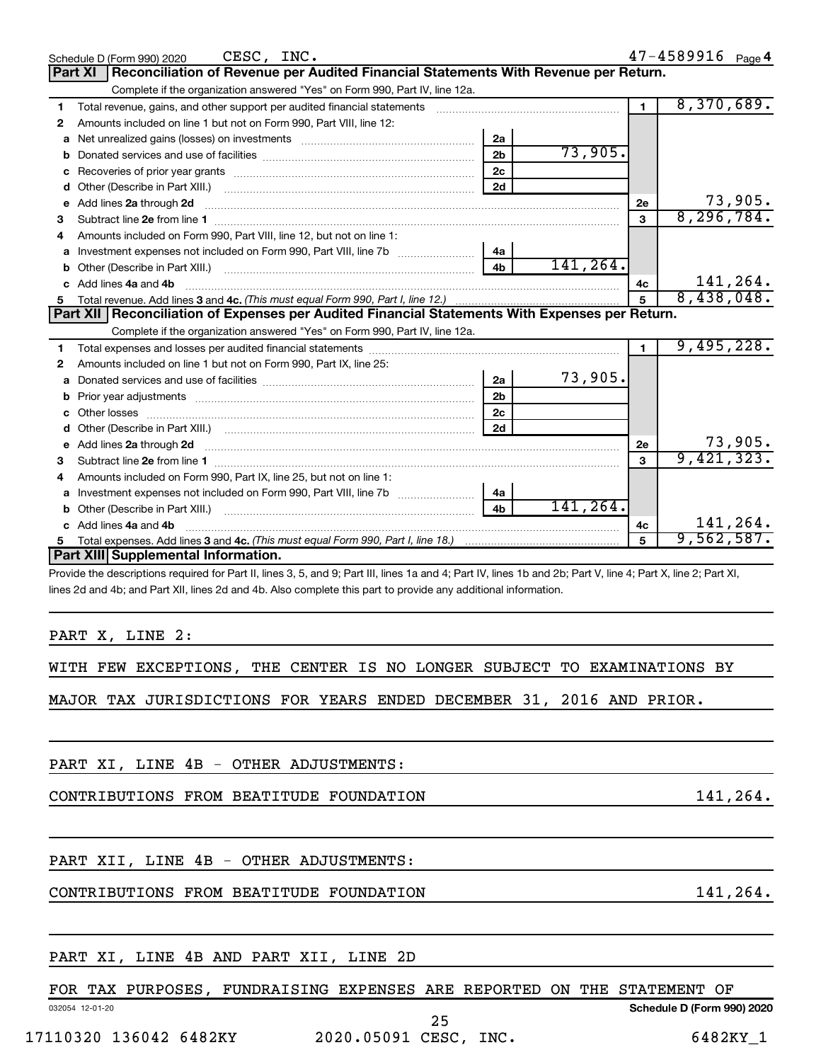|    | CESC, INC.<br>Schedule D (Form 990) 2020                                                                                |                |           |                | $47 - 4589916$ Page 4 |
|----|-------------------------------------------------------------------------------------------------------------------------|----------------|-----------|----------------|-----------------------|
|    | Reconciliation of Revenue per Audited Financial Statements With Revenue per Return.<br>Part XI                          |                |           |                |                       |
|    | Complete if the organization answered "Yes" on Form 990, Part IV, line 12a.                                             |                |           |                |                       |
| 1  | Total revenue, gains, and other support per audited financial statements                                                |                |           | $\blacksquare$ | 8,370,689.            |
| 2  | Amounts included on line 1 but not on Form 990, Part VIII, line 12:                                                     |                |           |                |                       |
| a  |                                                                                                                         | 2a             |           |                |                       |
|    |                                                                                                                         | 2 <sub>b</sub> | 73,905.   |                |                       |
|    |                                                                                                                         | 2 <sub>c</sub> |           |                |                       |
| d  |                                                                                                                         | 2d             |           |                |                       |
| е  | Add lines 2a through 2d                                                                                                 |                |           | <b>2e</b>      | 73,905.               |
| З  |                                                                                                                         |                |           | 3              | 8, 296, 784.          |
| 4  | Amounts included on Form 990, Part VIII, line 12, but not on line 1:                                                    |                |           |                |                       |
| a  |                                                                                                                         |                |           |                |                       |
|    |                                                                                                                         | 4 <sub>b</sub> | 141,264.  |                |                       |
|    | c Add lines 4a and 4b                                                                                                   |                |           | 4c             | 141,264.              |
|    |                                                                                                                         |                |           | $\overline{5}$ | 8,438,048.            |
|    | Part XII   Reconciliation of Expenses per Audited Financial Statements With Expenses per Return.                        |                |           |                |                       |
|    | Complete if the organization answered "Yes" on Form 990, Part IV, line 12a.                                             |                |           |                |                       |
| 1. |                                                                                                                         |                |           | 1              | 9,495,228.            |
| 2  | Amounts included on line 1 but not on Form 990, Part IX, line 25:                                                       |                |           |                |                       |
| a  |                                                                                                                         | 2a             | 73,905.   |                |                       |
| b  | Prior year adjustments [111] Prior year adjustments [11] Masseum Masseum Masseum Masseum Masseum Masseum Mass           | 2 <sub>b</sub> |           |                |                       |
|    |                                                                                                                         | 2c             |           |                |                       |
| d  |                                                                                                                         | 2d             |           |                |                       |
| e  | Add lines 2a through 2d <b>contract and a contract and a contract a</b> contract a contract and a contract a contract a |                |           | 2e             | 73,905.               |
| з  |                                                                                                                         |                |           | $\mathbf{a}$   | 9,421,323.            |
| 4  | Amounts included on Form 990, Part IX, line 25, but not on line 1:                                                      |                |           |                |                       |
| a  |                                                                                                                         | 4a             |           |                |                       |
|    |                                                                                                                         | 4 <sub>b</sub> | 141, 264. |                |                       |
|    | c Add lines 4a and 4b                                                                                                   |                |           | 4 <sub>c</sub> | 141,264.              |
| 5  |                                                                                                                         |                |           | 5              | 9,562,587.            |
|    | Part XIII Supplemental Information.                                                                                     |                |           |                |                       |
|    |                                                                                                                         |                |           |                |                       |

Provide the descriptions required for Part II, lines 3, 5, and 9; Part III, lines 1a and 4; Part IV, lines 1b and 2b; Part V, line 4; Part X, line 2; Part XI, lines 2d and 4b; and Part XII, lines 2d and 4b. Also complete this part to provide any additional information.

PART X, LINE 2:

WITH FEW EXCEPTIONS, THE CENTER IS NO LONGER SUBJECT TO EXAMINATIONS BY

MAJOR TAX JURISDICTIONS FOR YEARS ENDED DECEMBER 31, 2016 AND PRIOR.

PART XI, LINE 4B - OTHER ADJUSTMENTS:

CONTRIBUTIONS FROM BEATITUDE FOUNDATION 141,264.

#### PART XII, LINE 4B - OTHER ADJUSTMENTS:

#### CONTRIBUTIONS FROM BEATITUDE FOUNDATION **141,264.**

#### PART XI, LINE 4B AND PART XII, LINE 2D

FOR TAX PURPOSES, FUNDRAISING EXPENSES ARE REPORTED ON THE STATEMENT OF

032054 12-01-20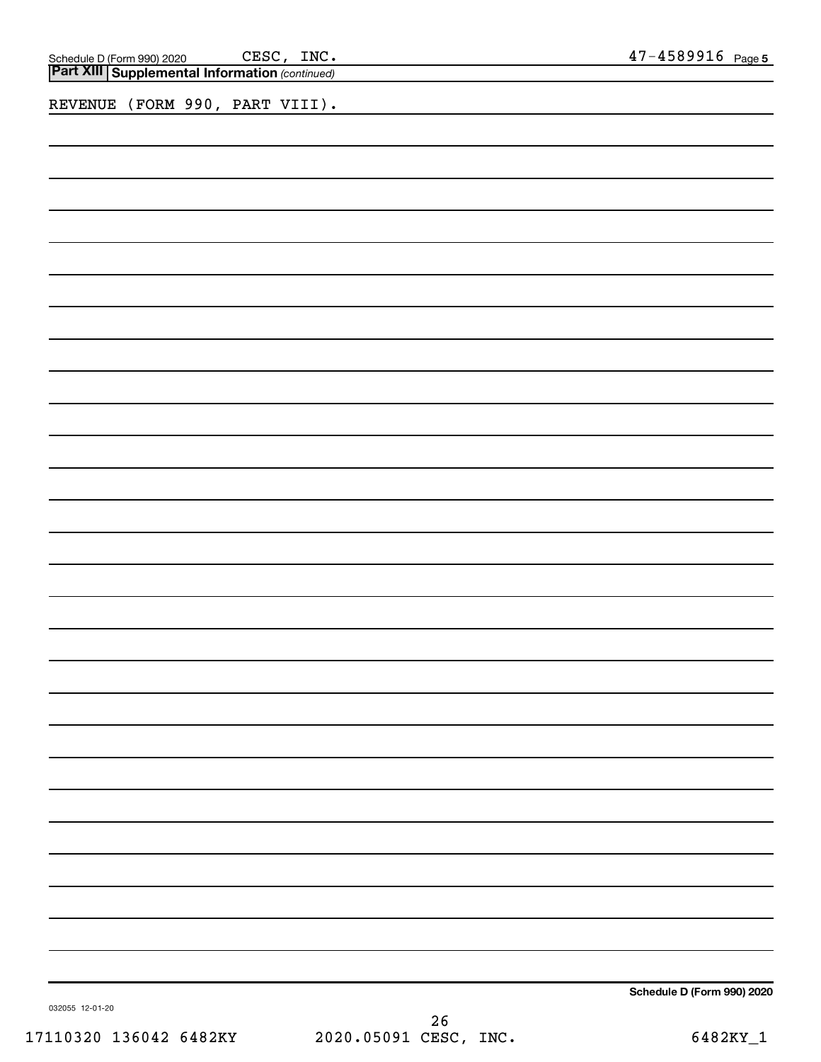| CESC, INC.                                                                              | 47-4589916 Page 5          |
|-----------------------------------------------------------------------------------------|----------------------------|
| Schedule D (Form 990) 2020 CESC, INC.<br>Part XIII Supplemental Information (continued) |                            |
| REVENUE (FORM 990, PART VIII).                                                          |                            |
|                                                                                         |                            |
|                                                                                         |                            |
|                                                                                         |                            |
|                                                                                         |                            |
|                                                                                         |                            |
|                                                                                         |                            |
|                                                                                         |                            |
|                                                                                         |                            |
|                                                                                         |                            |
|                                                                                         |                            |
|                                                                                         |                            |
|                                                                                         |                            |
|                                                                                         |                            |
|                                                                                         |                            |
|                                                                                         |                            |
|                                                                                         |                            |
|                                                                                         |                            |
|                                                                                         |                            |
|                                                                                         |                            |
|                                                                                         |                            |
|                                                                                         |                            |
|                                                                                         |                            |
|                                                                                         |                            |
|                                                                                         |                            |
|                                                                                         |                            |
|                                                                                         |                            |
|                                                                                         |                            |
|                                                                                         |                            |
|                                                                                         |                            |
|                                                                                         |                            |
|                                                                                         |                            |
|                                                                                         |                            |
|                                                                                         |                            |
|                                                                                         |                            |
|                                                                                         |                            |
|                                                                                         |                            |
|                                                                                         |                            |
|                                                                                         |                            |
|                                                                                         |                            |
|                                                                                         | Schedule D (Form 990) 2020 |
| 032055 12-01-20                                                                         |                            |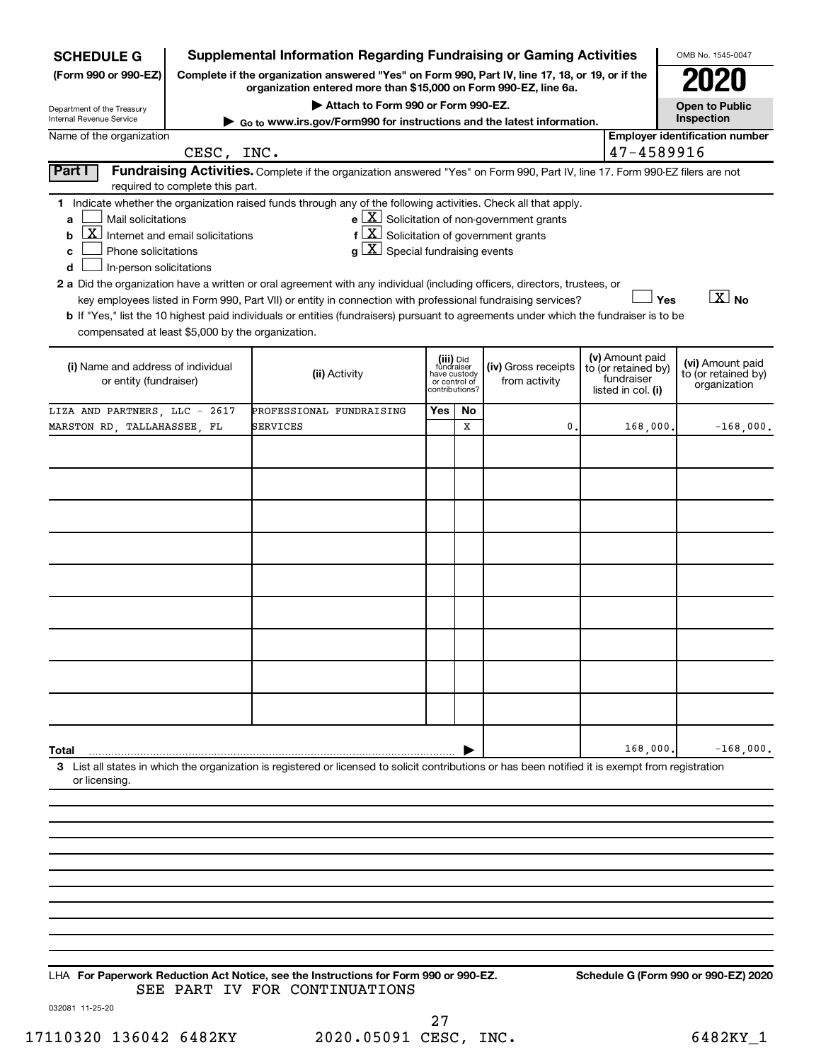| <b>SCHEDULE G</b>                                                                                                                                                      |                                                                                                 | <b>Supplemental Information Regarding Fundraising or Gaming Activities</b>                                                                                                                                                                                                                                                                                                                                                                                                                                                                                                                                     |                                         |                                 |                                                                         |  |                                                                            | OMB No. 1545-0047                                       |
|------------------------------------------------------------------------------------------------------------------------------------------------------------------------|-------------------------------------------------------------------------------------------------|----------------------------------------------------------------------------------------------------------------------------------------------------------------------------------------------------------------------------------------------------------------------------------------------------------------------------------------------------------------------------------------------------------------------------------------------------------------------------------------------------------------------------------------------------------------------------------------------------------------|-----------------------------------------|---------------------------------|-------------------------------------------------------------------------|--|----------------------------------------------------------------------------|---------------------------------------------------------|
| (Form 990 or 990-EZ)                                                                                                                                                   | Complete if the organization answered "Yes" on Form 990, Part IV, line 17, 18, or 19, or if the |                                                                                                                                                                                                                                                                                                                                                                                                                                                                                                                                                                                                                |                                         |                                 |                                                                         |  |                                                                            |                                                         |
|                                                                                                                                                                        | organization entered more than \$15,000 on Form 990-EZ, line 6a.                                |                                                                                                                                                                                                                                                                                                                                                                                                                                                                                                                                                                                                                | <b>Open to Public</b>                   |                                 |                                                                         |  |                                                                            |                                                         |
| Department of the Treasury<br>Internal Revenue Service                                                                                                                 | Go to www.irs.gov/Form990 for instructions and the latest information.                          |                                                                                                                                                                                                                                                                                                                                                                                                                                                                                                                                                                                                                | Inspection                              |                                 |                                                                         |  |                                                                            |                                                         |
| Name of the organization                                                                                                                                               | <b>Employer identification number</b><br>47-4589916<br>CESC, INC.                               |                                                                                                                                                                                                                                                                                                                                                                                                                                                                                                                                                                                                                |                                         |                                 |                                                                         |  |                                                                            |                                                         |
| Part I                                                                                                                                                                 |                                                                                                 | Fundraising Activities. Complete if the organization answered "Yes" on Form 990, Part IV, line 17. Form 990-EZ filers are not                                                                                                                                                                                                                                                                                                                                                                                                                                                                                  |                                         |                                 |                                                                         |  |                                                                            |                                                         |
| Mail solicitations<br>a<br>$\overline{\text{X}}$<br>b<br>Phone solicitations<br>с<br>In-person solicitations<br>d<br>compensated at least \$5,000 by the organization. | required to complete this part.<br>Internet and email solicitations                             | 1 Indicate whether the organization raised funds through any of the following activities. Check all that apply.<br>$f\left[\frac{X}{X}\right]$ Solicitation of government grants<br>$g\mid X$ Special fundraising events<br>2 a Did the organization have a written or oral agreement with any individual (including officers, directors, trustees, or<br>key employees listed in Form 990, Part VII) or entity in connection with professional fundraising services?<br>b If "Yes," list the 10 highest paid individuals or entities (fundraisers) pursuant to agreements under which the fundraiser is to be |                                         |                                 | $\mathbf{e}$ $\boxed{\mathbf{X}}$ Solicitation of non-government grants |  | Yes                                                                        | $\overline{X}$ No                                       |
| (i) Name and address of individual<br>or entity (fundraiser)                                                                                                           |                                                                                                 | (ii) Activity                                                                                                                                                                                                                                                                                                                                                                                                                                                                                                                                                                                                  | (iii) Did<br>fundraiser<br>have custody | or control of<br>contributions? | (iv) Gross receipts<br>from activity                                    |  | (v) Amount paid<br>to (or retained by)<br>fundraiser<br>listed in col. (i) | (vi) Amount paid<br>to (or retained by)<br>organization |
| LIZA AND PARTNERS, LLC - 2617                                                                                                                                          |                                                                                                 | Yes<br>PROFESSIONAL FUNDRAISING                                                                                                                                                                                                                                                                                                                                                                                                                                                                                                                                                                                |                                         | No                              |                                                                         |  |                                                                            |                                                         |
| MARSTON RD, TALLAHASSEE, FL                                                                                                                                            |                                                                                                 | SERVICES                                                                                                                                                                                                                                                                                                                                                                                                                                                                                                                                                                                                       |                                         | х                               | 0.                                                                      |  | 168,000                                                                    | $-168,000.$                                             |
|                                                                                                                                                                        |                                                                                                 |                                                                                                                                                                                                                                                                                                                                                                                                                                                                                                                                                                                                                |                                         |                                 |                                                                         |  |                                                                            |                                                         |
|                                                                                                                                                                        |                                                                                                 |                                                                                                                                                                                                                                                                                                                                                                                                                                                                                                                                                                                                                |                                         |                                 |                                                                         |  |                                                                            |                                                         |
|                                                                                                                                                                        |                                                                                                 |                                                                                                                                                                                                                                                                                                                                                                                                                                                                                                                                                                                                                |                                         |                                 |                                                                         |  |                                                                            |                                                         |
|                                                                                                                                                                        |                                                                                                 |                                                                                                                                                                                                                                                                                                                                                                                                                                                                                                                                                                                                                |                                         |                                 |                                                                         |  |                                                                            |                                                         |
|                                                                                                                                                                        |                                                                                                 |                                                                                                                                                                                                                                                                                                                                                                                                                                                                                                                                                                                                                |                                         |                                 |                                                                         |  |                                                                            |                                                         |
|                                                                                                                                                                        |                                                                                                 |                                                                                                                                                                                                                                                                                                                                                                                                                                                                                                                                                                                                                |                                         |                                 |                                                                         |  |                                                                            |                                                         |
|                                                                                                                                                                        |                                                                                                 |                                                                                                                                                                                                                                                                                                                                                                                                                                                                                                                                                                                                                |                                         |                                 |                                                                         |  |                                                                            |                                                         |
|                                                                                                                                                                        |                                                                                                 |                                                                                                                                                                                                                                                                                                                                                                                                                                                                                                                                                                                                                |                                         |                                 |                                                                         |  |                                                                            |                                                         |
|                                                                                                                                                                        |                                                                                                 |                                                                                                                                                                                                                                                                                                                                                                                                                                                                                                                                                                                                                |                                         |                                 |                                                                         |  |                                                                            |                                                         |
|                                                                                                                                                                        |                                                                                                 |                                                                                                                                                                                                                                                                                                                                                                                                                                                                                                                                                                                                                |                                         |                                 |                                                                         |  |                                                                            |                                                         |
|                                                                                                                                                                        |                                                                                                 |                                                                                                                                                                                                                                                                                                                                                                                                                                                                                                                                                                                                                |                                         |                                 |                                                                         |  |                                                                            |                                                         |
| Total                                                                                                                                                                  |                                                                                                 |                                                                                                                                                                                                                                                                                                                                                                                                                                                                                                                                                                                                                |                                         |                                 |                                                                         |  | 168,000                                                                    | $-168,000.$                                             |
|                                                                                                                                                                        |                                                                                                 | 3 List all states in which the organization is registered or licensed to solicit contributions or has been notified it is exempt from registration                                                                                                                                                                                                                                                                                                                                                                                                                                                             |                                         |                                 |                                                                         |  |                                                                            |                                                         |
| or licensing.                                                                                                                                                          |                                                                                                 |                                                                                                                                                                                                                                                                                                                                                                                                                                                                                                                                                                                                                |                                         |                                 |                                                                         |  |                                                                            |                                                         |
|                                                                                                                                                                        |                                                                                                 |                                                                                                                                                                                                                                                                                                                                                                                                                                                                                                                                                                                                                |                                         |                                 |                                                                         |  |                                                                            |                                                         |
|                                                                                                                                                                        |                                                                                                 |                                                                                                                                                                                                                                                                                                                                                                                                                                                                                                                                                                                                                |                                         |                                 |                                                                         |  |                                                                            |                                                         |
|                                                                                                                                                                        |                                                                                                 |                                                                                                                                                                                                                                                                                                                                                                                                                                                                                                                                                                                                                |                                         |                                 |                                                                         |  |                                                                            |                                                         |
|                                                                                                                                                                        |                                                                                                 |                                                                                                                                                                                                                                                                                                                                                                                                                                                                                                                                                                                                                |                                         |                                 |                                                                         |  |                                                                            |                                                         |
|                                                                                                                                                                        |                                                                                                 |                                                                                                                                                                                                                                                                                                                                                                                                                                                                                                                                                                                                                |                                         |                                 |                                                                         |  |                                                                            |                                                         |
|                                                                                                                                                                        |                                                                                                 |                                                                                                                                                                                                                                                                                                                                                                                                                                                                                                                                                                                                                |                                         |                                 |                                                                         |  |                                                                            |                                                         |

**For Paperwork Reduction Act Notice, see the Instructions for Form 990 or 990-EZ. Schedule G (Form 990 or 990-EZ) 2020** LHA SEE PART IV FOR CONTINUATIONS

032081 11-25-20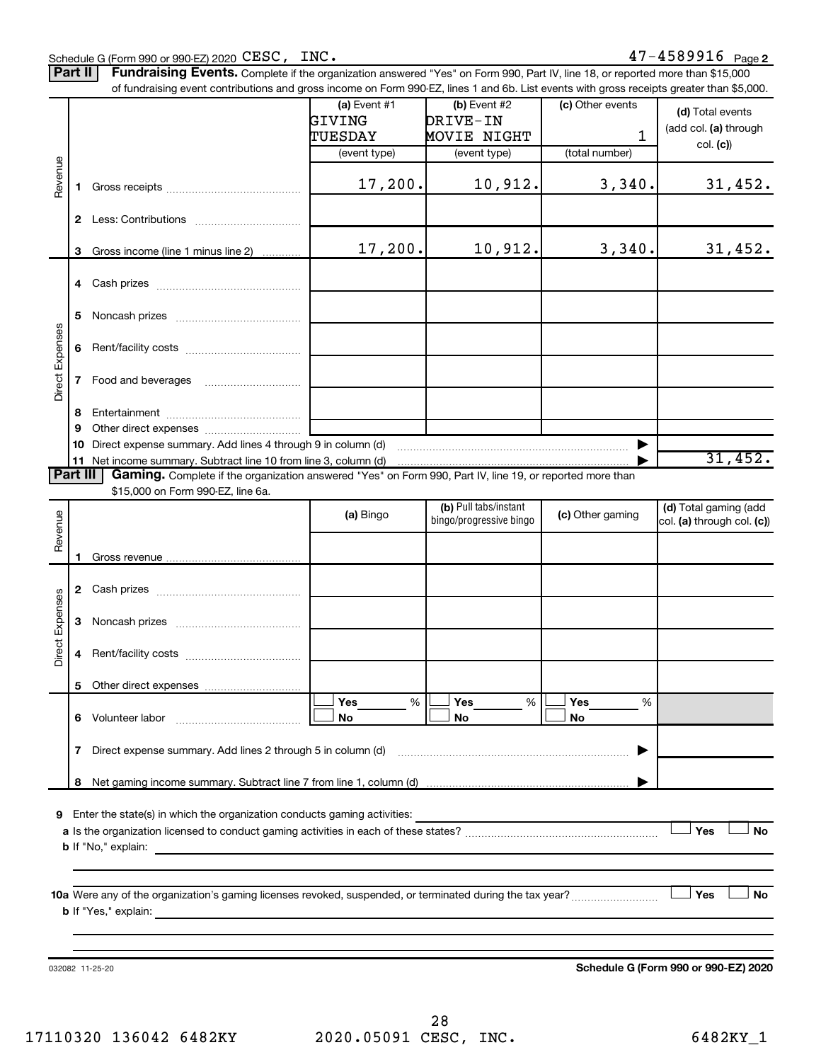Part II | Fundraising Events. Complete if the organization answered "Yes" on Form 990, Part IV, line 18, or reported more than \$15,000

|                 |    | of fundraising event contributions and gross income on Form 990-EZ, lines 1 and 6b. List events with gross receipts greater than \$5,000. |              |                         |                  |                                      |
|-----------------|----|-------------------------------------------------------------------------------------------------------------------------------------------|--------------|-------------------------|------------------|--------------------------------------|
|                 |    |                                                                                                                                           | (a) Event #1 | (b) Event #2            | (c) Other events | (d) Total events                     |
|                 |    |                                                                                                                                           | GIVING       | DRIVE-IN                |                  |                                      |
|                 |    |                                                                                                                                           | TUESDAY      | MOVIE NIGHT             | 1                | (add col. (a) through                |
|                 |    |                                                                                                                                           | (event type) | (event type)            | (total number)   | col. (c))                            |
|                 |    |                                                                                                                                           |              |                         |                  |                                      |
| Revenue         | 1. |                                                                                                                                           | 17,200.      | 10,912.                 | 3,340.           | 31,452.                              |
|                 |    |                                                                                                                                           |              |                         |                  |                                      |
|                 | 3  | Gross income (line 1 minus line 2)                                                                                                        | 17,200.      | 10,912.                 | 3,340.           | 31,452.                              |
|                 |    |                                                                                                                                           |              |                         |                  |                                      |
|                 |    |                                                                                                                                           |              |                         |                  |                                      |
|                 | 5  |                                                                                                                                           |              |                         |                  |                                      |
|                 | 6  |                                                                                                                                           |              |                         |                  |                                      |
| Direct Expenses | 7  |                                                                                                                                           |              |                         |                  |                                      |
|                 | 8  |                                                                                                                                           |              |                         |                  |                                      |
|                 | 9  |                                                                                                                                           |              |                         |                  |                                      |
|                 | 10 |                                                                                                                                           |              |                         |                  |                                      |
|                 | 11 |                                                                                                                                           |              |                         |                  | 31,452.                              |
| Part III        |    | Gaming. Complete if the organization answered "Yes" on Form 990, Part IV, line 19, or reported more than                                  |              |                         |                  |                                      |
|                 |    | \$15,000 on Form 990-EZ, line 6a.                                                                                                         |              |                         |                  |                                      |
|                 |    |                                                                                                                                           |              | (b) Pull tabs/instant   |                  | (d) Total gaming (add                |
| Revenue         |    |                                                                                                                                           | (a) Bingo    | bingo/progressive bingo | (c) Other gaming | col. (a) through col. (c))           |
|                 |    |                                                                                                                                           |              |                         |                  |                                      |
|                 |    |                                                                                                                                           |              |                         |                  |                                      |
|                 |    |                                                                                                                                           |              |                         |                  |                                      |
|                 |    |                                                                                                                                           |              |                         |                  |                                      |
| Direct Expenses | З  |                                                                                                                                           |              |                         |                  |                                      |
|                 | 4  |                                                                                                                                           |              |                         |                  |                                      |
|                 |    |                                                                                                                                           |              |                         |                  |                                      |
|                 |    |                                                                                                                                           |              |                         |                  |                                      |
|                 |    |                                                                                                                                           | Yes<br>%     | Yes<br>%                | Yes<br>%         |                                      |
|                 |    |                                                                                                                                           | No           | No                      | No               |                                      |
|                 | 7  | Direct expense summary. Add lines 2 through 5 in column (d)                                                                               |              |                         |                  |                                      |
|                 | 8  |                                                                                                                                           |              |                         |                  |                                      |
|                 |    |                                                                                                                                           |              |                         |                  |                                      |
| 9               |    |                                                                                                                                           |              |                         |                  |                                      |
|                 |    |                                                                                                                                           |              |                         |                  | Yes<br><b>No</b>                     |
|                 |    |                                                                                                                                           |              |                         |                  |                                      |
|                 |    |                                                                                                                                           |              |                         |                  |                                      |
|                 |    |                                                                                                                                           |              |                         |                  |                                      |
|                 |    |                                                                                                                                           |              |                         |                  | Yes<br>No                            |
|                 |    |                                                                                                                                           |              |                         |                  |                                      |
|                 |    |                                                                                                                                           |              |                         |                  |                                      |
|                 |    |                                                                                                                                           |              |                         |                  |                                      |
|                 |    | 032082 11-25-20                                                                                                                           |              |                         |                  | Schedule G (Form 990 or 990-EZ) 2020 |

28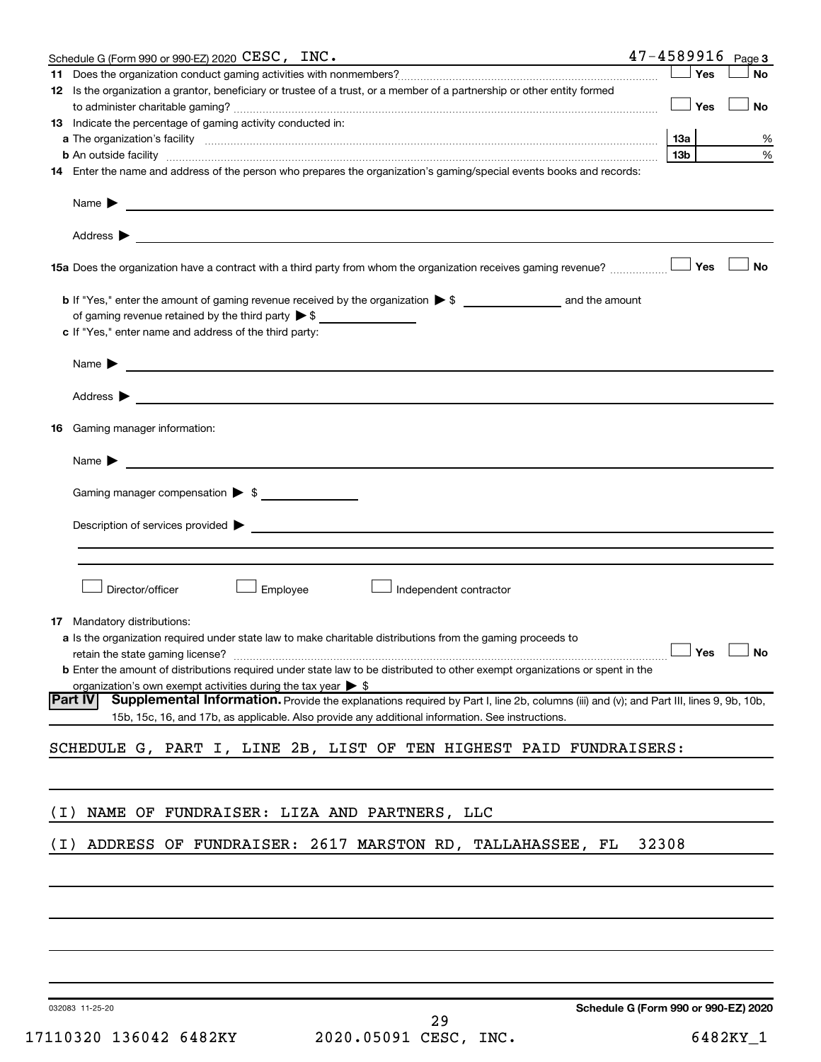|       | Schedule G (Form 990 or 990-EZ) 2020 CESC, INC.                                                                                                                                                                                                       | $47 - 4589916$ Page 3 |     |                      |
|-------|-------------------------------------------------------------------------------------------------------------------------------------------------------------------------------------------------------------------------------------------------------|-----------------------|-----|----------------------|
|       |                                                                                                                                                                                                                                                       |                       | Yes | No                   |
|       | 12 Is the organization a grantor, beneficiary or trustee of a trust, or a member of a partnership or other entity formed                                                                                                                              |                       | Yes | <b>No</b>            |
|       | <b>13</b> Indicate the percentage of gaming activity conducted in:                                                                                                                                                                                    |                       |     |                      |
|       |                                                                                                                                                                                                                                                       | 13а                   |     | %                    |
|       |                                                                                                                                                                                                                                                       | 13 <sub>b</sub>       |     | %                    |
|       | 14 Enter the name and address of the person who prepares the organization's gaming/special events books and records:                                                                                                                                  |                       |     |                      |
|       | Name $\blacktriangleright$<br><u>and the control of the control of the control of the control of the control of the control of the control of</u>                                                                                                     |                       |     |                      |
|       |                                                                                                                                                                                                                                                       |                       |     |                      |
|       | 15a Does the organization have a contract with a third party from whom the organization receives gaming revenue?                                                                                                                                      |                       | Yes | <b>No</b>            |
|       |                                                                                                                                                                                                                                                       |                       |     |                      |
|       | of gaming revenue retained by the third party $\triangleright$ \$                                                                                                                                                                                     |                       |     |                      |
|       | c If "Yes," enter name and address of the third party:                                                                                                                                                                                                |                       |     |                      |
|       | <u> 1980 - John Barn Barn, amerikan basar personal di bandar personal di bandar personal di bandar personal di ba</u><br>Name $\blacktriangleright$                                                                                                   |                       |     |                      |
|       |                                                                                                                                                                                                                                                       |                       |     |                      |
|       | <b>16</b> Gaming manager information:                                                                                                                                                                                                                 |                       |     |                      |
|       | <u> 1980 - Johann Barbara, martin amerikan basal dan berasal dalam basal dalam basal dalam basal dalam basal dala</u><br>Name $\blacktriangleright$                                                                                                   |                       |     |                      |
|       | Gaming manager compensation > \$                                                                                                                                                                                                                      |                       |     |                      |
|       |                                                                                                                                                                                                                                                       |                       |     |                      |
|       |                                                                                                                                                                                                                                                       |                       |     |                      |
|       |                                                                                                                                                                                                                                                       |                       |     |                      |
|       |                                                                                                                                                                                                                                                       |                       |     |                      |
|       | Director/officer<br>$\perp$ Employee<br>Independent contractor                                                                                                                                                                                        |                       |     |                      |
|       | <b>17</b> Mandatory distributions:                                                                                                                                                                                                                    |                       |     |                      |
|       | <b>a</b> Is the organization required under state law to make charitable distributions from the gaming proceeds to                                                                                                                                    |                       |     |                      |
|       |                                                                                                                                                                                                                                                       |                       |     | $\Box$ Yes $\Box$ No |
|       | <b>b</b> Enter the amount of distributions required under state law to be distributed to other exempt organizations or spent in the                                                                                                                   |                       |     |                      |
|       | organization's own exempt activities during the tax year $\triangleright$ \$                                                                                                                                                                          |                       |     |                      |
|       | Part IV<br>Supplemental Information. Provide the explanations required by Part I, line 2b, columns (iii) and (v); and Part III, lines 9, 9b, 10b,<br>15b, 15c, 16, and 17b, as applicable. Also provide any additional information. See instructions. |                       |     |                      |
|       | SCHEDULE G, PART I, LINE 2B, LIST OF TEN HIGHEST PAID FUNDRAISERS:                                                                                                                                                                                    |                       |     |                      |
|       |                                                                                                                                                                                                                                                       |                       |     |                      |
|       |                                                                                                                                                                                                                                                       |                       |     |                      |
| ( I ) | NAME OF FUNDRAISER: LIZA AND PARTNERS, LLC                                                                                                                                                                                                            |                       |     |                      |
| ( I ) | ADDRESS OF FUNDRAISER: 2617 MARSTON RD, TALLAHASSEE, FL                                                                                                                                                                                               | 32308                 |     |                      |
|       |                                                                                                                                                                                                                                                       |                       |     |                      |
|       |                                                                                                                                                                                                                                                       |                       |     |                      |
|       |                                                                                                                                                                                                                                                       |                       |     |                      |
|       |                                                                                                                                                                                                                                                       |                       |     |                      |
|       |                                                                                                                                                                                                                                                       |                       |     |                      |

032083 11-25-20

**Schedule G (Form 990 or 990-EZ) 2020**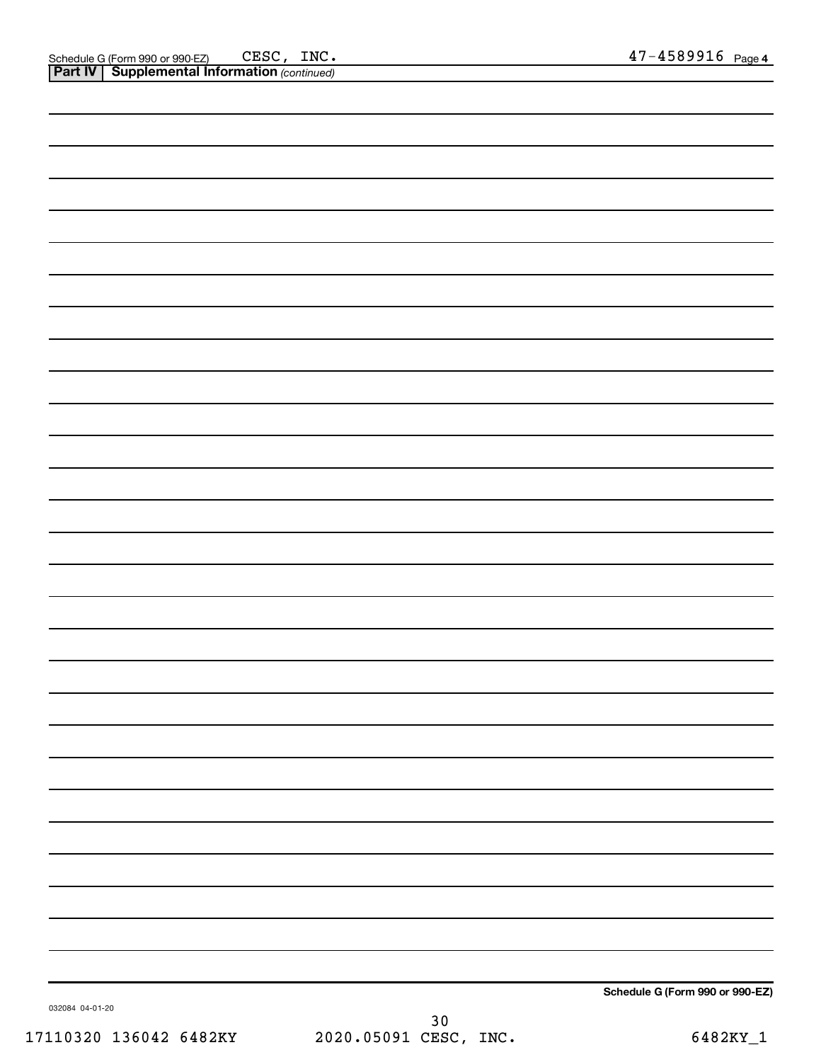| 032084 04-01-20 | Schedule G (Form 990 or 990-EZ) |
|-----------------|---------------------------------|
|                 |                                 |
|                 |                                 |
|                 |                                 |
|                 |                                 |
|                 |                                 |
|                 |                                 |
|                 |                                 |
|                 |                                 |
|                 |                                 |
|                 |                                 |
|                 |                                 |
|                 |                                 |
|                 |                                 |
|                 |                                 |
|                 |                                 |
|                 |                                 |
|                 |                                 |
|                 |                                 |
|                 |                                 |
|                 |                                 |
|                 |                                 |
|                 |                                 |
|                 |                                 |
|                 |                                 |
|                 |                                 |
|                 |                                 |
|                 |                                 |
|                 |                                 |
|                 |                                 |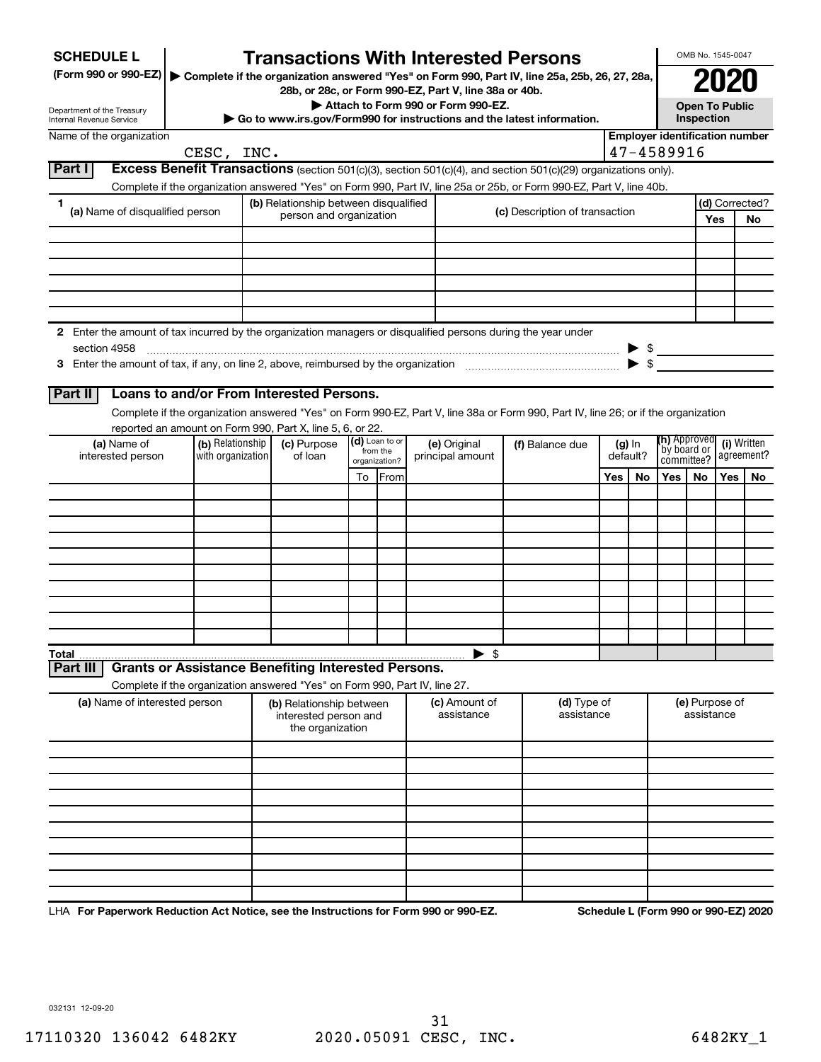| <b>SCHEDULE L</b>                                                                                                    |                                       |                                                                       |    |                                             | <b>Transactions With Interested Persons</b>                                                                                        |                                |                      |    |                                                     | OMB No. 1545-0047                        |     |                |
|----------------------------------------------------------------------------------------------------------------------|---------------------------------------|-----------------------------------------------------------------------|----|---------------------------------------------|------------------------------------------------------------------------------------------------------------------------------------|--------------------------------|----------------------|----|-----------------------------------------------------|------------------------------------------|-----|----------------|
| (Form 990 or 990-EZ)   Complete if the organization answered "Yes" on Form 990, Part IV, line 25a, 25b, 26, 27, 28a, |                                       |                                                                       |    |                                             | 28b, or 28c, or Form 990-EZ, Part V, line 38a or 40b.                                                                              |                                |                      |    |                                                     |                                          |     |                |
| Department of the Treasury                                                                                           |                                       |                                                                       |    |                                             | Attach to Form 990 or Form 990-EZ.                                                                                                 |                                |                      |    |                                                     | <b>Open To Public</b>                    |     |                |
| Internal Revenue Service                                                                                             |                                       |                                                                       |    |                                             | Go to www.irs.gov/Form990 for instructions and the latest information.                                                             |                                |                      |    |                                                     | Inspection                               |     |                |
| Name of the organization                                                                                             | CESC, INC.                            |                                                                       |    |                                             |                                                                                                                                    |                                |                      |    | <b>Employer identification number</b><br>47-4589916 |                                          |     |                |
| Part I                                                                                                               |                                       |                                                                       |    |                                             | <b>Excess Benefit Transactions</b> (section 501(c)(3), section 501(c)(4), and section 501(c)(29) organizations only).              |                                |                      |    |                                                     |                                          |     |                |
|                                                                                                                      |                                       |                                                                       |    |                                             | Complete if the organization answered "Yes" on Form 990, Part IV, line 25a or 25b, or Form 990-EZ, Part V, line 40b.               |                                |                      |    |                                                     |                                          |     |                |
| 1<br>(a) Name of disqualified person                                                                                 |                                       | (b) Relationship between disqualified<br>person and organization      |    |                                             |                                                                                                                                    | (c) Description of transaction |                      |    |                                                     |                                          |     | (d) Corrected? |
|                                                                                                                      |                                       |                                                                       |    |                                             |                                                                                                                                    |                                |                      |    |                                                     |                                          | Yes | No             |
|                                                                                                                      |                                       |                                                                       |    |                                             |                                                                                                                                    |                                |                      |    |                                                     |                                          |     |                |
|                                                                                                                      |                                       |                                                                       |    |                                             |                                                                                                                                    |                                |                      |    |                                                     |                                          |     |                |
|                                                                                                                      |                                       |                                                                       |    |                                             |                                                                                                                                    |                                |                      |    |                                                     |                                          |     |                |
|                                                                                                                      |                                       |                                                                       |    |                                             |                                                                                                                                    |                                |                      |    |                                                     |                                          |     |                |
| 2 Enter the amount of tax incurred by the organization managers or disqualified persons during the year under        |                                       |                                                                       |    |                                             |                                                                                                                                    |                                |                      |    |                                                     |                                          |     |                |
| section 4958                                                                                                         |                                       |                                                                       |    |                                             |                                                                                                                                    |                                |                      |    | $\triangleright$ \$                                 |                                          |     |                |
|                                                                                                                      |                                       |                                                                       |    |                                             |                                                                                                                                    |                                |                      |    | $\blacktriangleright$ \$                            |                                          |     |                |
| Part II                                                                                                              |                                       | Loans to and/or From Interested Persons.                              |    |                                             |                                                                                                                                    |                                |                      |    |                                                     |                                          |     |                |
|                                                                                                                      |                                       |                                                                       |    |                                             | Complete if the organization answered "Yes" on Form 990-EZ, Part V, line 38a or Form 990, Part IV, line 26; or if the organization |                                |                      |    |                                                     |                                          |     |                |
| reported an amount on Form 990, Part X, line 5, 6, or 22.                                                            |                                       |                                                                       |    |                                             |                                                                                                                                    |                                |                      |    | <b>(h)</b> Approved                                 |                                          |     |                |
| (a) Name of<br>interested person                                                                                     | (b) Relationship<br>with organization | (c) Purpose<br>of loan                                                |    | (d) Loan to or<br>from the<br>organization? | (e) Original<br>principal amount                                                                                                   | (f) Balance due                | $(g)$ In<br>default? |    |                                                     | `by board or<br>agreement?<br>committee? |     | (i) Written    |
|                                                                                                                      |                                       |                                                                       | To | From                                        |                                                                                                                                    |                                | Yes                  | No | Yes                                                 | No                                       | Yes | No             |
|                                                                                                                      |                                       |                                                                       |    |                                             |                                                                                                                                    |                                |                      |    |                                                     |                                          |     |                |
|                                                                                                                      |                                       |                                                                       |    |                                             |                                                                                                                                    |                                |                      |    |                                                     |                                          |     |                |
|                                                                                                                      |                                       |                                                                       |    |                                             |                                                                                                                                    |                                |                      |    |                                                     |                                          |     |                |
|                                                                                                                      |                                       |                                                                       |    |                                             |                                                                                                                                    |                                |                      |    |                                                     |                                          |     |                |
|                                                                                                                      |                                       |                                                                       |    |                                             |                                                                                                                                    |                                |                      |    |                                                     |                                          |     |                |
|                                                                                                                      |                                       |                                                                       |    |                                             |                                                                                                                                    |                                |                      |    |                                                     |                                          |     |                |
|                                                                                                                      |                                       |                                                                       |    |                                             |                                                                                                                                    |                                |                      |    |                                                     |                                          |     |                |
|                                                                                                                      |                                       |                                                                       |    |                                             |                                                                                                                                    |                                |                      |    |                                                     |                                          |     |                |
| Total                                                                                                                |                                       |                                                                       |    |                                             | $\blacktriangleright$ \$                                                                                                           |                                |                      |    |                                                     |                                          |     |                |
| <b>Grants or Assistance Benefiting Interested Persons.</b><br>Part III                                               |                                       |                                                                       |    |                                             |                                                                                                                                    |                                |                      |    |                                                     |                                          |     |                |
| Complete if the organization answered "Yes" on Form 990, Part IV, line 27.                                           |                                       |                                                                       |    |                                             |                                                                                                                                    |                                |                      |    |                                                     |                                          |     |                |
| (a) Name of interested person                                                                                        |                                       | (b) Relationship between<br>interested person and<br>the organization |    |                                             | (c) Amount of<br>assistance                                                                                                        | (d) Type of<br>assistance      |                      |    |                                                     | (e) Purpose of<br>assistance             |     |                |
|                                                                                                                      |                                       |                                                                       |    |                                             |                                                                                                                                    |                                |                      |    |                                                     |                                          |     |                |
|                                                                                                                      |                                       |                                                                       |    |                                             |                                                                                                                                    |                                |                      |    |                                                     |                                          |     |                |
|                                                                                                                      |                                       |                                                                       |    |                                             |                                                                                                                                    |                                |                      |    |                                                     |                                          |     |                |
|                                                                                                                      |                                       |                                                                       |    |                                             |                                                                                                                                    |                                |                      |    |                                                     |                                          |     |                |
|                                                                                                                      |                                       |                                                                       |    |                                             |                                                                                                                                    |                                |                      |    |                                                     |                                          |     |                |
|                                                                                                                      |                                       |                                                                       |    |                                             |                                                                                                                                    |                                |                      |    |                                                     |                                          |     |                |
|                                                                                                                      |                                       |                                                                       |    |                                             |                                                                                                                                    |                                |                      |    |                                                     |                                          |     |                |
|                                                                                                                      |                                       |                                                                       |    |                                             |                                                                                                                                    |                                |                      |    |                                                     |                                          |     |                |
|                                                                                                                      |                                       |                                                                       |    |                                             |                                                                                                                                    |                                |                      |    |                                                     |                                          |     |                |

LHA For Paperwork Reduction Act Notice, see the Instructions for Form 990 or 990-EZ. Schedule L (Form 990 or 990-EZ) 2020 ו-D

032131 12-09-20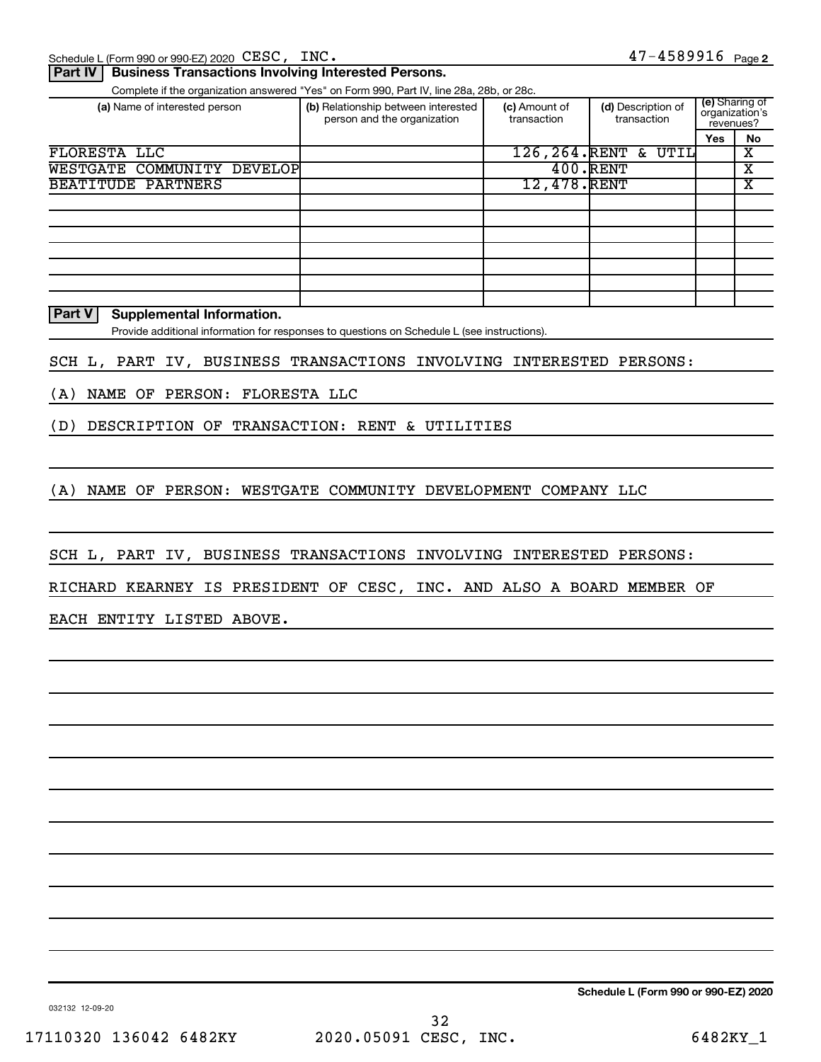Schedule L (Form 990 or 990-EZ) 2020  $CESC$ , INC.

#### **Part IV** Business Transactions Involving Interested Persons.

Complete if the organization answered "Yes" on Form 990, Part IV, line 28a, 28b, or 28c.

| (a) Name of interested person | (b) Relationship between interested<br>person and the organization | (c) Amount of<br>transaction | (d) Description of<br>transaction | revenues?  | (e) Sharing of<br>organization's |
|-------------------------------|--------------------------------------------------------------------|------------------------------|-----------------------------------|------------|----------------------------------|
|                               |                                                                    |                              |                                   | <b>Yes</b> | No                               |
| FLORESTA LLC                  |                                                                    |                              | 126, 264. RENT & UTIL             |            | х                                |
| WESTGATE COMMUNITY DEVELOP    |                                                                    |                              | $400.$ RENT                       |            | х                                |
| <b>BEATITUDE PARTNERS</b>     |                                                                    | 12,478.RENT                  |                                   |            | х                                |
|                               |                                                                    |                              |                                   |            |                                  |
|                               |                                                                    |                              |                                   |            |                                  |
|                               |                                                                    |                              |                                   |            |                                  |
|                               |                                                                    |                              |                                   |            |                                  |
|                               |                                                                    |                              |                                   |            |                                  |
|                               |                                                                    |                              |                                   |            |                                  |
|                               |                                                                    |                              |                                   |            |                                  |

#### **Part V** Supplemental Information.

Provide additional information for responses to questions on Schedule L (see instructions).

#### SCH L, PART IV, BUSINESS TRANSACTIONS INVOLVING INTERESTED PERSONS:

(A) NAME OF PERSON: FLORESTA LLC

(D) DESCRIPTION OF TRANSACTION: RENT & UTILITIES

(A) NAME OF PERSON: WESTGATE COMMUNITY DEVELOPMENT COMPANY LLC

SCH L, PART IV, BUSINESS TRANSACTIONS INVOLVING INTERESTED PERSONS:

RICHARD KEARNEY IS PRESIDENT OF CESC, INC. AND ALSO A BOARD MEMBER OF

EACH ENTITY LISTED ABOVE.

**Schedule L (Form 990 or 990-EZ) 2020**

032132 12-09-20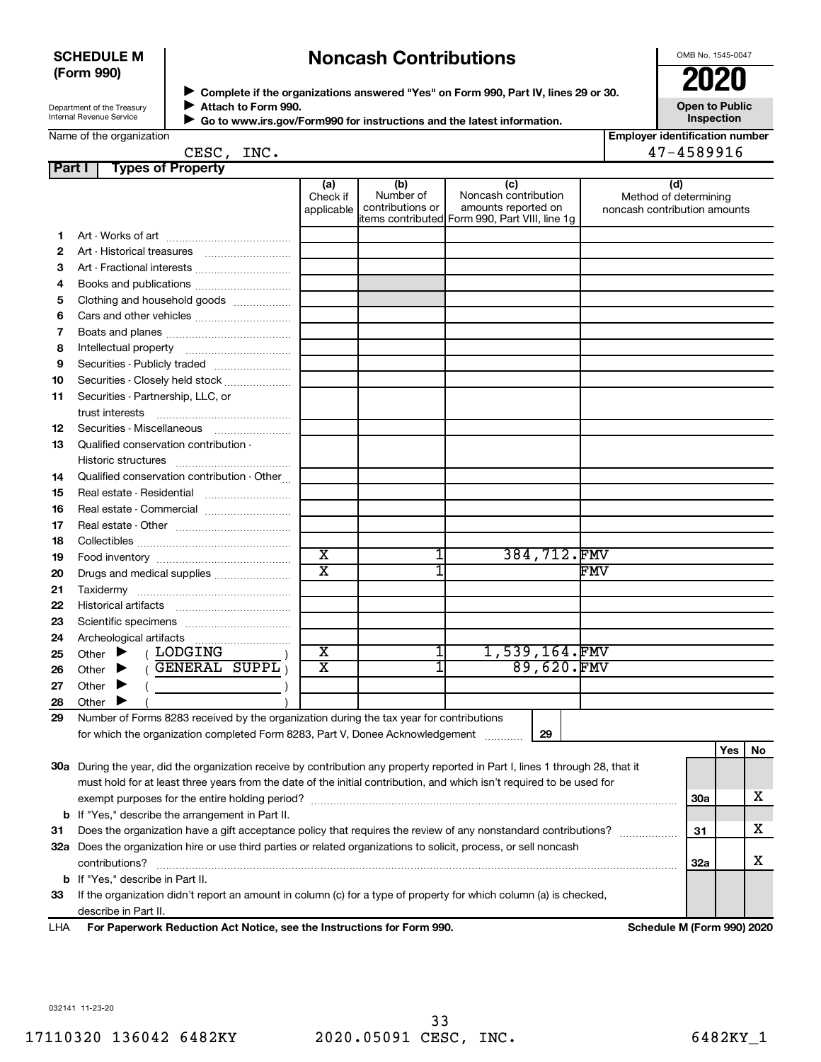#### **SCHEDULE M (Form 990)**

## **Noncash Contributions**

OMB No. 1545-0047

| Department of the Treasury |
|----------------------------|
| Internal Revenue Service   |

◆ Complete if the organizations answered "Yes" on Form 990, Part IV, lines 29 or 30.<br>● Complete if the organizations answered "Yes" on Form 990, Part IV, lines 29 or 30. **Attach to Form 990.** J

**Open to Public Inspection**

|  |  | Name of the organization |
|--|--|--------------------------|
|--|--|--------------------------|

| $\triangleright$ Go to www.irs.gov/Form990 for instructions and the latest information. | <b>Inspection</b> |                            |
|-----------------------------------------------------------------------------------------|-------------------|----------------------------|
|                                                                                         |                   | Employer identification nu |
| CESC, INC.                                                                              |                   | 47-4589916                 |

|  | <b>Employer identification number</b> |  |
|--|---------------------------------------|--|
|  | 17.1500016                            |  |

| CESC, INC.               |  |
|--------------------------|--|
| Part I Types of Property |  |
|                          |  |

|    |                                                                                                                                | (a)<br>Check if         | (b)<br>Number of | (c)<br>Noncash contribution                    | (d)<br>Method of determining |            |            |     |
|----|--------------------------------------------------------------------------------------------------------------------------------|-------------------------|------------------|------------------------------------------------|------------------------------|------------|------------|-----|
|    |                                                                                                                                | applicable              | contributions or | amounts reported on                            | noncash contribution amounts |            |            |     |
|    |                                                                                                                                |                         |                  | items contributed Form 990, Part VIII, line 1g |                              |            |            |     |
| 1. |                                                                                                                                |                         |                  |                                                |                              |            |            |     |
| 2  |                                                                                                                                |                         |                  |                                                |                              |            |            |     |
| З  | Art - Fractional interests                                                                                                     |                         |                  |                                                |                              |            |            |     |
| 4  |                                                                                                                                |                         |                  |                                                |                              |            |            |     |
| 5  | Clothing and household goods                                                                                                   |                         |                  |                                                |                              |            |            |     |
| 6  |                                                                                                                                |                         |                  |                                                |                              |            |            |     |
| 7  |                                                                                                                                |                         |                  |                                                |                              |            |            |     |
| 8  |                                                                                                                                |                         |                  |                                                |                              |            |            |     |
| 9  |                                                                                                                                |                         |                  |                                                |                              |            |            |     |
| 10 | Securities - Closely held stock                                                                                                |                         |                  |                                                |                              |            |            |     |
| 11 | Securities - Partnership, LLC, or                                                                                              |                         |                  |                                                |                              |            |            |     |
|    | trust interests                                                                                                                |                         |                  |                                                |                              |            |            |     |
| 12 |                                                                                                                                |                         |                  |                                                |                              |            |            |     |
| 13 | Qualified conservation contribution -                                                                                          |                         |                  |                                                |                              |            |            |     |
|    |                                                                                                                                |                         |                  |                                                |                              |            |            |     |
| 14 | Qualified conservation contribution - Other                                                                                    |                         |                  |                                                |                              |            |            |     |
| 15 | Real estate - Residential                                                                                                      |                         |                  |                                                |                              |            |            |     |
| 16 |                                                                                                                                |                         |                  |                                                |                              |            |            |     |
| 17 |                                                                                                                                |                         |                  |                                                |                              |            |            |     |
| 18 |                                                                                                                                |                         |                  |                                                |                              |            |            |     |
| 19 |                                                                                                                                | $\overline{\text{x}}$   | 1                | 384,712.FMV                                    |                              |            |            |     |
| 20 | Drugs and medical supplies                                                                                                     | $\overline{\text{x}}$   | 1                |                                                | FMV                          |            |            |     |
| 21 |                                                                                                                                |                         |                  |                                                |                              |            |            |     |
| 22 |                                                                                                                                |                         |                  |                                                |                              |            |            |     |
| 23 |                                                                                                                                |                         |                  |                                                |                              |            |            |     |
| 24 | Archeological artifacts                                                                                                        |                         |                  |                                                |                              |            |            |     |
| 25 | (LODGING<br>Other $\blacktriangleright$                                                                                        | $\overline{\texttt{x}}$ | 1                | 1,539,164.FMV                                  |                              |            |            |     |
| 26 | GENERAL SUPPL)<br>Other $\blacktriangleright$                                                                                  | $\overline{\textbf{x}}$ |                  | 89,620.FMV                                     |                              |            |            |     |
| 27 | Other $\blacktriangleright$<br>$\sqrt{2}$                                                                                      |                         |                  |                                                |                              |            |            |     |
| 28 | Other $\blacktriangleright$                                                                                                    |                         |                  |                                                |                              |            |            |     |
| 29 | Number of Forms 8283 received by the organization during the tax year for contributions                                        |                         |                  |                                                |                              |            |            |     |
|    | for which the organization completed Form 8283, Part V, Donee Acknowledgement                                                  |                         |                  | 29                                             |                              |            |            |     |
|    |                                                                                                                                |                         |                  |                                                |                              |            | <b>Yes</b> | No. |
|    | 30a During the year, did the organization receive by contribution any property reported in Part I, lines 1 through 28, that it |                         |                  |                                                |                              |            |            |     |
|    | must hold for at least three years from the date of the initial contribution, and which isn't required to be used for          |                         |                  |                                                |                              |            |            |     |
|    |                                                                                                                                |                         |                  |                                                |                              | <b>30a</b> |            | х   |
|    | <b>b</b> If "Yes," describe the arrangement in Part II.                                                                        |                         |                  |                                                |                              |            |            |     |
| 31 | Does the organization have a gift acceptance policy that requires the review of any nonstandard contributions?                 |                         |                  |                                                |                              | 31         |            | x   |
|    | 32a Does the organization hire or use third parties or related organizations to solicit, process, or sell noncash              |                         |                  |                                                |                              |            |            |     |

**33** If the organization didn't report an amount in column (c) for a type of property for which column (a) is checked, **b** If "Yes," describe in Part II. describe in Part II.

 $\text{contributions?}$   $\ldots$   $\ldots$   $\ldots$   $\ldots$   $\ldots$   $\ldots$   $\ldots$   $\ldots$   $\ldots$   $\ldots$   $\ldots$   $\ldots$   $\ldots$   $\ldots$   $\ldots$   $\ldots$   $\ldots$   $\ldots$   $\ldots$ 

**For Paperwork Reduction Act Notice, see the Instructions for Form 990. Schedule M (Form 990) 2020** LHA

**32a**

X

032141 11-23-20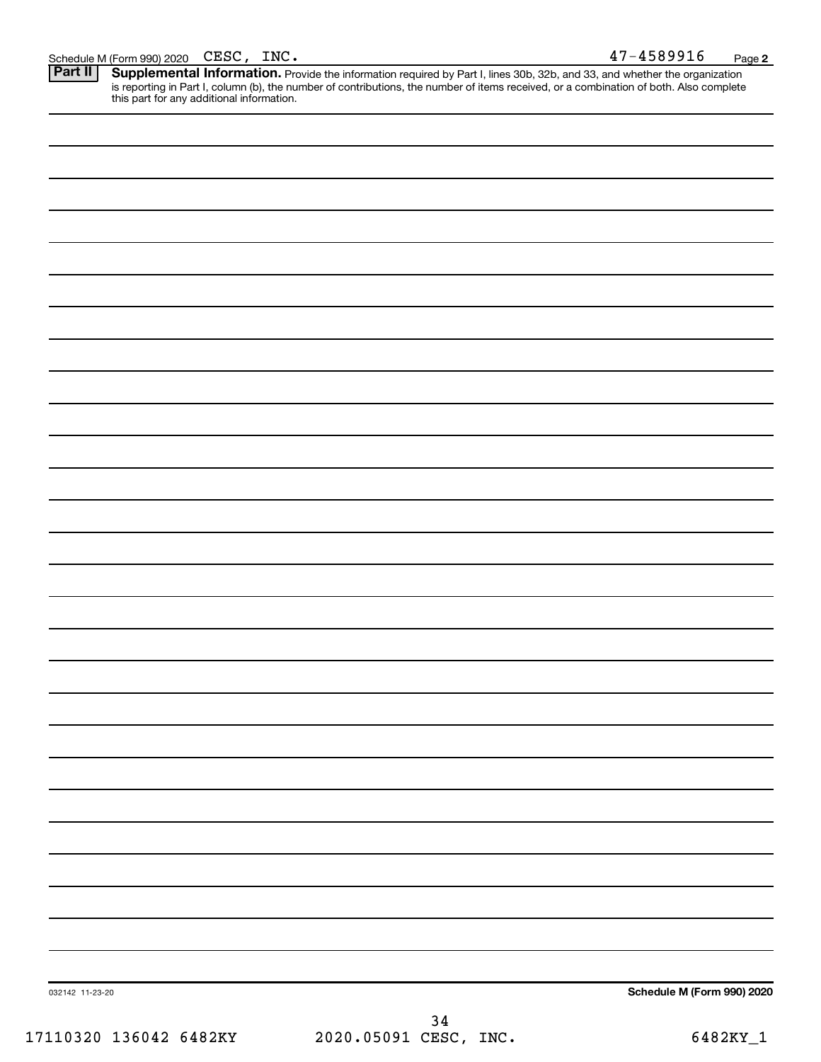Provide the information required by Part I, lines 30b, 32b, and 33, and whether the organization is reporting in Part I, column (b), the number of contributions, the number of items received, or a combination of both. Also complete this part for any additional information. **Part II Supplemental Information.** 

| 032142 11-23-20 | Schedule M (Form 990) 2020 |
|-----------------|----------------------------|
|                 |                            |
|                 |                            |
|                 |                            |
|                 |                            |
|                 |                            |
|                 |                            |
|                 |                            |
|                 |                            |
|                 |                            |
|                 |                            |
|                 |                            |
|                 |                            |
|                 |                            |
|                 |                            |
|                 |                            |
|                 |                            |
|                 |                            |
|                 |                            |
|                 |                            |
|                 |                            |
|                 |                            |
|                 |                            |
|                 |                            |
|                 |                            |
|                 |                            |
|                 |                            |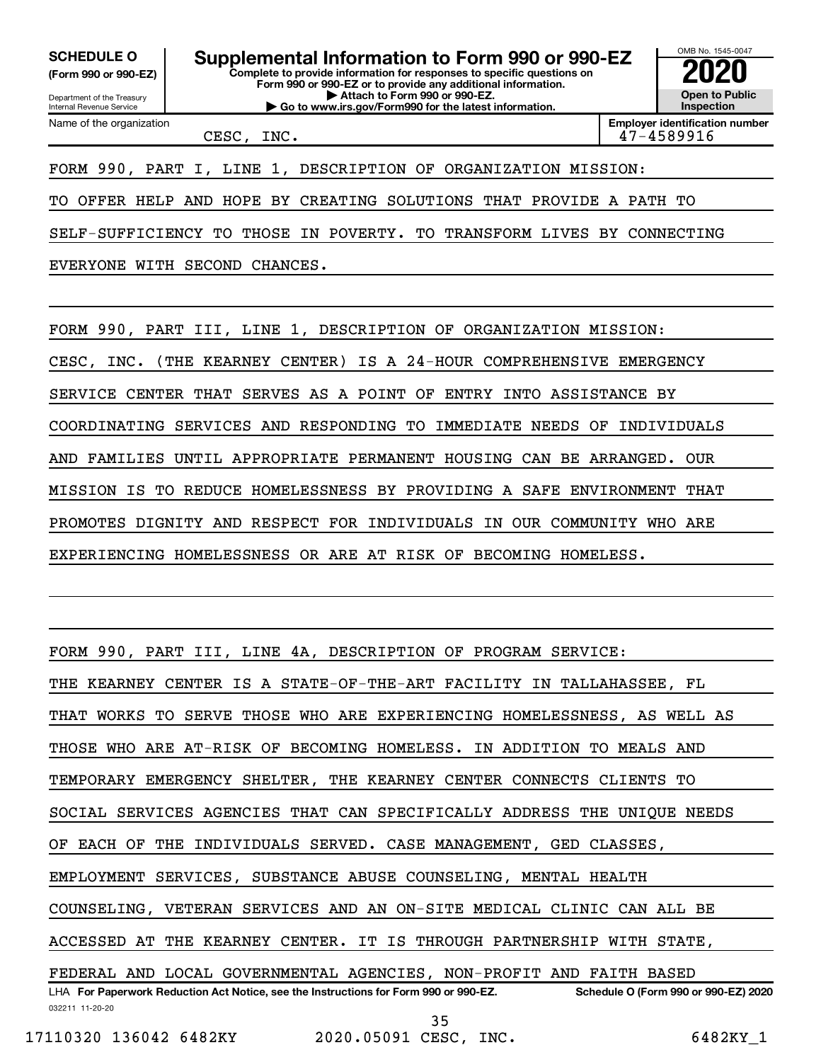**(Form 990 or 990-EZ)**

Department of the Treasury Internal Revenue Service Name of the organization

**Complete to provide information for responses to specific questions on Form 990 or 990-EZ or to provide any additional information. | Attach to Form 990 or 990-EZ. | Go to www.irs.gov/Form990 for the latest information. SCHEDULE O Supplemental Information to Form 990 or 990-EZ 2020**<br>(Form 990 or 990-EZ) Complete to provide information for responses to specific questions on

OMB No. 1545-0047 **Open to Public Inspection**

CESC, INC. 47-4589916

**Employer identification number**

FORM 990, PART I, LINE 1, DESCRIPTION OF ORGANIZATION MISSION:

TO OFFER HELP AND HOPE BY CREATING SOLUTIONS THAT PROVIDE A PATH TO

SELF-SUFFICIENCY TO THOSE IN POVERTY. TO TRANSFORM LIVES BY CONNECTING

EVERYONE WITH SECOND CHANCES.

FORM 990, PART III, LINE 1, DESCRIPTION OF ORGANIZATION MISSION: CESC, INC. (THE KEARNEY CENTER) IS A 24-HOUR COMPREHENSIVE EMERGENCY SERVICE CENTER THAT SERVES AS A POINT OF ENTRY INTO ASSISTANCE BY COORDINATING SERVICES AND RESPONDING TO IMMEDIATE NEEDS OF INDIVIDUALS AND FAMILIES UNTIL APPROPRIATE PERMANENT HOUSING CAN BE ARRANGED. OUR MISSION IS TO REDUCE HOMELESSNESS BY PROVIDING A SAFE ENVIRONMENT THAT PROMOTES DIGNITY AND RESPECT FOR INDIVIDUALS IN OUR COMMUNITY WHO ARE EXPERIENCING HOMELESSNESS OR ARE AT RISK OF BECOMING HOMELESS.

032211 11-20-20 **For Paperwork Reduction Act Notice, see the Instructions for Form 990 or 990-EZ. Schedule O (Form 990 or 990-EZ) 2020** LHA FORM 990, PART III, LINE 4A, DESCRIPTION OF PROGRAM SERVICE: THE KEARNEY CENTER IS A STATE-OF-THE-ART FACILITY IN TALLAHASSEE, FL THAT WORKS TO SERVE THOSE WHO ARE EXPERIENCING HOMELESSNESS, AS WELL AS THOSE WHO ARE AT-RISK OF BECOMING HOMELESS. IN ADDITION TO MEALS AND TEMPORARY EMERGENCY SHELTER, THE KEARNEY CENTER CONNECTS CLIENTS TO SOCIAL SERVICES AGENCIES THAT CAN SPECIFICALLY ADDRESS THE UNIQUE NEEDS OF EACH OF THE INDIVIDUALS SERVED. CASE MANAGEMENT, GED CLASSES, EMPLOYMENT SERVICES, SUBSTANCE ABUSE COUNSELING, MENTAL HEALTH COUNSELING, VETERAN SERVICES AND AN ON-SITE MEDICAL CLINIC CAN ALL BE ACCESSED AT THE KEARNEY CENTER. IT IS THROUGH PARTNERSHIP WITH STATE, FEDERAL AND LOCAL GOVERNMENTAL AGENCIES, NON-PROFIT AND FAITH BASED 35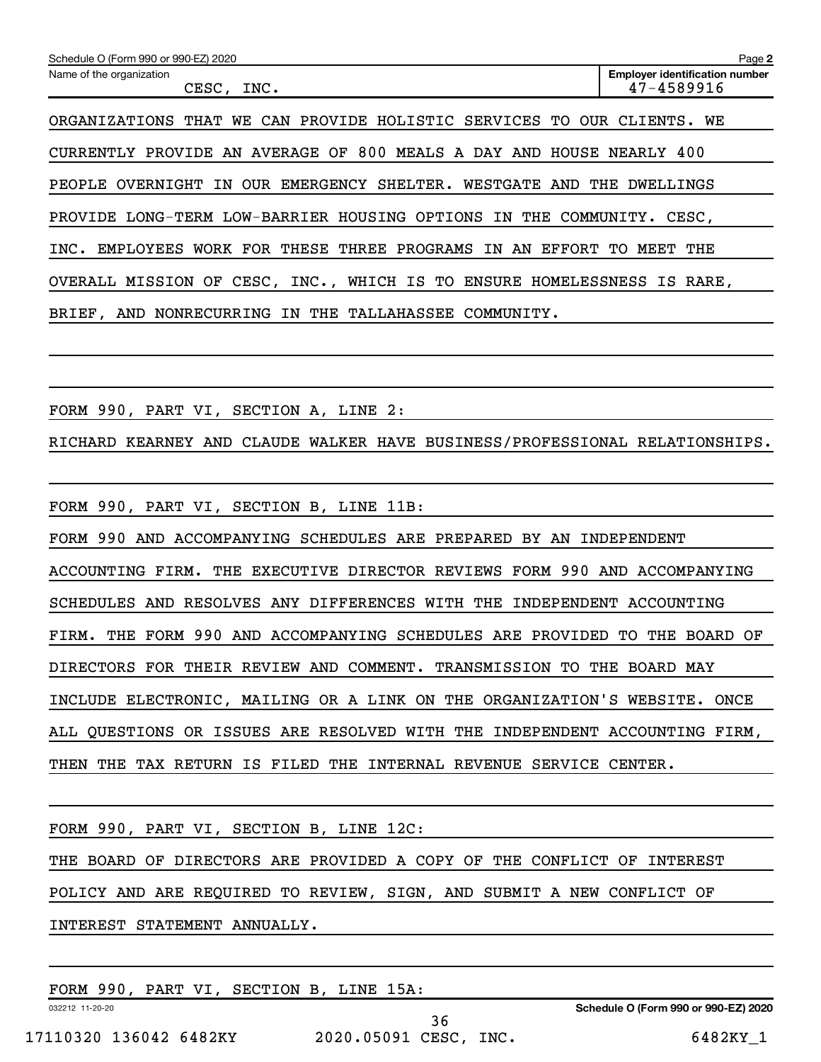| Schedule O (Form 990 or 990-EZ) 2020                                    | Page 2                                              |
|-------------------------------------------------------------------------|-----------------------------------------------------|
| Name of the organization<br>CESC, INC.                                  | <b>Employer identification number</b><br>47-4589916 |
| ORGANIZATIONS THAT WE CAN PROVIDE HOLISTIC SERVICES TO                  | OUR CLIENTS. WE                                     |
| CURRENTLY PROVIDE AN AVERAGE OF 800 MEALS A DAY AND HOUSE               | NEARLY 400                                          |
| IN OUR EMERGENCY SHELTER. WESTGATE AND<br>PEOPLE OVERNIGHT              | THE<br>DWELLINGS                                    |
| PROVIDE LONG-TERM LOW-BARRIER HOUSING OPTIONS IN THE COMMUNITY.         | CESC,                                               |
| EMPLOYEES WORK FOR THESE THREE PROGRAMS IN<br>INC.<br>AN<br>EFFORT TO   | MEET<br>THE                                         |
| OVERALL MISSION OF CESC, INC., WHICH IS TO ENSURE HOMELESSNESS IS RARE, |                                                     |
| IN THE TALLAHASSEE<br>AND NONRECURRING<br>COMMUNITY.<br>BRIEF,          |                                                     |
|                                                                         |                                                     |
|                                                                         |                                                     |

FORM 990, PART VI, SECTION A, LINE 2:

RICHARD KEARNEY AND CLAUDE WALKER HAVE BUSINESS/PROFESSIONAL RELATIONSHIPS.

FORM 990, PART VI, SECTION B, LINE 11B:

FORM 990 AND ACCOMPANYING SCHEDULES ARE PREPARED BY AN INDEPENDENT ACCOUNTING FIRM. THE EXECUTIVE DIRECTOR REVIEWS FORM 990 AND ACCOMPANYING SCHEDULES AND RESOLVES ANY DIFFERENCES WITH THE INDEPENDENT ACCOUNTING FIRM. THE FORM 990 AND ACCOMPANYING SCHEDULES ARE PROVIDED TO THE BOARD OF DIRECTORS FOR THEIR REVIEW AND COMMENT. TRANSMISSION TO THE BOARD MAY INCLUDE ELECTRONIC, MAILING OR A LINK ON THE ORGANIZATION'S WEBSITE. ONCE ALL QUESTIONS OR ISSUES ARE RESOLVED WITH THE INDEPENDENT ACCOUNTING FIRM, THEN THE TAX RETURN IS FILED THE INTERNAL REVENUE SERVICE CENTER.

|                              |  |  |  |  |  | FORM 990, PART VI, SECTION B, LINE 12C:                                |  |  |  |  |  |  |
|------------------------------|--|--|--|--|--|------------------------------------------------------------------------|--|--|--|--|--|--|
|                              |  |  |  |  |  | THE BOARD OF DIRECTORS ARE PROVIDED A COPY OF THE CONFLICT OF INTEREST |  |  |  |  |  |  |
|                              |  |  |  |  |  | POLICY AND ARE REQUIRED TO REVIEW, SIGN, AND SUBMIT A NEW CONFLICT OF  |  |  |  |  |  |  |
| INTEREST STATEMENT ANNUALLY. |  |  |  |  |  |                                                                        |  |  |  |  |  |  |
|                              |  |  |  |  |  |                                                                        |  |  |  |  |  |  |

|  |  | FORM 990, PART VI, SECTION B, LINE 15A: |  |  |
|--|--|-----------------------------------------|--|--|
|  |  |                                         |  |  |

032212 11-20-20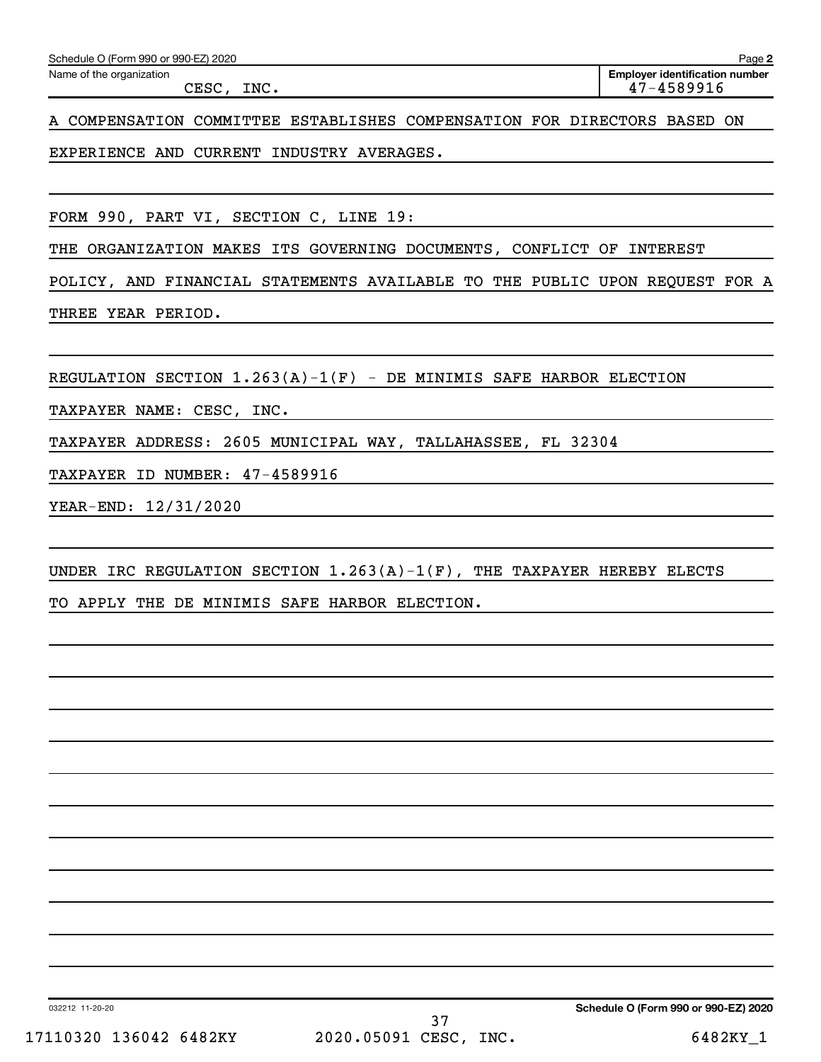| Schedule O (Form 990 or 990-EZ) 2020 | Page 2                                |
|--------------------------------------|---------------------------------------|
| Name of the organization             | <b>Employer identification number</b> |
| INC.<br>CESC,                        | 47-4589916                            |
|                                      |                                       |

A COMPENSATION COMMITTEE ESTABLISHES COMPENSATION FOR DIRECTORS BASED ON

EXPERIENCE AND CURRENT INDUSTRY AVERAGES.

FORM 990, PART VI, SECTION C, LINE 19:

THE ORGANIZATION MAKES ITS GOVERNING DOCUMENTS, CONFLICT OF INTEREST

POLICY, AND FINANCIAL STATEMENTS AVAILABLE TO THE PUBLIC UPON REQUEST FOR A THREE YEAR PERIOD.

REGULATION SECTION  $1.263(A)-1(F)$  - DE MINIMIS SAFE HARBOR ELECTION

TAXPAYER NAME: CESC, INC.

TAXPAYER ADDRESS: 2605 MUNICIPAL WAY, TALLAHASSEE, FL 32304

TAXPAYER ID NUMBER: 47-4589916

YEAR-END: 12/31/2020

UNDER IRC REGULATION SECTION  $1.263(A)-1(F)$ , the TAXPAYER HEREBY ELECTS

TO APPLY THE DE MINIMIS SAFE HARBOR ELECTION.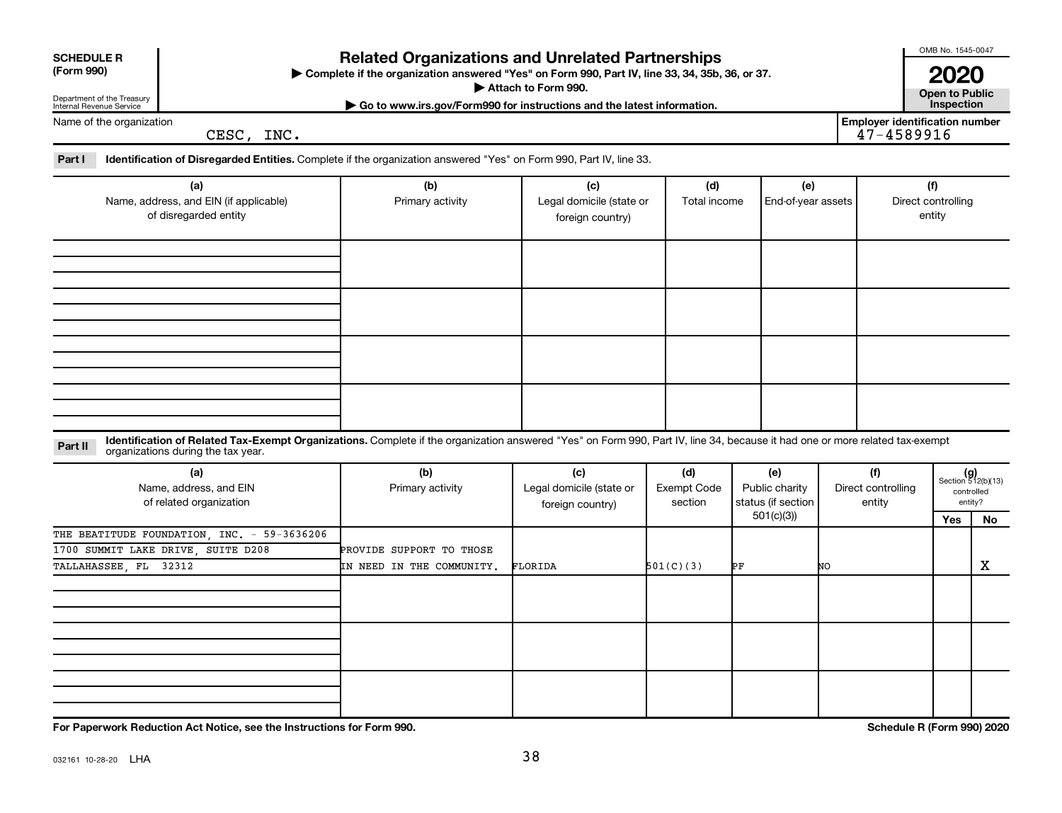| <b>SCHEDULE R</b><br>(Form 990)<br>Department of the Treasury<br>Internal Revenue Service                 | <b>Related Organizations and Unrelated Partnerships</b><br>> Complete if the organization answered "Yes" on Form 990, Part IV, line 33, 34, 35b, 36, or 37.<br>Attach to Form 990.<br>Go to www.irs.gov/Form990 for instructions and the latest information. |                                                                                |                                                     |                               |                                                          |    |                                                     |            |                                                                   |  |  |  |
|-----------------------------------------------------------------------------------------------------------|--------------------------------------------------------------------------------------------------------------------------------------------------------------------------------------------------------------------------------------------------------------|--------------------------------------------------------------------------------|-----------------------------------------------------|-------------------------------|----------------------------------------------------------|----|-----------------------------------------------------|------------|-------------------------------------------------------------------|--|--|--|
| Name of the organization                                                                                  | CESC, INC.                                                                                                                                                                                                                                                   |                                                                                |                                                     |                               |                                                          |    | <b>Employer identification number</b><br>47-4589916 | Inspection |                                                                   |  |  |  |
| Part I                                                                                                    | Identification of Disregarded Entities. Complete if the organization answered "Yes" on Form 990, Part IV, line 33.                                                                                                                                           |                                                                                |                                                     |                               |                                                          |    |                                                     |            |                                                                   |  |  |  |
| (a)<br>Name, address, and EIN (if applicable)<br>of disregarded entity                                    |                                                                                                                                                                                                                                                              | (b)<br>Primary activity                                                        | (c)<br>Legal domicile (state or<br>foreign country) | (d)<br>Total income           | (e)<br>End-of-year assets                                |    | (f)<br>Direct controlling<br>entity                 |            |                                                                   |  |  |  |
|                                                                                                           |                                                                                                                                                                                                                                                              |                                                                                |                                                     |                               |                                                          |    |                                                     |            |                                                                   |  |  |  |
| Part II                                                                                                   | Identification of Related Tax-Exempt Organizations. Complete if the organization answered "Yes" on Form 990, Part IV, line 34, because it had one or more related tax-exempt<br>organizations during the tax year.                                           |                                                                                |                                                     |                               |                                                          |    |                                                     |            |                                                                   |  |  |  |
| (a)<br>Name, address, and EIN<br>of related organization                                                  |                                                                                                                                                                                                                                                              | (b)<br>(c)<br>Legal domicile (state or<br>Primary activity<br>foreign country) |                                                     | (d)<br>Exempt Code<br>section | (e)<br>Public charity<br>status (if section<br>501(c)(3) |    | (f)<br>Direct controlling<br>entity<br>Yes          |            | $(g)$<br>Section 512(b)(13)<br>controlled<br>entity?<br><b>No</b> |  |  |  |
| THE BEATITUDE FOUNDATION, INC. - 59-3636206<br>1700 SUMMIT LAKE DRIVE, SUITE D208<br>TALLAHASSEE FL 32312 |                                                                                                                                                                                                                                                              | PROVIDE SUPPORT TO THOSE<br>IN NEED IN THE COMMUNITY.                          | FLORIDA                                             | 501(C)(3)                     | PF                                                       | NO |                                                     |            | х                                                                 |  |  |  |
|                                                                                                           |                                                                                                                                                                                                                                                              | $\sim$ $\sim$ $\sim$ $\sim$                                                    |                                                     |                               |                                                          |    | $2.1 \tImes = 2.00100$                              |            |                                                                   |  |  |  |

**For Paperwork Reduction Act Notice, see the Instructions for Form 990. Schedule R (Form 990) 2020**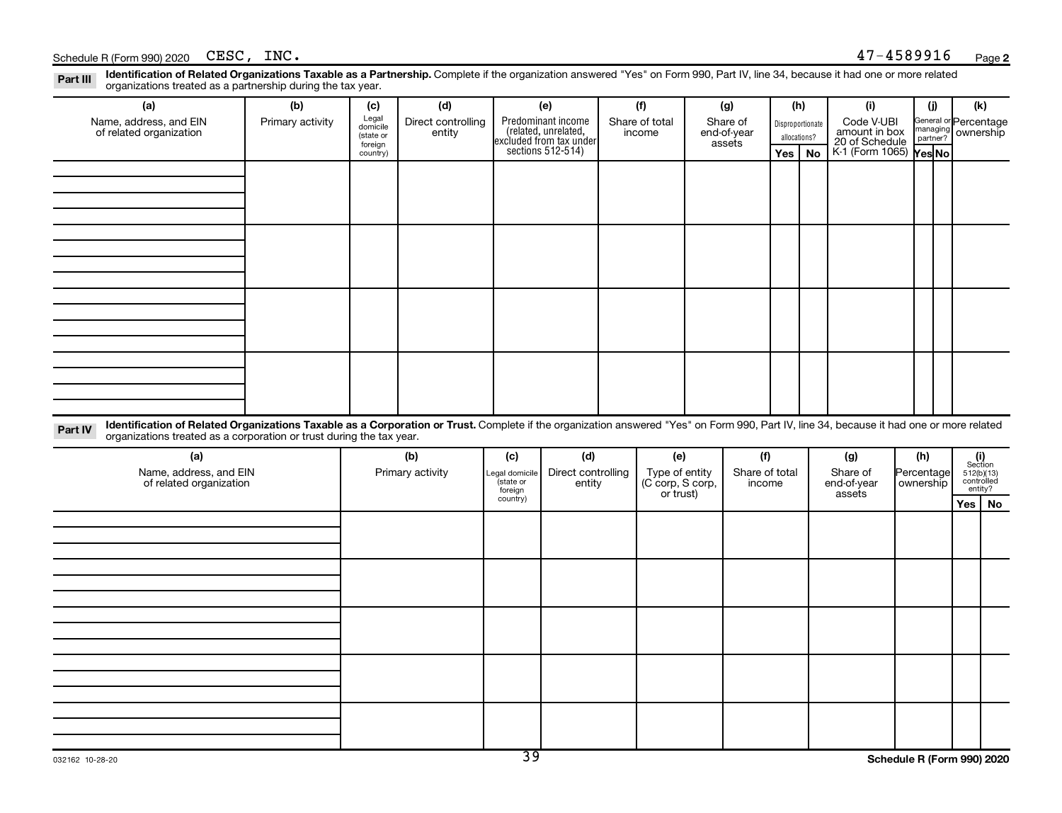**Schedule R (Form 990) 2020**

Disproportionate allocations? Legal domicile (state or foreign country) General or Percentage managing partner? Section 512(b)(13) controlled entity? Legal domicile (state or foreign country) Part III Identification of Related Organizations Taxable as a Partnership. Complete if the organization answered "Yes" on Form 990, Part IV, line 34, because it had one or more related<br>Read to the organizations tracted as **(a) (b) (c) (d) (e) (f) (g) (h) (i) (j) (k) Yes No Yes No** K-1 (Form 1065) Part IV Identification of Related Organizations Taxable as a Corporation or Trust. Complete if the organization answered "Yes" on Form 990, Part IV, line 34, because it had one or more related **(a) (b) (c) (d) (e) (f) (g) (h) (i) Yes No** Predominant income (related, unrelated, excluded from tax under sections 512-514) Schedule R (Form 990) 2020 Page CESC, INC. 47-4589916 organizations treated as a partnership during the tax year. Name, address, and EIN of related organization Primary activity  $\left| \begin{array}{c} \text{Legal} \\ \text{diamial} \end{array} \right|$  Direct controlling entity Share of total income Share of end-of-year assets Code V-UBI<br>amount in box 20 of Schedule ownership organizations treated as a corporation or trust during the tax year. Name, address, and EIN of related organization Primary activity |Legal domicile | Direct controlling entity Type of entity (C corp, S corp, or trust) Share of total income Share of end-of-year assets Percentage ownership

39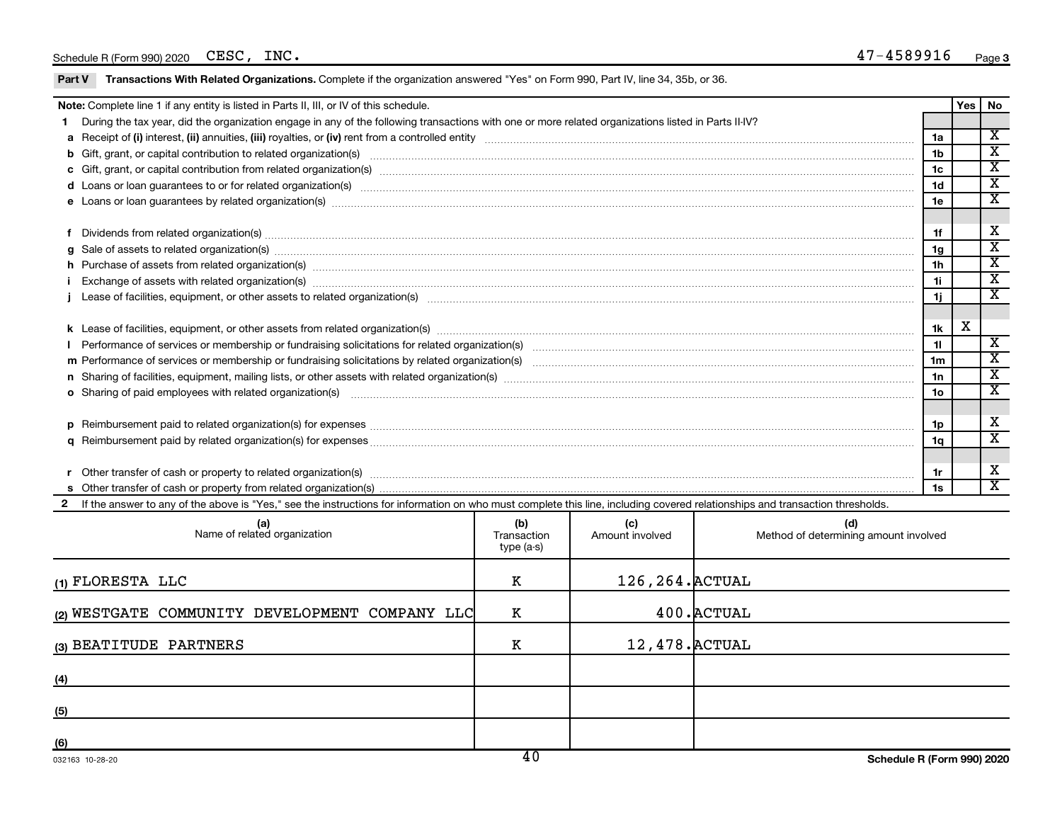### Schedule R (Form 990) 2020  $CESC$ , INC.

| Part V Transactions With Related Organizations. Complete if the organization answered "Yes" on Form 990, Part IV, line 34, 35b, or 36. |  |  |
|----------------------------------------------------------------------------------------------------------------------------------------|--|--|
|                                                                                                                                        |  |  |

|   | Note: Complete line 1 if any entity is listed in Parts II, III, or IV of this schedule.                                                                                                                                        |                | Yes | l No                        |
|---|--------------------------------------------------------------------------------------------------------------------------------------------------------------------------------------------------------------------------------|----------------|-----|-----------------------------|
|   | During the tax year, did the organization engage in any of the following transactions with one or more related organizations listed in Parts II-IV?                                                                            |                |     |                             |
|   |                                                                                                                                                                                                                                | 1a             |     | $\overline{\textnormal{x}}$ |
|   |                                                                                                                                                                                                                                | 1b             |     | $\overline{\mathbf{x}}$     |
|   |                                                                                                                                                                                                                                |                |     | $\overline{\textbf{x}}$     |
|   |                                                                                                                                                                                                                                | 1c             |     | $\overline{\mathbf{x}}$     |
|   | d Loans or loan guarantees to or for related organization(s) www.communically.communically content to an analyzing content of the content of the content of the content of the content of the content of the content of the co | 1 <sub>d</sub> |     |                             |
|   |                                                                                                                                                                                                                                | 1e             |     | X                           |
|   |                                                                                                                                                                                                                                |                |     |                             |
|   | Dividends from related organization(s) machinesis and contract and contract and contract and contract and contract and contract and contract and contract and contract and contract and contract and contract and contract and | 1f             |     | х                           |
| a | Sale of assets to related organization(s) www.communically.communically contract to related organization(s) www.communically contract to related organization(s) www.communically.communically contract to relate the state of | 1g             |     | $\overline{\textbf{x}}$     |
|   | h Purchase of assets from related organization(s) manufactured content to content the content of the content of the content of the content of the content of the content of the content of the content of the content of the c | 1 <sub>h</sub> |     | $\overline{\textbf{x}}$     |
|   | Exchange of assets with related organization(s) www.assettion.com/www.assettion.com/www.assettion.com/www.assettion.com/www.assettion.com/www.assettion.com/www.assettion.com/www.assettion.com/www.assettion.com/www.assettio | 1i             |     | $\overline{\textbf{x}}$     |
|   |                                                                                                                                                                                                                                | 1j             |     | $\overline{\textnormal{x}}$ |
|   |                                                                                                                                                                                                                                |                |     |                             |
|   |                                                                                                                                                                                                                                | 1k             | х   |                             |
|   |                                                                                                                                                                                                                                | 11             |     | $\overline{\mathbf{x}}$     |
|   |                                                                                                                                                                                                                                | 1 <sub>m</sub> |     | х                           |
|   | n Sharing of facilities, equipment, mailing lists, or other assets with related organization(s) marror manufactured manufactured contents and the state of facilities, equipment, mailing lists, or other assets with related  | 1n             |     | $\overline{\mathbf{x}}$     |
|   |                                                                                                                                                                                                                                | 1o             |     | X                           |
|   |                                                                                                                                                                                                                                |                |     |                             |
|   | Reimbursement paid to related organization(s) for expenses [111] Relation and the content of the content of the content of the content of the content of the content of the content of the content of the content of the conte | 1p             |     | X                           |
|   |                                                                                                                                                                                                                                | 1q             |     | х                           |
|   |                                                                                                                                                                                                                                |                |     |                             |
|   |                                                                                                                                                                                                                                | 1r             |     | х                           |
|   |                                                                                                                                                                                                                                | 1s             |     | $\overline{\mathbf{X}}$     |
|   |                                                                                                                                                                                                                                |                |     |                             |
|   | 2 If the answer to any of the above is "Yes," see the instructions for information on who must complete this line, including covered relationships and transaction thresholds.                                                 |                |     |                             |

| (a)<br>Name of related organization            | (b)<br>Transaction<br>type (a-s) | (c)<br>Amount involved | (d)<br>Method of determining amount involved |
|------------------------------------------------|----------------------------------|------------------------|----------------------------------------------|
| $(1)$ FLORESTA LLC                             | К                                | 126, 264. ACTUAL       |                                              |
| (2) WESTGATE COMMUNITY DEVELOPMENT COMPANY LLC | Κ                                |                        | 400. ACTUAL                                  |
| (3) BEATITUDE PARTNERS                         | К                                | 12,478. ACTUAL         |                                              |
| (4)                                            |                                  |                        |                                              |
| (5)                                            |                                  |                        |                                              |
| (6)                                            | 40                               |                        |                                              |
| 032163 10-28-20                                |                                  |                        | Schedule R (Form 990) 2020                   |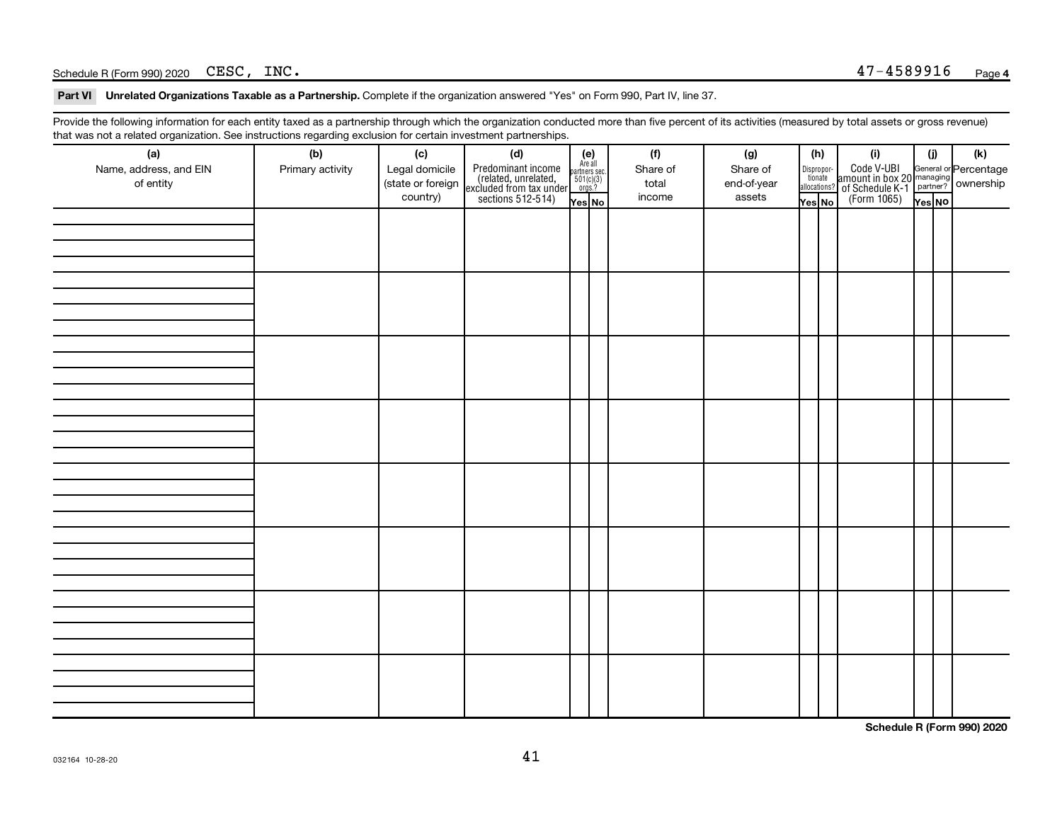#### Schedule R (Form 990) 2020 Page CESC, INC. 47-4589916

Part VI Unrelated Organizations Taxable as a Partnership. Complete if the organization answered "Yes" on Form 990, Part IV, line 37.

Provide the following information for each entity taxed as a partnership through which the organization conducted more than five percent of its activities (measured by total assets or gross revenue) that was not a related organization. See instructions regarding exclusion for certain investment partnerships.

| (a)<br>Name, address, and EIN<br>of entity | - - -<br>(b)<br>Primary activity | (c)<br>Legal domicile<br>(state or foreign<br>country) | - - - - <sub>1</sub> - - 1<br>(d)<br>Predominant income<br>(related, unrelated,<br>excluded from tax under<br>sections 512-514) | (e)<br>Are all<br>partners sec.<br>$\frac{501(c)(3)}{0rgs?}$<br>Yes No | (f)<br>Share of<br>total<br>income | (g)<br>Share of<br>end-of-year<br>assets | (h)<br>Dispropor-<br>tionate<br>allocations?<br>Yes No | (i)<br>Code V-UBI<br>amount in box 20 managing<br>of Schedule K-1<br>(Form 1065)<br>$\overline{Y_{\text{res}}}\overline{NQ}$ | (i)<br>Yes NO | (k) |
|--------------------------------------------|----------------------------------|--------------------------------------------------------|---------------------------------------------------------------------------------------------------------------------------------|------------------------------------------------------------------------|------------------------------------|------------------------------------------|--------------------------------------------------------|------------------------------------------------------------------------------------------------------------------------------|---------------|-----|
|                                            |                                  |                                                        |                                                                                                                                 |                                                                        |                                    |                                          |                                                        |                                                                                                                              |               |     |
|                                            |                                  |                                                        |                                                                                                                                 |                                                                        |                                    |                                          |                                                        |                                                                                                                              |               |     |
|                                            |                                  |                                                        |                                                                                                                                 |                                                                        |                                    |                                          |                                                        |                                                                                                                              |               |     |
|                                            |                                  |                                                        |                                                                                                                                 |                                                                        |                                    |                                          |                                                        |                                                                                                                              |               |     |
|                                            |                                  |                                                        |                                                                                                                                 |                                                                        |                                    |                                          |                                                        |                                                                                                                              |               |     |
|                                            |                                  |                                                        |                                                                                                                                 |                                                                        |                                    |                                          |                                                        |                                                                                                                              |               |     |
|                                            |                                  |                                                        |                                                                                                                                 |                                                                        |                                    |                                          |                                                        |                                                                                                                              |               |     |
|                                            |                                  |                                                        |                                                                                                                                 |                                                                        |                                    |                                          |                                                        |                                                                                                                              |               |     |

**Schedule R (Form 990) 2020**